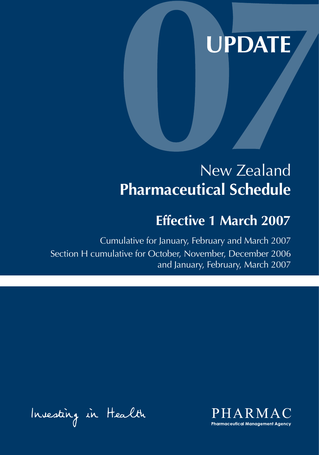# **UPDATE**

# New Zealand **Pharmaceutical Schedule**

# **Effective 1 March 2007**

Cumulative for January, February and March 2007 Section H cumulative for October, November, December 2006 and January, February, March 2007

Investing in Health

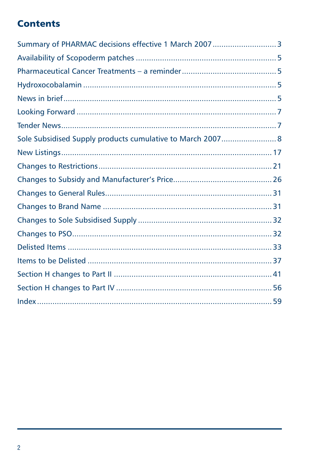# **Contents**

| Summary of PHARMAC decisions effective 1 March 2007 3      |  |
|------------------------------------------------------------|--|
|                                                            |  |
|                                                            |  |
|                                                            |  |
|                                                            |  |
|                                                            |  |
|                                                            |  |
| Sole Subsidised Supply products cumulative to March 2007 8 |  |
|                                                            |  |
|                                                            |  |
|                                                            |  |
|                                                            |  |
|                                                            |  |
|                                                            |  |
|                                                            |  |
|                                                            |  |
|                                                            |  |
|                                                            |  |
|                                                            |  |
|                                                            |  |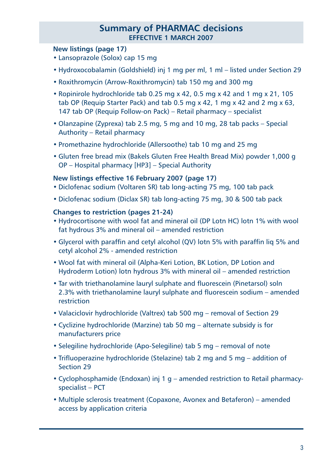# **Summary of PHARMAC decisions effective 1 March 2007**

### **New listings (page 17)**

- Lansoprazole (Solox) cap 15 mg
- Hydroxocobalamin (Goldshield) inj 1 mg per ml, 1 ml listed under Section 29
- Roxithromycin (Arrow-Roxithromycin) tab 150 mg and 300 mg
- Ropinirole hydrochloride tab 0.25 mg x 42, 0.5 mg x 42 and 1 mg x 21, 105 tab OP (Requip Starter Pack) and tab 0.5 mg x 42, 1 mg x 42 and 2 mg x 63, 147 tab OP (Requip Follow-on Pack) – Retail pharmacy – specialist
- Olanzapine (Zyprexa) tab 2.5 mg, 5 mg and 10 mg, 28 tab packs Special Authority – Retail pharmacy
- Promethazine hydrochloride (Allersoothe) tab 10 mg and 25 mg
- Gluten free bread mix (Bakels Gluten Free Health Bread Mix) powder 1,000 g OP – Hospital pharmacy [HP3] – Special Authority

#### **New listings effective 16 February 2007 (page 17)**

- Diclofenac sodium (Voltaren SR) tab long-acting 75 mg, 100 tab pack
- Diclofenac sodium (Diclax SR) tab long-acting 75 mg, 30 & 500 tab pack

#### **Changes to restriction (pages 21-24)**

- Hydrocortisone with wool fat and mineral oil (DP Lotn HC) lotn 1% with wool fat hydrous 3% and mineral oil – amended restriction
- Glycerol with paraffin and cetyl alcohol (QV) lotn 5% with paraffin liq 5% and cetyl alcohol 2% - amended restriction
- Wool fat with mineral oil (Alpha-Keri Lotion, BK Lotion, DP Lotion and Hydroderm Lotion) lotn hydrous 3% with mineral oil – amended restriction
- Tar with triethanolamine lauryl sulphate and fluorescein (Pinetarsol) soln 2.3% with triethanolamine lauryl sulphate and fluorescein sodium – amended restriction
- Valaciclovir hydrochloride (Valtrex) tab 500 mg removal of Section 29
- Cyclizine hydrochloride (Marzine) tab 50 mg alternate subsidy is for manufacturers price
- Selegiline hydrochloride (Apo-Selegiline) tab 5 mg removal of note
- Trifluoperazine hydrochloride (Stelazine) tab 2 mg and 5 mg addition of Section 29
- Cyclophosphamide (Endoxan) inj 1 g amended restriction to Retail pharmacyspecialist – PCT
- Multiple sclerosis treatment (Copaxone, Avonex and Betaferon) amended access by application criteria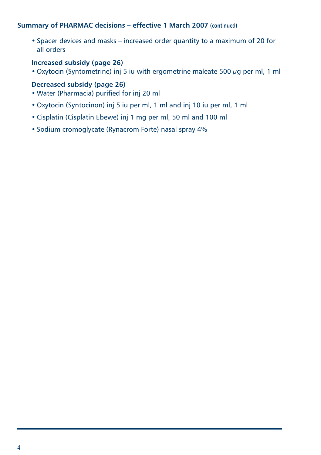### **Summary of PHARMAC decisions – effective 1 March 2007 (continued)**

• Spacer devices and masks – increased order quantity to a maximum of 20 for all orders

# **Increased subsidy (page 26)**

• Oxytocin (Syntometrine) inj 5 iu with ergometrine maleate 500  $\mu$ g per ml, 1 ml

### **Decreased subsidy (page 26)**

- Water (Pharmacia) purified for inj 20 ml
- Oxytocin (Syntocinon) inj 5 iu per ml, 1 ml and inj 10 iu per ml, 1 ml
- Cisplatin (Cisplatin Ebewe) inj 1 mg per ml, 50 ml and 100 ml
- Sodium cromoglycate (Rynacrom Forte) nasal spray 4%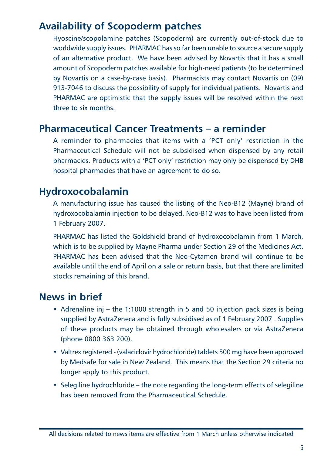# **Availability of Scopoderm patches**

Hyoscine/scopolamine patches (Scopoderm) are currently out-of-stock due to worldwide supply issues. PHARMAC has so far been unable to source a secure supply of an alternative product. We have been advised by Novartis that it has a small amount of Scopoderm patches available for high-need patients (to be determined by Novartis on a case-by-case basis). Pharmacists may contact Novartis on (09) 913-7046 to discuss the possibility of supply for individual patients. Novartis and PHARMAC are optimistic that the supply issues will be resolved within the next three to six months.

# **Pharmaceutical Cancer Treatments – a reminder**

A reminder to pharmacies that items with a 'PCT only' restriction in the Pharmaceutical Schedule will not be subsidised when dispensed by any retail pharmacies. Products with a 'PCT only' restriction may only be dispensed by DHB hospital pharmacies that have an agreement to do so.

# **Hydroxocobalamin**

A manufacturing issue has caused the listing of the Neo-B12 (Mayne) brand of hydroxocobalamin injection to be delayed. Neo-B12 was to have been listed from 1 February 2007.

PHARMAC has listed the Goldshield brand of hydroxocobalamin from 1 March, which is to be supplied by Mayne Pharma under Section 29 of the Medicines Act. PHARMAC has been advised that the Neo-Cytamen brand will continue to be available until the end of April on a sale or return basis, but that there are limited stocks remaining of this brand.

# **News in brief**

- Adrenaline inj the 1:1000 strength in 5 and 50 injection pack sizes is being supplied by AstraZeneca and is fully subsidised as of 1 February 2007 . Supplies of these products may be obtained through wholesalers or via AstraZeneca (phone 0800 363 200).
- Valtrex registered (valaciclovir hydrochloride) tablets 500 mg have been approved by Medsafe for sale in New Zealand. This means that the Section 29 criteria no longer apply to this product.
- Selegiline hydrochloride the note regarding the long-term effects of selegiline has been removed from the Pharmaceutical Schedule.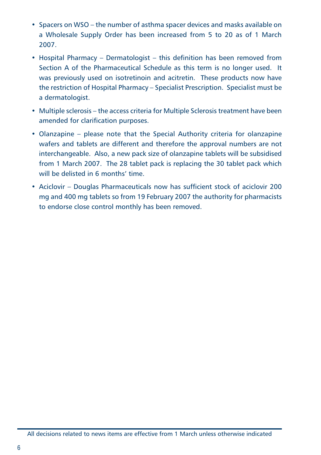- Spacers on WSO the number of asthma spacer devices and masks available on a Wholesale Supply Order has been increased from 5 to 20 as of 1 March 2007.
- Hospital Pharmacy Dermatologist this definition has been removed from Section A of the Pharmaceutical Schedule as this term is no longer used. It was previously used on isotretinoin and acitretin. These products now have the restriction of Hospital Pharmacy – Specialist Prescription. Specialist must be a dermatologist.
- Multiple sclerosis the access criteria for Multiple Sclerosis treatment have been amended for clarification purposes.
- Olanzapine please note that the Special Authority criteria for olanzapine wafers and tablets are different and therefore the approval numbers are not interchangeable. Also, a new pack size of olanzapine tablets will be subsidised from 1 March 2007. The 28 tablet pack is replacing the 30 tablet pack which will be delisted in 6 months' time.
- Aciclovir Douglas Pharmaceuticals now has sufficient stock of aciclovir 200 mg and 400 mg tablets so from 19 February 2007 the authority for pharmacists to endorse close control monthly has been removed.

All decisions related to news items are effective from 1 March unless otherwise indicated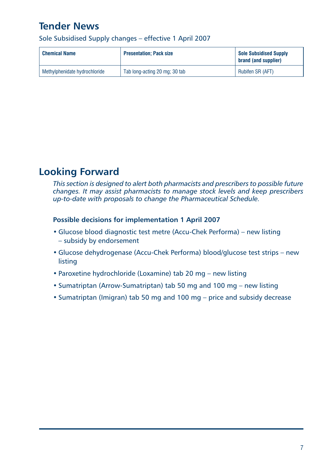# **Tender News**

Sole Subsidised Supply changes – effective 1 April 2007

| <b>Chemical Name</b>          | <b>Presentation: Pack size</b> | <b>Sole Subsidised Supply</b><br>brand (and supplier) |
|-------------------------------|--------------------------------|-------------------------------------------------------|
| Methylphenidate hydrochloride | Tab long-acting 20 mg; 30 tab  | Rubifen SR (AFT)                                      |

# **Looking Forward**

*This section is designed to alert both pharmacists and prescribers to possible future changes. It may assist pharmacists to manage stock levels and keep prescribers up-to-date with proposals to change the Pharmaceutical Schedule.*

### **Possible decisions for implementation 1 April 2007**

- Glucose blood diagnostic test metre (Accu-Chek Performa) new listing – subsidy by endorsement
- Glucose dehydrogenase (Accu-Chek Performa) blood/glucose test strips new listing
- Paroxetine hydrochloride (Loxamine) tab 20 mg new listing
- Sumatriptan (Arrow-Sumatriptan) tab 50 mg and 100 mg new listing
- Sumatriptan (Imigran) tab 50 mg and 100 mg price and subsidy decrease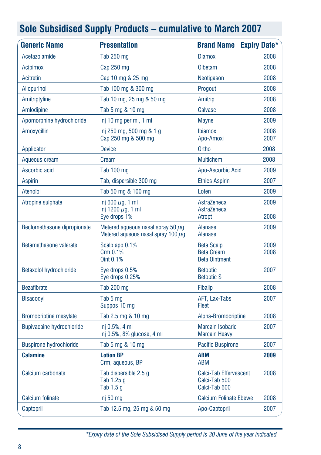| <b>Generic Name</b>              | <b>Presentation</b>                                                               | <b>Brand Name Expiry Date*</b>                                 |              |
|----------------------------------|-----------------------------------------------------------------------------------|----------------------------------------------------------------|--------------|
| Acetazolamide                    | Tab 250 mg                                                                        | <b>Diamox</b>                                                  | 2008         |
| <b>Acipimox</b>                  | Cap 250 mg                                                                        | Olbetam                                                        | 2008         |
| Acitretin                        | Cap 10 mg & 25 mg                                                                 | Neotigason                                                     | 2008         |
| <b>Allopurinol</b>               | Tab 100 mg & 300 mg                                                               | Progout                                                        | 2008         |
| Amitriptyline                    | Tab 10 mg, 25 mg & 50 mg                                                          | Amitrip                                                        | 2008         |
| Amlodipine                       | Tab 5 mg & 10 mg                                                                  | <b>Calvasc</b>                                                 | 2008         |
| Apomorphine hydrochloride        | Inj 10 mg per ml, 1 ml                                                            | <b>Mayne</b>                                                   | 2009         |
| Amoxycillin                      | lnj 250 mg, 500 mg & 1 g<br>Cap 250 mg & 500 mg                                   | <b>Ibiamox</b><br>Apo-Amoxi                                    | 2008<br>2007 |
| Applicator                       | <b>Device</b>                                                                     | <b>Ortho</b>                                                   | 2008         |
| Aqueous cream                    | Cream                                                                             | <b>Multichem</b>                                               | 2008         |
| Ascorbic acid                    | Tab 100 mg                                                                        | Apo-Ascorbic Acid                                              | 2009         |
| <b>Aspirin</b>                   | Tab, dispersible 300 mg                                                           | <b>Ethics Aspirin</b>                                          | 2007         |
| Atenolol                         | Tab 50 mg & 100 mg                                                                | Loten                                                          | 2009         |
| Atropine sulphate                | Inj 600 $\mu$ q, 1 ml<br>Inj 1200 $\mu$ g, 1 ml<br>Eye drops 1%                   | AstraZeneca<br>AstraZeneca<br>Atropt                           | 2009<br>2008 |
| Beclomethasone dipropionate      | Metered aqueous nasal spray 50 $\mu$ q<br>Metered aqueous nasal spray 100 $\mu$ g | <b>Alanase</b><br><b>Alanase</b>                               | 2009         |
| Betamethasone valerate           | Scalp app 0.1%<br>Crm 0.1%<br>Oint 0.1%                                           | <b>Beta Scalp</b><br><b>Beta Cream</b><br><b>Beta Ointment</b> | 2009<br>2008 |
| <b>Betaxolol hydrochloride</b>   | Eye drops 0.5%<br>Eye drops 0.25%                                                 | <b>Betoptic</b><br><b>Betoptic S</b>                           | 2007         |
| <b>Bezafibrate</b>               | Tab 200 mg                                                                        | <b>Fibalip</b>                                                 | 2008         |
| <b>Bisacodyl</b>                 | Tab 5 mg<br>Suppos 10 mg                                                          | AFT, Lax-Tabs<br>Fleet                                         | 2007         |
| <b>Bromocriptine mesylate</b>    | Tab 2.5 mg & 10 mg                                                                | Alpha-Bromocriptine                                            | 2008         |
| <b>Bupivacaine hydrochloride</b> | Inj 0.5%, 4 ml<br>Inj 0.5%, 8% glucose, 4 ml                                      | <b>Marcain Isobaric</b><br><b>Marcain Heavy</b>                | 2007         |
| <b>Buspirone hydrochloride</b>   | Tab 5 mg & 10 mg                                                                  | <b>Pacific Buspirone</b>                                       | 2007         |
| Calamine                         | <b>Lotion BP</b><br>Crm, aqueous, BP                                              | <b>ABM</b><br><b>ABM</b>                                       | 2009         |
| Calcium carbonate                | Tab dispersible 2.5 q<br>Tab 1.25 g<br>Tab 1.5 g                                  | Calci-Tab Effervescent<br>Calci-Tab 500<br>Calci-Tab 600       | 2008         |
| <b>Calcium folinate</b>          | Inj 50 mg                                                                         | <b>Calcium Folinate Ebewe</b>                                  | 2008         |
| Captopril                        | Tab 12.5 mg, 25 mg & 50 mg                                                        | Apo-Captopril                                                  | 2007         |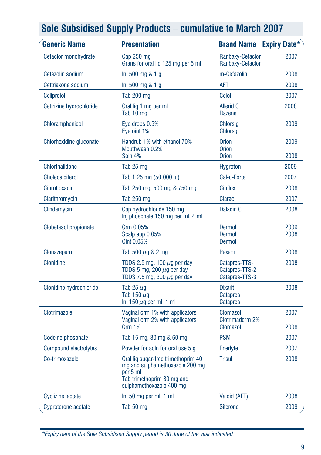| <b>Generic Name</b>      | <b>Presentation</b>                                                                                                                          | <b>Brand Name</b>                                    | <b>Expiry Date*</b> |
|--------------------------|----------------------------------------------------------------------------------------------------------------------------------------------|------------------------------------------------------|---------------------|
| Cefaclor monohydrate     | Cap 250 mg<br>Grans for oral lig 125 mg per 5 ml                                                                                             | Ranbaxy-Cefaclor<br>Ranbaxy-Cefaclor                 | 2007                |
| Cefazolin sodium         | Inj 500 mg & 1 g                                                                                                                             | m-Cefazolin                                          | 2008                |
| Ceftriaxone sodium       | Inj 500 mg & 1 g                                                                                                                             | <b>AFT</b>                                           | 2008                |
| Celiprolol               | Tab 200 mg                                                                                                                                   | Celol                                                | 2007                |
| Cetirizine hydrochloride | Oral lig 1 mg per ml<br>Tab 10 mg                                                                                                            | Allerid C<br>Razene                                  | 2008                |
| Chloramphenicol          | Eye drops 0.5%<br>Eye oint 1%                                                                                                                | <b>Chlorsig</b><br><b>Chlorsig</b>                   | 2009                |
| Chlorhexidine gluconate  | Handrub 1% with ethanol 70%<br>Mouthwash 0.2%<br>Soln 4%                                                                                     | <b>Orion</b><br><b>Orion</b><br><b>Orion</b>         | 2009<br>2008        |
| Chlorthalidone           | Tab 25 mg                                                                                                                                    | <b>Hygroton</b>                                      | 2009                |
| Cholecalciferol          | Tab 1.25 mg (50,000 iu)                                                                                                                      | Cal-d-Forte                                          | 2007                |
| Ciprofloxacin            | Tab 250 mg, 500 mg & 750 mg                                                                                                                  | Cipflox                                              | 2008                |
| Clarithromycin           | Tab 250 mg                                                                                                                                   | Clarac                                               | 2007                |
| Clindamycin              | Cap hydrochloride 150 mg<br>Inj phosphate 150 mg per ml, 4 ml                                                                                | Dalacin <sub>C</sub>                                 | 2008                |
| Clobetasol propionate    | Crm 0.05%<br>Scalp app 0.05%<br>Oint 0.05%                                                                                                   | Dermol<br>Dermol<br><b>Dermol</b>                    | 2009<br>2008        |
| Clonazepam               | Tab 500 $\mu$ g & 2 mg                                                                                                                       | Paxam                                                | 2008                |
| Clonidine                | TDDS 2.5 mg, 100 $\mu$ g per day<br>TDDS 5 mg, 200 $\mu$ g per day<br>TDDS 7.5 mg, 300 $\mu$ g per day                                       | Catapres-TTS-1<br>Catapres-TTS-2<br>Catapres-TTS-3   | 2008                |
| Clonidine hydrochloride  | Tab 25 $\mu$ g<br>Tab 150 $\mu$ q<br>Inj 150 $\mu$ g per ml, 1 ml                                                                            | <b>Dixarit</b><br><b>Catapres</b><br><b>Catapres</b> | 2008                |
| Clotrimazole             | Vaginal crm 1% with applicators<br>Vaginal crm 2% with applicators<br>Crm 1%                                                                 | Clomazol<br>Clotrimaderm 2%<br><b>Clomazol</b>       | 2007<br>2008        |
| Codeine phosphate        | Tab 15 mg, 30 mg & 60 mg                                                                                                                     | <b>PSM</b>                                           | 2007                |
| Compound electrolytes    | Powder for soln for oral use 5 q                                                                                                             | Enerlyte                                             | 2007                |
| Co-trimoxazole           | Oral liq sugar-free trimethoprim 40<br>mg and sulphamethoxazole 200 mg<br>per 5 ml<br>Tab trimethoprim 80 mg and<br>sulphamethoxazole 400 mg | <b>Trisul</b>                                        | 2008                |
| <b>Cyclizine lactate</b> | Inj 50 mg per ml, 1 ml                                                                                                                       | Valoid (AFT)                                         | 2008                |
| Cyproterone acetate      | Tab 50 mg                                                                                                                                    | <b>Siterone</b>                                      | 2009                |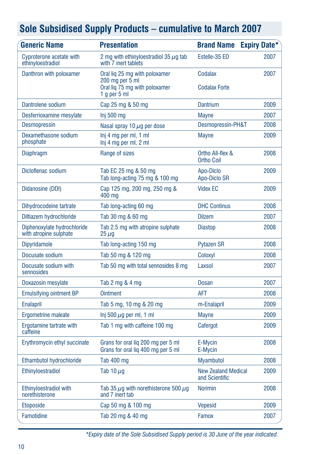| <b>Generic Name</b>                                   | <b>Presentation</b>                                                      | <b>Brand Name</b>                            | <b>Expiry Date*</b> |
|-------------------------------------------------------|--------------------------------------------------------------------------|----------------------------------------------|---------------------|
| Cyproterone acetate with<br>ethinyloestradiol         | 2 mg with ethinyloestradiol 35 $\mu$ g tab<br>with 7 inert tablets       | Estelle-35 ED                                | 2007                |
| Danthron with poloxamer                               | Oral lig 25 mg with poloxamer<br>$200$ ma per $5$ ml                     | Codalax                                      | 2007                |
|                                                       | Oral lig 75 mg with poloxamer<br>1 $q$ per 5 ml                          | <b>Codalax Forte</b>                         |                     |
| Dantrolene sodium                                     | Cap 25 mg & 50 mg                                                        | <b>Dantrium</b>                              | 2009                |
| Desferrioxamine mesylate                              | Inj 500 mg                                                               | <b>Mayne</b>                                 | 2007                |
| <b>Desmopressin</b>                                   | Nasal spray 10 $\mu$ g per dose                                          | Desmopressin-PH&T                            | 2008                |
| Dexamethasone sodium<br>phosphate                     | Inj 4 mg per ml, 1 ml<br>Inj 4 mg per ml, 2 ml                           | <b>Mayne</b>                                 | 2009                |
| <b>Diaphragm</b>                                      | Range of sizes                                                           | Ortho All-flex &<br><b>Ortho Coil</b>        | 2008                |
| Dicloflenac sodium                                    | Tab EC 25 mg & 50 mg<br>Tab long-acting 75 mg & 100 mg                   | Apo-Diclo<br>Apo-Diclo SR                    | 2009                |
| Didanosine (DDI)                                      | Cap 125 mg, 200 mg, 250 mg &<br>400 mg                                   | <b>Videx EC</b>                              | 2009                |
| Dihydrocodeine tartrate                               | Tab long-acting 60 mg                                                    | <b>DHC Continus</b>                          | 2008                |
| Diltiazem hydrochloride                               | Tab 30 mg & 60 mg                                                        | <b>Dilzem</b>                                | 2007                |
| Diphenoxylate hydrochloride<br>with atropine sulphate | Tab 2.5 mg with atropine sulphate<br>$25 \mu g$                          | <b>Diastop</b>                               | 2008                |
| <b>Dipyridamole</b>                                   | Tab long-acting 150 mg                                                   | <b>Pytazen SR</b>                            | 2008                |
| Docusate sodium                                       | Tab 50 mg & 120 mg                                                       | Coloxyl                                      | 2008                |
| Docusate sodium with<br>sennosides                    | Tab 50 mg with total sennosides 8 mg                                     | Laxsol                                       | 2007                |
| Doxazosin mesylate                                    | Tab 2 mg & 4 mg                                                          | <b>Dosan</b>                                 | 2007                |
| <b>Emulsifying ointment BP</b>                        | <b>Ointment</b>                                                          | <b>AFT</b>                                   | 2008                |
| <b>Enalapril</b>                                      | Tab 5 mg, 10 mg & 20 mg                                                  | m-Enalapril                                  | 2009                |
| Ergometrine maleate                                   | Inj 500 $\mu$ g per ml, 1 ml                                             | <b>Mayne</b>                                 | 2009                |
| Ergotamine tartrate with<br>caffeine                  | Tab 1 mg with caffeine 100 mg                                            | Cafergot                                     | 2009                |
| Erythromycin ethyl succinate                          | Grans for oral liq 200 mg per 5 ml<br>Grans for oral lig 400 mg per 5 ml | E-Mycin<br>E-Mycin                           | 2008                |
| Ethambutol hydrochloride                              | Tab 400 mg                                                               | <b>Myambutol</b>                             | 2008                |
| Ethinyloestradiol                                     | Tab 10 $\mu$ g                                                           | <b>New Zealand Medical</b><br>and Scientific | 2009                |
| Ethinyloestradiol with<br>norethisterone              | Tab 35 $\mu$ g with norethisterone 500 $\mu$ g<br>and 7 inert tab        | <b>Norimin</b>                               | 2008                |
| <b>Etoposide</b>                                      | Cap 50 mg & 100 mg                                                       | <b>Vepesid</b>                               | 2009                |
| Famotidine                                            | Tab 20 mg & 40 mg                                                        | Famox                                        | 2007                |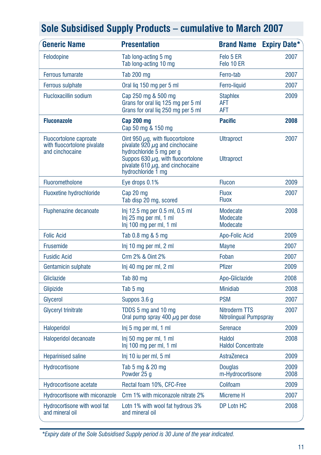| <b>Generic Name</b>                                                      | <b>Presentation</b>                                                                                                                                                                                               | <b>Brand Name</b>                       | <b>Expiry Date*</b> |
|--------------------------------------------------------------------------|-------------------------------------------------------------------------------------------------------------------------------------------------------------------------------------------------------------------|-----------------------------------------|---------------------|
| Felodopine                                                               | Tab long-acting 5 mg<br>Tab long-acting 10 mg                                                                                                                                                                     | Felo 5 ER<br>Felo 10 ER                 | 2007                |
| <b>Ferrous fumarate</b>                                                  | <b>Tab 200 mg</b>                                                                                                                                                                                                 | Ferro-tab                               | 2007                |
| <b>Ferrous sulphate</b>                                                  | Oral lig 150 mg per 5 ml                                                                                                                                                                                          | Ferro-liquid                            | 2007                |
| <b>Flucloxacillin sodium</b>                                             | Cap 250 mg & 500 mg<br>Grans for oral liq 125 mg per 5 ml<br>Grans for oral liq 250 mg per 5 ml                                                                                                                   | <b>Staphlex</b><br><b>AFT</b><br>AFT    | 2009                |
| <b>Fluconazole</b>                                                       | Cap 200 mg<br>Cap 50 mg & 150 mg                                                                                                                                                                                  | <b>Pacific</b>                          | 2008                |
| Fluocortolone caproate<br>with fluocortolone pivalate<br>and cinchocaine | Oint 950 $\mu$ g, with fluocortolone<br>pivalate $920 \mu q$ and cinchocaine<br>hydrochloride 5 mg per g<br>Suppos 630 $\mu$ g, with fluocortolone<br>pivalate 610 $\mu$ g, and cinchocaine<br>hydrochloride 1 mg | <b>Ultraproct</b><br><b>Ultraproct</b>  | 2007                |
| Fluorometholone                                                          | Eye drops 0.1%                                                                                                                                                                                                    | <b>Flucon</b>                           | 2009                |
| <b>Fluoxetine hydrochloride</b>                                          | Cap 20 mg<br>Tab disp 20 mg, scored                                                                                                                                                                               | <b>Fluox</b><br><b>Fluox</b>            | 2007                |
| Fluphenazine decanoate                                                   | Inj 12.5 mg per 0.5 ml, 0.5 ml<br>Inj 25 mg per ml, 1 ml<br>Inj 100 mg per ml, 1 ml                                                                                                                               | Modecate<br>Modecate<br>Modecate        | 2008                |
| <b>Folic Acid</b>                                                        | Tab 0.8 mg & 5 mg                                                                                                                                                                                                 | Apo-Folic Acid                          | 2009                |
| <b>Frusemide</b>                                                         | Inj 10 mg per ml, 2 ml                                                                                                                                                                                            | <b>Mayne</b>                            | 2007                |
| <b>Fusidic Acid</b>                                                      | Crm 2% & Oint 2%                                                                                                                                                                                                  | Foban                                   | 2007                |
| Gentamicin sulphate                                                      | Inj 40 mg per ml, 2 ml                                                                                                                                                                                            | <b>Pfizer</b>                           | 2009                |
| Gliclazide                                                               | Tab 80 mg                                                                                                                                                                                                         | Apo-Gliclazide                          | 2008                |
| Glipizide                                                                | Tab 5 mg                                                                                                                                                                                                          | <b>Minidiab</b>                         | 2008                |
| Glycerol                                                                 | Suppos 3.6 g                                                                                                                                                                                                      | <b>PSM</b>                              | 2007                |
| <b>Glyceryl trinitrate</b>                                               | TDDS 5 mg and 10 mg<br>Oral pump spray 400 $\mu$ g per dose                                                                                                                                                       | Nitroderm TTS<br>Nitrolingual Pumpspray | 2007                |
| Haloperidol                                                              | Inj 5 mg per ml, 1 ml                                                                                                                                                                                             | Serenace                                | 2009                |
| Haloperidol decanoate                                                    | Inj 50 mg per ml, 1 ml<br>Inj 100 mg per ml, 1 ml                                                                                                                                                                 | Haldol<br><b>Haldol Concentrate</b>     | 2008                |
| <b>Heparinised saline</b>                                                | Inj 10 iu per ml, 5 ml                                                                                                                                                                                            | AstraZeneca                             | 2009                |
| Hydrocortisone                                                           | Tab 5 mg & 20 mg<br>Powder 25 g                                                                                                                                                                                   | <b>Douglas</b><br>m-Hydrocortisone      | 2009<br>2008        |
| <b>Hydrocortisone acetate</b>                                            | Rectal foam 10%, CFC-Free                                                                                                                                                                                         | Colifoam                                | 2009                |
| Hydrocortisone with miconazole                                           | Crm 1% with miconazole nitrate 2%                                                                                                                                                                                 | Micreme H                               | 2007                |
| Hydrocortisone with wool fat<br>and mineral oil                          | Lotn 1% with wool fat hydrous 3%<br>and mineral oil                                                                                                                                                               | <b>DP Lotn HC</b>                       | 2008                |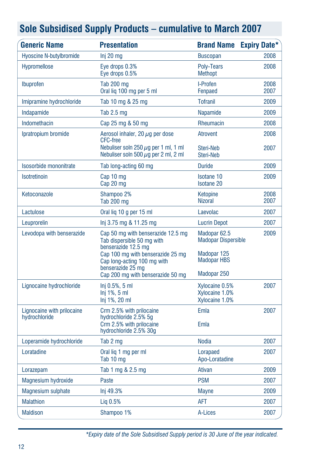| <b>Generic Name</b>                         | <b>Presentation</b>                                                                                                                                                                                                   | <b>Brand Name</b>                                                                              | <b>Expiry Date*</b> |
|---------------------------------------------|-----------------------------------------------------------------------------------------------------------------------------------------------------------------------------------------------------------------------|------------------------------------------------------------------------------------------------|---------------------|
| <b>Hyoscine N-butylbromide</b>              | $Inj 20$ mg                                                                                                                                                                                                           | <b>Buscopan</b>                                                                                | 2008                |
| Hypromellose                                | Eye drops 0.3%<br>Eye drops 0.5%                                                                                                                                                                                      | Poly-Tears<br>Methopt                                                                          | 2008                |
| Ibuprofen                                   | <b>Tab 200 mg</b><br>Oral liq 100 mg per 5 ml                                                                                                                                                                         | I-Profen<br>Fenpaed                                                                            | 2008<br>2007        |
| Imipramine hydrochloride                    | Tab 10 mg & 25 mg                                                                                                                                                                                                     | <b>Tofranil</b>                                                                                | 2009                |
| Indapamide                                  | Tab $2.5$ mg                                                                                                                                                                                                          | Napamide                                                                                       | 2009                |
| Indomethacin                                | Cap 25 mg & 50 mg                                                                                                                                                                                                     | Rheumacin                                                                                      | 2008                |
| Ipratropium bromide                         | Aerosol inhaler, 20 $\mu$ q per dose<br><b>CFC-free</b><br>Nebuliser soln 250 $\mu$ g per 1 ml, 1 ml                                                                                                                  | <b>Atrovent</b><br>Steri-Neb                                                                   | 2008<br>2007        |
|                                             | Nebuliser soln 500 $\mu$ g per 2 ml, 2 ml                                                                                                                                                                             | Steri-Neb                                                                                      |                     |
| Isosorbide mononitrate                      | Tab long-acting 60 mg                                                                                                                                                                                                 | <b>Duride</b>                                                                                  | 2009                |
| Isotretinoin                                | Cap 10 mg<br>Cap 20 mg                                                                                                                                                                                                | <b>Isotane 10</b><br><b>Isotane 20</b>                                                         | 2009                |
| Ketoconazole                                | Shampoo 2%<br>Tab 200 mg                                                                                                                                                                                              | Ketopine<br><b>Nizoral</b>                                                                     | 2008<br>2007        |
| Lactulose                                   | Oral lig 10 g per 15 ml                                                                                                                                                                                               | Laevolac                                                                                       | 2007                |
| Leuprorelin                                 | lnj 3.75 mg & 11.25 mg                                                                                                                                                                                                | <b>Lucrin Depot</b>                                                                            | 2007                |
| Levodopa with benserazide                   | Cap 50 mg with benserazide 12.5 mg<br>Tab dispersible 50 mg with<br>benserazide 12.5 mg<br>Cap 100 mg with benserazide 25 mg<br>Cap long-acting 100 mg with<br>benserazide 25 mg<br>Cap 200 mg with benserazide 50 mg | Madopar 62.5<br><b>Madopar Dispersible</b><br>Madopar 125<br><b>Madopar HBS</b><br>Madopar 250 | 2009                |
| Lignocaine hydrochloride                    | Inj 0.5%, 5 ml<br>$Inj$ 1%, 5 ml<br>Inj 1%, 20 ml                                                                                                                                                                     | Xylocaine 0.5%<br>Xvlocaine 1.0%<br>Xylocaine 1.0%                                             | 2007                |
| Lignocaine with prilocaine<br>hydrochloride | Crm 2.5% with prilocaine<br>hydrochloride 2.5% 5q<br>Crm 2.5% with prilocaine<br>hydrochloride 2.5% 30g                                                                                                               | Emla<br>Emla                                                                                   | 2007                |
| Loperamide hydrochloride                    | Tab 2 mg                                                                                                                                                                                                              | <b>Nodia</b>                                                                                   | 2007                |
| Loratadine                                  | Oral lig 1 mg per ml<br>Tab 10 mg                                                                                                                                                                                     | Lorapaed<br>Apo-Loratadine                                                                     | 2007                |
| Lorazepam                                   | Tab 1 mg & 2.5 mg                                                                                                                                                                                                     | Ativan                                                                                         | 2009                |
| <b>Magnesium hydroxide</b>                  | Paste                                                                                                                                                                                                                 | <b>PSM</b>                                                                                     | 2007                |
| <b>Magnesium sulphate</b>                   | Inj 49.3%                                                                                                                                                                                                             | <b>Mayne</b>                                                                                   | 2009                |
| <b>Malathion</b>                            | Lig 0.5%                                                                                                                                                                                                              | <b>AFT</b>                                                                                     | 2007                |
| <b>Maldison</b>                             | Shampoo 1%                                                                                                                                                                                                            | A-Lices                                                                                        | 2007                |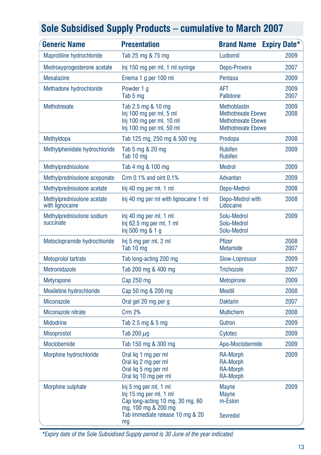| <b>Generic Name</b>                           | <b>Presentation</b>                                                                                                                                  | <b>Brand Name</b>                                                                                   | <b>Expiry Date*</b> |
|-----------------------------------------------|------------------------------------------------------------------------------------------------------------------------------------------------------|-----------------------------------------------------------------------------------------------------|---------------------|
| Maprotiline hydrochloride                     | Tab 25 mg & 75 mg                                                                                                                                    | Ludiomil                                                                                            | 2009                |
| Medroxyprogesterone acetate                   | Inj 150 mg per ml, 1 ml syringe                                                                                                                      | Depo-Provera                                                                                        | 2007                |
| <b>Mesalazine</b>                             | Enema 1 g per 100 ml                                                                                                                                 | Pentasa                                                                                             | 2009                |
| Methadone hydrochloride                       | Powder 1 g<br>Tab 5 mg                                                                                                                               | <b>AFT</b><br><b>Pallidone</b>                                                                      | 2009<br>2007        |
| Methotrexate                                  | Tab 2.5 mg & 10 mg<br>Inj 100 mg per ml, 5 ml<br>Inj 100 mg per ml, 10 ml<br>Inj 100 mg per ml, 50 ml                                                | Methoblastin<br><b>Methotrexate Ebewe</b><br><b>Methotrexate Ebewe</b><br><b>Methotrexate Ebewe</b> | 2009<br>2008        |
| Methyldopa                                    | Tab 125 mg, 250 mg & 500 mg                                                                                                                          | Prodopa                                                                                             | 2008                |
| Methylphenidate hydrochloride                 | Tab 5 mg & 20 mg<br>Tab 10 mg                                                                                                                        | <b>Rubifen</b><br><b>Rubifen</b>                                                                    | 2009                |
| Methylprednisolone                            | Tab 4 mg & 100 mg                                                                                                                                    | <b>Medrol</b>                                                                                       | 2009                |
| Methylprednisolone aceponate                  | Crm 0.1% and oint 0.1%                                                                                                                               | Advantan                                                                                            | 2009                |
| Methylprednisolone acetate                    | Inj 40 mg per ml, 1 ml                                                                                                                               | Depo-Medrol                                                                                         | 2008                |
| Methylprednisolone acetate<br>with lignocaine | Inj 40 mg per ml with lignocaine 1 ml                                                                                                                | Depo-Medrol with<br>Lidocaine                                                                       | 2008                |
| Methylprednisolone sodium<br>succinate        | Inj 40 mg per ml, 1 ml<br>$Inj$ 62.5 mg per ml, 1 ml<br>Inj 500 mg & 1 g                                                                             | Solu-Medrol<br>Solu-Medrol<br>Solu-Medrol                                                           | 2009                |
| Metoclopramide hydrochloride                  | Inj 5 mg per ml, 2 ml<br>Tab 10 mg                                                                                                                   | Pfizer<br><b>Metamide</b>                                                                           | 2008<br>2007        |
| Metoprolol tartrate                           | Tab long-acting 200 mg                                                                                                                               | Slow-Lopressor                                                                                      | 2009                |
| Metronidazole                                 | Tab 200 mg & 400 mg                                                                                                                                  | <b>Trichozole</b>                                                                                   | 2007                |
| <b>Metyrapone</b>                             | Cap 250 mg                                                                                                                                           | <b>Metopirone</b>                                                                                   | 2009                |
| Mexiletine hydrochloride                      | Cap 50 mg & 200 mg                                                                                                                                   | <b>Mexitil</b>                                                                                      | 2008                |
| <b>Miconazole</b>                             | Oral gel 20 mg per g                                                                                                                                 | <b>Daktarin</b>                                                                                     | 2007                |
| Miconazole nitrate                            | <b>Crm 2%</b>                                                                                                                                        | <b>Multichem</b>                                                                                    | 2008                |
| <b>Midodrine</b>                              | Tab 2.5 mg & 5 mg                                                                                                                                    | Gutron                                                                                              | 2009                |
| <b>Misoprostol</b>                            | Tab 200 $\mu$ g                                                                                                                                      | Cytotec                                                                                             | 2009                |
| Moclobemide                                   | Tab 150 mg & 300 mg                                                                                                                                  | Apo-Moclobemide                                                                                     | 2009                |
| Morphine hydrochloride                        | Oral lig 1 mg per ml<br>Oral lig 2 mg per ml<br>Oral lig 5 mg per ml<br>Oral lig 10 mg per ml                                                        | RA-Morph<br><b>RA-Morph</b><br><b>RA-Morph</b><br><b>RA-Morph</b>                                   | 2009                |
| Morphine sulphate                             | Inj 5 mg per ml, 1 ml<br>Inj 15 mg per ml, 1 ml<br>Cap long-acting 10 mg, 30 mg, 60<br>mg, 100 mg & 200 mg<br>Tab immediate release 10 mg & 20<br>mg | <b>Mayne</b><br><b>Mayne</b><br>m-Eslon<br>Sevredol                                                 | 2009                |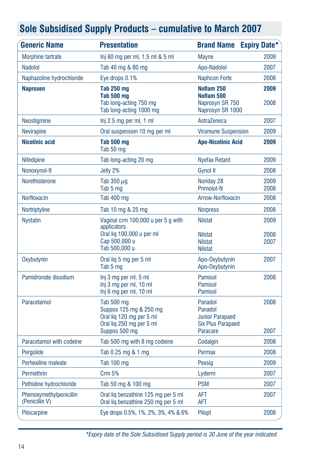| <b>Generic Name</b>                       | <b>Presentation</b>                                                                                              | <b>Brand Name</b>                                                                    | <b>Expiry Date*</b>  |
|-------------------------------------------|------------------------------------------------------------------------------------------------------------------|--------------------------------------------------------------------------------------|----------------------|
| Morphine tartrate                         | Inj 80 mg per ml, 1.5 ml & 5 ml                                                                                  | <b>Mayne</b>                                                                         | 2009                 |
| Nadolol                                   | Tab 40 mg & 80 mg                                                                                                | Apo-Nadolol                                                                          | 2007                 |
| Naphazoline hydrochloride                 | Eye drops 0.1%                                                                                                   | <b>Naphcon Forte</b>                                                                 | 2008                 |
| <b>Naproxen</b>                           | <b>Tab 250 mg</b><br>Tab 500 mg<br>Tab long-acting 750 mg<br>Tab long-acting 1000 mg                             | Noflam 250<br>Noflam 500<br>Naprosyn SR 750<br>Naprosyn SR 1000                      | 2009<br>2008         |
| Neostigmine                               | Inj 2.5 mg per ml, 1 ml                                                                                          | AstraZeneca                                                                          | 2007                 |
| <b>Nevirapine</b>                         | Oral suspension 10 mg per ml                                                                                     | <b>Viramune Suspension</b>                                                           | 2009                 |
| <b>Nicotinic acid</b>                     | <b>Tab 500 mg</b><br>Tab 50 mg                                                                                   | <b>Apo-Nicotinic Acid</b>                                                            | 2009                 |
| Nifedipine                                | Tab long-acting 20 mg                                                                                            | <b>Nyefax Retard</b>                                                                 | 2009                 |
| Nonoxynol-9                               | Jelly 2%                                                                                                         | <b>Gynol II</b>                                                                      | 2008                 |
| Norethisterone                            | Tab 350 $\mu$ q<br>Tab 5 mg                                                                                      | Noriday 28<br><b>Primolut-N</b>                                                      | 2009<br>2008         |
| <b>Norfloxacin</b>                        | Tab 400 mg                                                                                                       | Arrow-Norfloxacin                                                                    | 2008                 |
| Nortriptyline                             | Tab 10 mg & 25 mg                                                                                                | <b>Norpress</b>                                                                      | 2008                 |
| <b>Nystatin</b>                           | Vaginal crm 100,000 u per 5 g with<br>applicators<br>Oral lig 100,000 u per ml<br>Cap 500,000 u<br>Tab 500,000 u | <b>Nilstat</b><br><b>Nilstat</b><br><b>Nilstat</b><br><b>Nilstat</b>                 | 2009<br>2008<br>2007 |
| Oxybutynin                                | Oral lig 5 mg per 5 ml<br>Tab 5 mg                                                                               | Apo-Oxybutynin<br>Apo-Oxybutynin                                                     | 2007                 |
| Pamidronate disodium                      | Inj 3 mg per ml, 5 ml<br>Inj 3 mg per ml, 10 ml<br>Inj 6 mg per ml, 10 ml                                        | Pamisol<br>Pamisol<br><b>Pamisol</b>                                                 | 2008                 |
| Paracetamol                               | Tab 500 mg<br>Suppos 125 mg & 250 mg<br>Oral liq 120 mg per 5 ml<br>Oral lig 250 mg per 5 ml<br>Suppos 500 mg    | Panadol<br>Panadol<br><b>Junior Parapaed</b><br><b>Six Plus Parapaed</b><br>Paracare | 2008<br>2007         |
| Paracetamol with codeine                  | Tab 500 mg with 8 mg codeine                                                                                     | Codalgin                                                                             | 2008                 |
| Pergolide                                 | Tab 0.25 mg & 1 mg                                                                                               | Permax                                                                               | 2008                 |
| Perhexiline maleate                       | Tab 100 mg                                                                                                       | Pexsig                                                                               | 2009                 |
| Permethrin                                | Crm 5%                                                                                                           | Lyderm                                                                               | 2007                 |
| Pethidine hydrochloride                   | Tab 50 mg & 100 mg                                                                                               | <b>PSM</b>                                                                           | 2007                 |
| Phenoxymethylpenicillin<br>(Penicillin V) | Oral lig benzathine 125 mg per 5 ml<br>Oral lig benzathine 250 mg per 5 ml                                       | AFT<br>AFT                                                                           | 2007                 |
| Pilocarpine                               | Eye drops 0.5%, 1%, 2%, 3%, 4% & 6%                                                                              | Pilopt                                                                               | 2008                 |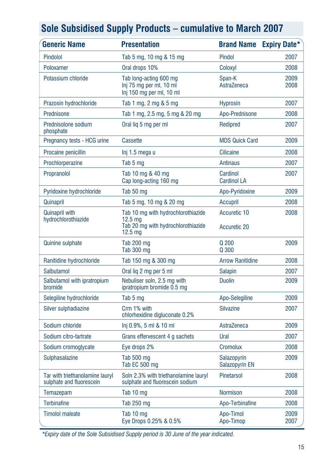| <b>Generic Name</b>                                         | <b>Presentation</b>                                                                                                  | <b>Brand Name</b>                   | <b>Expiry Date*</b> |
|-------------------------------------------------------------|----------------------------------------------------------------------------------------------------------------------|-------------------------------------|---------------------|
| Pindolol                                                    | Tab 5 mg, 10 mg & 15 mg                                                                                              | Pindol                              | 2007                |
| Poloxamer                                                   | Oral drops 10%                                                                                                       | Coloxyl                             | 2008                |
| Potassium chloride                                          | Tab long-acting 600 mg<br>Inj 75 mg per ml, 10 ml<br>Inj 150 mg per ml, 10 ml                                        | Span-K<br>AstraZeneca               | 2009<br>2008        |
| Prazosin hydrochloride                                      | Tab 1 mg, 2 mg & 5 mg                                                                                                | <b>Hyprosin</b>                     | 2007                |
| Prednisone                                                  | Tab 1 mg, 2.5 mg, 5 mg & 20 mg                                                                                       | Apo-Prednisone                      | 2008                |
| Prednisolone sodium<br>phosphate                            | Oral lig 5 mg per ml                                                                                                 | Redipred                            | 2007                |
| Pregnancy tests - HCG urine                                 | <b>Cassette</b>                                                                                                      | <b>MDS Quick Card</b>               | 2009                |
| Procaine penicillin                                         | lnj 1.5 mega u                                                                                                       | <b>Cilicaine</b>                    | 2008                |
| Prochlorperazine                                            | Tab 5 mg                                                                                                             | <b>Antinaus</b>                     | 2007                |
| Propranolol                                                 | Tab 10 mg & 40 mg<br>Cap long-acting 160 mg                                                                          | Cardinol<br><b>Cardinol LA</b>      | 2007                |
| Pyridoxine hydrochloride                                    | Tab 50 mg                                                                                                            | Apo-Pyridoxine                      | 2009                |
| Quinapril                                                   | Tab 5 mg, 10 mg & 20 mg                                                                                              | Accupril                            | 2008                |
| <b>Quinapril with</b><br>hydrochlorothiazide                | Tab 10 mg with hydrochlorothiazide<br>12.5 <sub>ma</sub><br>Tab 20 mg with hydrochlorothiazide<br>12.5 <sub>mg</sub> | Accuretic 10<br><b>Accuretic 20</b> | 2008                |
| <b>Quinine sulphate</b>                                     | <b>Tab 200 mg</b><br>Tab 300 mg                                                                                      | Q 200<br>Q 300                      | 2009                |
| Ranitidine hydrochloride                                    | Tab 150 mg & 300 mg                                                                                                  | <b>Arrow Ranitidine</b>             | 2008                |
| Salbutamol                                                  | Oral lig 2 mg per 5 ml                                                                                               | <b>Salapin</b>                      | 2007                |
| Salbutamol with ipratropium<br>bromide                      | Nebuliser soln, 2.5 mg with<br>ipratropium bromide 0.5 mg                                                            | <b>Duolin</b>                       | 2009                |
| Selegiline hydrochloride                                    | Tab 5 mg                                                                                                             | Apo-Selegiline                      | 2009                |
| Silver sulphadiazine                                        | Crm 1% with<br>chlorhexidine digluconate 0.2%                                                                        | <b>Silvazine</b>                    | 2007                |
| Sodium chloride                                             | Inj 0.9%, 5 ml & 10 ml                                                                                               | AstraZeneca                         | 2009                |
| Sodium citro-tartrate                                       | Grans effervescent 4 g sachets                                                                                       | Ural                                | 2007                |
| Sodium cromoglycate                                         | Eye drops 2%                                                                                                         | <b>Cromolux</b>                     | 2008                |
| Sulphasalazine                                              | Tab 500 mg<br>Tab EC 500 mg                                                                                          | Salazopyrin<br>Salazopyrin EN       | 2009                |
| Tar with triethanolamine lauryl<br>sulphate and fluorescein | Soln 2.3% with triethanolamine lauryl<br>sulphate and fluorescein sodium                                             | Pinetarsol                          | 2008                |
| Temazepam                                                   | Tab 10 mg                                                                                                            | <b>Normison</b>                     | 2008                |
| <b>Terbinafine</b>                                          | Tab 250 mg                                                                                                           | Apo-Terbinafine                     | 2008                |
| <b>Timolol maleate</b>                                      | Tab 10 mg<br>Eye Drops 0.25% & 0.5%                                                                                  | Apo-Timol<br>Apo-Timop              | 2009<br>2007        |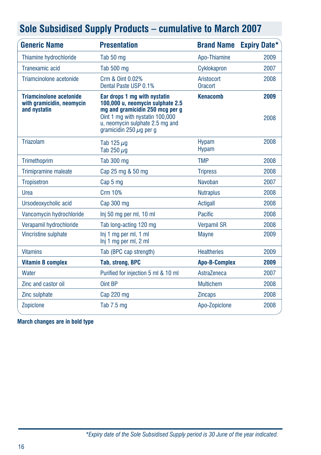| <b>Generic Name</b>                                                         | <b>Presentation</b>                                                                                                                                                                                       | <b>Brand Name</b>            | <b>Expiry Date*</b> |
|-----------------------------------------------------------------------------|-----------------------------------------------------------------------------------------------------------------------------------------------------------------------------------------------------------|------------------------------|---------------------|
| Thiamine hydrochloride                                                      | Tab 50 mg                                                                                                                                                                                                 | Apo-Thiamine                 | 2009                |
| Tranexamic acid                                                             | <b>Tab 500 mg</b>                                                                                                                                                                                         | Cyklokapron                  | 2007                |
| Triamcinolone acetonide                                                     | Crm & Oint 0.02%<br>Dental Paste USP 0.1%                                                                                                                                                                 | Aristocort<br>Oracort        | 2008                |
| <b>Triamcinolone acetonide</b><br>with gramicidin, neomycin<br>and nystatin | Ear drops 1 mg with nystatin<br>100,000 u, neomycin sulphate 2.5<br>mg and gramicidin 250 mcg per g<br>Oint 1 mg with nystatin 100,000<br>u. neomycin sulphate 2.5 mg and<br>gramicidin 250 $\mu$ g per g | <b>Kenacomb</b>              | 2009<br>2008        |
| Triazolam                                                                   | Tab 125 $\mu$ g<br>Tab 250 $\mu$ g                                                                                                                                                                        | <b>Hypam</b><br><b>Hypam</b> | 2008                |
| Trimethoprim                                                                | <b>Tab 300 mg</b>                                                                                                                                                                                         | <b>TMP</b>                   | 2008                |
| Trimipramine maleate                                                        | Cap 25 mg & 50 mg                                                                                                                                                                                         | <b>Tripress</b>              | 2008                |
| <b>Tropisetron</b>                                                          | Cap 5 mg                                                                                                                                                                                                  | Navoban                      | 2007                |
| Urea                                                                        | Crm 10%                                                                                                                                                                                                   | <b>Nutraplus</b>             | 2008                |
| Ursodeoxycholic acid                                                        | Cap 300 mg                                                                                                                                                                                                | Actigall                     | 2008                |
| Vancomycin hydrochloride                                                    | Inj 50 mg per ml, 10 ml                                                                                                                                                                                   | Pacific                      | 2008                |
| Verapamil hydrochloride                                                     | Tab long-acting 120 mg                                                                                                                                                                                    | <b>Verpamil SR</b>           | 2008                |
| Vincristine sulphate                                                        | Inj 1 mg per ml, 1 ml<br>Inj 1 mg per ml, 2 ml                                                                                                                                                            | <b>Mayne</b>                 | 2009                |
| <b>Vitamins</b>                                                             | Tab (BPC cap strength)                                                                                                                                                                                    | <b>Healtheries</b>           | 2009                |
| <b>Vitamin B complex</b>                                                    | <b>Tab, strong, BPC</b>                                                                                                                                                                                   | <b>Apo-B-Complex</b>         | 2009                |
| Water                                                                       | Purified for injection 5 ml & 10 ml                                                                                                                                                                       | AstraZeneca                  | 2007                |
| Zinc and castor oil                                                         | Oint BP                                                                                                                                                                                                   | <b>Multichem</b>             | 2008                |
| Zinc sulphate                                                               | Cap 220 mg                                                                                                                                                                                                | <b>Zincaps</b>               | 2008                |
| Zopiclone                                                                   | Tab 7.5 mg                                                                                                                                                                                                | Apo-Zopiclone                | 2008                |

**March changes are in bold type**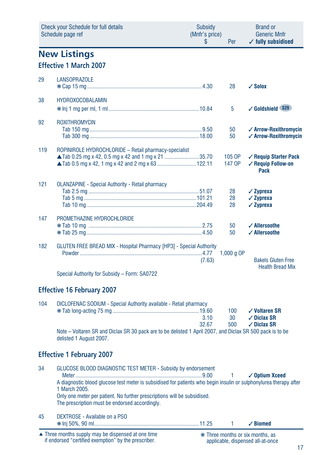|     | Check your Schedule for full details<br>Schedule page ref                                                                            | Subsidy<br>(Mnfr's price)<br>S | Per              | <b>Brand or</b><br><b>Generic Mnfr</b><br>$\checkmark$ fully subsidised   |
|-----|--------------------------------------------------------------------------------------------------------------------------------------|--------------------------------|------------------|---------------------------------------------------------------------------|
|     | <b>New Listings</b>                                                                                                                  |                                |                  |                                                                           |
|     | <b>Effective 1 March 2007</b>                                                                                                        |                                |                  |                                                                           |
| 29  | <b>LANSOPRAZOLE</b>                                                                                                                  |                                | 28               | $\sqrt{\text{Solox}}$                                                     |
| 38  | <b>HYDROXOCOBALAMIN</b>                                                                                                              |                                | 5                | √ Goldshield \$29                                                         |
| 92  | <b>ROXITHROMYCIN</b>                                                                                                                 |                                | 50<br>50         | ✓ Arrow-Roxithromycin<br>✓ Arrow-Roxithromycin                            |
| 119 | ROPINIROLE HYDROCHLORIDE - Retail pharmacy-specialist<br>▲ Tab 0.25 mg x 42, 0.5 mg x 42 and 1 mg x 21 35.70                         |                                | 105 OP<br>147 OP | ✓ Requip Starter Pack<br>✓ Requip Follow-on<br>Pack                       |
| 121 | <b>OLANZAPINE - Special Authority - Retail pharmacy</b>                                                                              |                                | 28<br>28<br>28   | $\sqrt{2}$ vprexa<br>$\checkmark$ Zyprexa<br>$\checkmark$ Zyprexa         |
| 147 | PROMETHAZINE HYDROCHLORIDE                                                                                                           |                                | 50<br>50         | ✓ Allersoothe<br>✓ Allersoothe                                            |
| 182 | GLUTEN FREE BREAD MIX - Hospital Pharmacy [HP3] - Special Authority<br>Special Authority for Subsidy - Form: SA0722                  | (7.63)                         | 1,000 g OP       | <b>Bakels Gluten Free</b><br><b>Health Bread Mix</b>                      |
|     | <b>Effective 16 February 2007</b>                                                                                                    |                                |                  |                                                                           |
| 104 | DICLOFENAC SODIUM - Special Authority available - Retail pharmacy                                                                    | 3.10<br>32.67                  | 100<br>30<br>500 | $\checkmark$ Voltaren SR<br>$\sqrt{}$ Diclax SR<br>$\checkmark$ Diclax SR |
|     | Note – Voltaren SR and Diclax SR 30 pack are to be delisted 1 April 2007, and Diclax SR 500 pack is to be<br>delisted 1 August 2007. |                                |                  |                                                                           |
|     | <b>Effective 1 February 2007</b>                                                                                                     |                                |                  |                                                                           |

| 34 | GLUCOSE BLOOD DIAGNOSTIC TEST METER - Subsidy by endorsement<br>Meter.<br>$\checkmark$ Optium Xceed<br>A diagnostic blood glucose test meter is subsidised for patients who begin insulin or sulphonylurea therapy after<br>1 March 2005.<br>Only one meter per patient. No further prescriptions will be subsidised.<br>The prescription must be endorsed accordingly. |
|----|-------------------------------------------------------------------------------------------------------------------------------------------------------------------------------------------------------------------------------------------------------------------------------------------------------------------------------------------------------------------------|
| 45 | DEXTROSE - Available on a PSO                                                                                                                                                                                                                                                                                                                                           |

45 DEXTROSE - Available on a PSO ❋ Inj 50%, 90 ml.........................................................................11.25 1 ✓ **Biomed**

Three months supply may be dispensed at one time if endorsed "certified exemption" by the prescriber. ▲ ❋ Three months or six months, as

applicable, dispensed all-at-once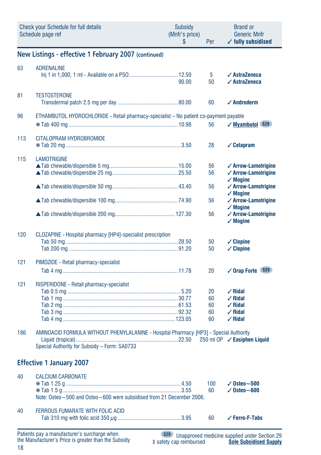|     | Check your Schedule for full details<br>Schedule page ref                                                                             | Subsidy<br>(Mnfr's price)<br>\$ | Per                        | <b>Brand or</b><br><b>Generic Mnfr</b><br>$\checkmark$ fully subsidised                                                               |
|-----|---------------------------------------------------------------------------------------------------------------------------------------|---------------------------------|----------------------------|---------------------------------------------------------------------------------------------------------------------------------------|
|     | New Listings - effective 1 February 2007 (continued)                                                                                  |                                 |                            |                                                                                                                                       |
| 63  | <b>ADRENALINE</b>                                                                                                                     | 90.00                           | 5<br>50                    | $\sqrt{\text{AstraZeneca}}$<br>$\sqrt{\text{AstraZeneca}}$                                                                            |
| 81  | <b>TESTOSTERONE</b>                                                                                                                   |                                 | 60                         | $\checkmark$ Androderm                                                                                                                |
| 96  | ETHAMBUTOL HYDROCHLORIDE - Retail pharmacy-specialist - No patient co-payment payable                                                 |                                 | 56                         | √ Myambutol \$29                                                                                                                      |
| 113 | CITALOPRAM HYDROBROMIDE                                                                                                               |                                 | 28                         | $\checkmark$ Celapram                                                                                                                 |
| 115 | <b>LAMOTRIGINE</b>                                                                                                                    |                                 | 56<br>56<br>56             | $\checkmark$ Arrow-Lamotrigine<br>$\checkmark$ Arrow-Lamotrigine<br>$\checkmark$ Mogine<br>✓ Arrow-Lamotrigine<br>$\checkmark$ Mogine |
|     |                                                                                                                                       |                                 | 56<br>56                   | $\checkmark$ Arrow-Lamotrigine<br>$\checkmark$ Mogine<br>✓ Arrow-Lamotrigine<br>$\checkmark$ Mogine                                   |
| 120 | CLOZAPINE - Hospital pharmacy [HP4]-specialist prescription                                                                           |                                 | 50<br>50                   | $\checkmark$ Clopine<br>$\checkmark$ Clopine                                                                                          |
| 121 | PIMOZIDE - Retail pharmacy-specialist                                                                                                 |                                 | 20                         | <b>S29</b><br>$\checkmark$ Orap Forte                                                                                                 |
| 121 | RISPERIDONE - Retail pharmacy-specialist                                                                                              |                                 | 20<br>60<br>60<br>60<br>60 | $\sqrt{R}$ idal<br>$\checkmark$ Ridal<br>$\checkmark$ Ridal<br>$\checkmark$ Ridal<br>$\checkmark$ Ridal                               |
| 186 | AMINOACID FORMULA WITHOUT PHENYLALANINE - Hospital Pharmacy [HP3] - Special Authority<br>Special Authority for Subsidy - Form: SA0733 |                                 |                            | 250 ml OP / Easiphen Liquid                                                                                                           |
|     | <b>Effective 1 January 2007</b>                                                                                                       |                                 |                            |                                                                                                                                       |
| 40  | <b>CALCIUM CARBONATE</b><br>Note: Osteo~500 and Osteo~600 were subsidised from 21 December 2006.                                      |                                 | 100<br>60                  | $\sqrt{0}$ steo $\sim$ 500<br>$\sqrt{0}$ steo $\sim$ 600                                                                              |
| 40  | FERROUS FUMARATE WITH FOLIC ACID                                                                                                      |                                 | 60                         | ✓ Ferro-F-Tabs                                                                                                                        |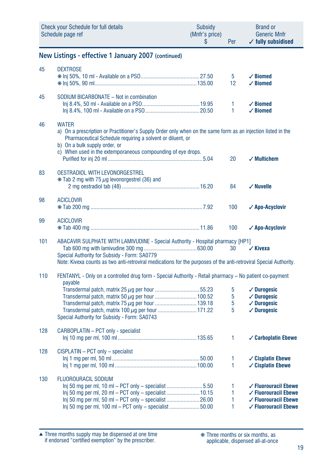|     | <b>Check your Schedule for full details</b><br>Schedule page ref                                                                                                                                                                                                                            | <b>Subsidy</b><br>(Mnfr's price)<br>S | Per               | <b>Brand or</b><br><b>Generic Mnfr</b><br>$\checkmark$ fully subsidised                                                                  |
|-----|---------------------------------------------------------------------------------------------------------------------------------------------------------------------------------------------------------------------------------------------------------------------------------------------|---------------------------------------|-------------------|------------------------------------------------------------------------------------------------------------------------------------------|
|     | New Listings - effective 1 January 2007 (continued)                                                                                                                                                                                                                                         |                                       |                   |                                                                                                                                          |
| 45  | <b>DEXTROSE</b>                                                                                                                                                                                                                                                                             |                                       | 5<br>12           | $\checkmark$ Biomed<br>$\angle$ Biomed                                                                                                   |
| 45  | SODIUM BICARBONATE - Not in combination                                                                                                                                                                                                                                                     |                                       | 1<br>$\mathbf{1}$ | $\checkmark$ Biomed<br>$\angle$ Biomed                                                                                                   |
| 46  | <b>WATER</b><br>a) On a prescription or Practitioner's Supply Order only when on the same form as an injection listed in the<br>Pharmaceutical Schedule requiring a solvent or diluent, or<br>b) On a bulk supply order, or<br>c) When used in the extemporaneous compounding of eye drops. |                                       |                   |                                                                                                                                          |
| 83  | OESTRADIOL WITH LEVONORGESTREL<br>* Tab 2 mg with 75 µg levonorgestrel (36) and                                                                                                                                                                                                             |                                       | 20<br>84          | $\checkmark$ Multichem<br>$\checkmark$ Nuvelle                                                                                           |
| 98  | <b>ACICLOVIR</b>                                                                                                                                                                                                                                                                            |                                       | 100               | √ Apo-Acyclovir                                                                                                                          |
| 99  | <b>ACICLOVIR</b>                                                                                                                                                                                                                                                                            |                                       | 100               | √ Apo-Acyclovir                                                                                                                          |
| 101 | ABACAVIR SULPHATE WITH LAMIVUDINE - Special Authority - Hospital pharmacy [HP1]<br>Special Authority for Subsidy - Form: SA0779<br>Note: Kivexa counts as two anti-retroviral medications for the purposes of the anti-retroviral Special Authority.                                        |                                       | 30                | $\checkmark$ Kivexa                                                                                                                      |
| 110 | FENTANYL - Only on a controlled drug form - Special Authority - Retail pharmacy – No patient co-payment<br>payable<br>Transdermal patch, matrix 50 µg per hour  100.52<br>Special Authority for Subsidy - Form: SA0743                                                                      |                                       | 5<br>5<br>5<br>5  | $\checkmark$ Durogesic<br>$\checkmark$ Durogesic<br>$\checkmark$ Durogesic<br>$\checkmark$ Durogesic                                     |
| 128 | CARBOPLATIN - PCT only - specialist                                                                                                                                                                                                                                                         |                                       | 1                 | ✓ Carboplatin Ebewe                                                                                                                      |
| 128 | CISPLATIN - PCT only - specialist                                                                                                                                                                                                                                                           |                                       | 1<br>1            | $\checkmark$ Cisplatin Ebewe<br>$\checkmark$ Cisplatin Ebewe                                                                             |
| 130 | <b>FLUOROURACIL SODIUM</b><br>lnj 50 mg per ml, 10 ml – PCT only – specialist 5.50<br>lnj 50 mg per ml, 20 ml – PCT only – specialist  10.15<br>Inj 50 mg per ml, 50 ml - PCT only - specialist 26.00<br>Inj 50 mg per ml, 100 ml - PCT only - specialist 50.00                             |                                       | 1<br>1<br>1<br>1  | $\checkmark$ Fluorouracil Ebewe<br>$\checkmark$ Fluorouracil Ebewe<br>$\checkmark$ Fluorouracil Ebewe<br>$\checkmark$ Fluorouracil Ebewe |

Three months supply may be dispensed at one time if endorsed "certified exemption" by the prescriber. ▲ ❋ Three months or six months, as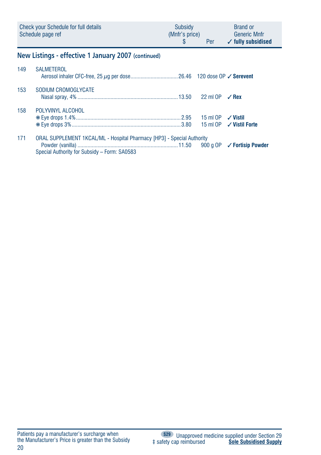| Check your Schedule for full details | <b>Subsidy</b> | <b>Brand or</b>               |
|--------------------------------------|----------------|-------------------------------|
| Schedule page ref                    | (Mnfr's price) | <b>Generic Mnfr</b>           |
|                                      | Per            | $\checkmark$ fully subsidised |

# **New Listings - effective 1 January 2007 (continued)**

| 149 | SAI MFTFROI                                                                                                            |  |  |
|-----|------------------------------------------------------------------------------------------------------------------------|--|--|
| 153 | SODIUM CROMOGLYCATE                                                                                                    |  |  |
| 158 | POLYVINYL ALCOHOL                                                                                                      |  |  |
| 171 | ORAL SUPPLEMENT 1KCAL/ML - Hospital Pharmacy [HP3] - Special Authority<br>Special Authority for Subsidy - Form: SA0583 |  |  |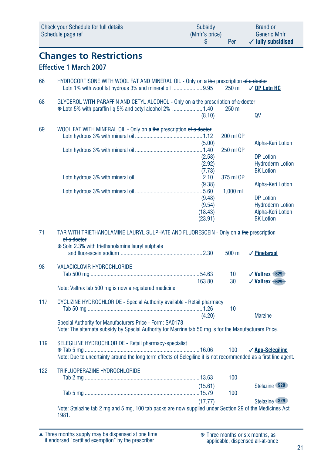|     | <b>Check your Schedule for full details</b><br>Schedule page ref                                                                                                          | Subsidy<br>(Mnfr's price)<br>S         | Per        | <b>Brand or</b><br><b>Generic Mnfr</b><br>$\checkmark$ fully subsidised              |
|-----|---------------------------------------------------------------------------------------------------------------------------------------------------------------------------|----------------------------------------|------------|--------------------------------------------------------------------------------------|
|     | <b>Changes to Restrictions</b><br><b>Effective 1 March 2007</b>                                                                                                           |                                        |            |                                                                                      |
| 66  | HYDROCORTISONE WITH WOOL FAT AND MINERAL OIL - Only on a the prescription of a doctor<br>Lotn 1% with wool fat hydrous 3% and mineral oil 9.95                            |                                        | 250 ml     | <b>√ DP Lotn HC</b>                                                                  |
| 68  | GLYCEROL WITH PARAFFIN AND CETYL ALCOHOL - Only on a the prescription of a doctor<br>* Lotn 5% with paraffin lig 5% and cetyl alcohol 2% 1.40                             | (8.10)                                 | 250 ml     | QV                                                                                   |
| 69  | WOOL FAT WITH MINERAL OIL - Only on a the prescription of a doctor                                                                                                        |                                        | 200 ml OP  |                                                                                      |
|     |                                                                                                                                                                           | (5.00)<br>(2.58)<br>(2.92)<br>(7.73)   | 250 ml OP  | Alpha-Keri Lotion<br><b>DP Lotion</b><br><b>Hydroderm Lotion</b><br><b>BK Lotion</b> |
|     |                                                                                                                                                                           | (9.38)                                 | 375 ml OP  | Alpha-Keri Lotion                                                                    |
|     |                                                                                                                                                                           | (9.48)<br>(9.54)<br>(18.43)<br>(23.91) | $1,000$ ml | <b>DP Lotion</b><br><b>Hydroderm Lotion</b><br>Alpha-Keri Lotion<br><b>BK Lotion</b> |
| 71  | TAR WITH TRIETHANOLAMINE LAURYL SULPHATE AND FLUORESCEIN - Only on a the prescription<br>of a doctor<br>* Soln 2.3% with triethanolamine lauryl sulphate                  |                                        | 500 ml     | $\sqrt{\frac{1}{2}}$ Pinetarsol                                                      |
| 98  | <b>VALACICLOVIR HYDROCHLORIDE</b>                                                                                                                                         | 163.80                                 | 10<br>30   | √Valtrex <del>S29</del><br>$\checkmark$ Valtrex $\rightarrow$ 829                    |
|     | Note: Valtrex tab 500 mg is now a registered medicine.                                                                                                                    |                                        |            |                                                                                      |
| 117 | CYCLIZINE HYDROCHLORIDE - Special Authority available - Retail pharmacy                                                                                                   | (4.20)                                 | 10         | <b>Marzine</b>                                                                       |
|     | Special Authority for Manufacturers Price - Form: SA0178<br>Note: The alternate subsidy by Special Authority for Marzine tab 50 mg is for the Manufacturers Price.        |                                        |            |                                                                                      |
| 119 | SELEGILINE HYDROCHLORIDE - Retail pharmacy-specialist<br>Note: Due to uncertainty around the long term effects of Selegiline it is not recommended as a first line agent. |                                        | 100        | √ Apo-Selegiline                                                                     |
| 122 | TRIFLUOPERAZINE HYDROCHLORIDE                                                                                                                                             |                                        | 100        |                                                                                      |
|     |                                                                                                                                                                           | (15.61)                                | 100        | Stelazine \$29                                                                       |
|     | Note: Stelazine tab 2 mg and 5 mg, 100 tab packs are now supplied under Section 29 of the Medicines Act<br>1981.                                                          | (17.77)                                |            | Stelazine \$29                                                                       |

Three months supply may be dispensed at one time if endorsed "certified exemption" by the prescriber. ▲ ❋ Three months or six months, as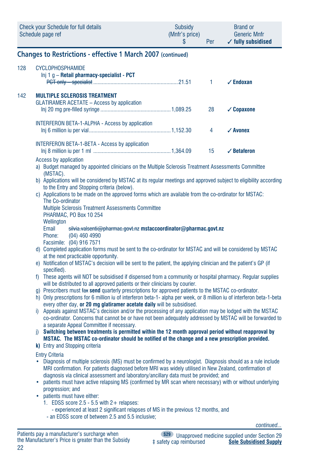|     | <b>Check your Schedule for full details</b><br>Schedule page ref                                                                                                                                                                                                                                                  | Subsidy<br>(Mnfr's price)<br>\$ | Per          | Brand or<br><b>Generic Mnfr</b><br>$\checkmark$ fully subsidised |  |  |
|-----|-------------------------------------------------------------------------------------------------------------------------------------------------------------------------------------------------------------------------------------------------------------------------------------------------------------------|---------------------------------|--------------|------------------------------------------------------------------|--|--|
|     | <b>Changes to Restrictions - effective 1 March 2007 (continued)</b>                                                                                                                                                                                                                                               |                                 |              |                                                                  |  |  |
| 128 | <b>CYCLOPHOSPHAMIDE</b><br>Inj 1 g - Retail pharmacy-specialist - PCT                                                                                                                                                                                                                                             |                                 | $\mathbf{1}$ | $\checkmark$ Endoxan                                             |  |  |
| 142 | <b>MULTIPLE SCLEROSIS TREATMENT</b><br>GLATIRAMER ACETATE - Access by application                                                                                                                                                                                                                                 |                                 | 28           | $\checkmark$ Copaxone                                            |  |  |
|     | INTERFERON BETA-1-ALPHA - Access by application                                                                                                                                                                                                                                                                   |                                 | 4            | $\checkmark$ Avonex                                              |  |  |
|     | INTERFERON BETA-1-BETA - Access by application<br>Access by application                                                                                                                                                                                                                                           |                                 | 15           | $\sqrt{\phantom{a}}$ Betaferon                                   |  |  |
|     | a) Budget managed by appointed clinicians on the Multiple Sclerosis Treatment Assessments Committee<br>(MSTAC).                                                                                                                                                                                                   |                                 |              |                                                                  |  |  |
|     | b) Applications will be considered by MSTAC at its regular meetings and approved subject to eligibility according<br>to the Entry and Stopping criteria (below).                                                                                                                                                  |                                 |              |                                                                  |  |  |
|     | c) Applications to be made on the approved forms which are available from the co-ordinator for MSTAC:<br>The Co-ordinator<br>Multiple Sclerosis Treatment Assessments Committee                                                                                                                                   |                                 |              |                                                                  |  |  |
|     | PHARMAC, PO Box 10 254<br>Wellington<br>Email<br>silvia.valsenti@pharmac.govt.nz mstaccoordinator@pharmac.govt.nz<br>$(04)$ 460 4990<br>Phone:<br>Facsimile: (04) 916 7571                                                                                                                                        |                                 |              |                                                                  |  |  |
|     | d) Completed application forms must be sent to the co-ordinator for MSTAC and will be considered by MSTAC<br>at the next practicable opportunity.                                                                                                                                                                 |                                 |              |                                                                  |  |  |
|     | e) Notification of MSTAC's decision will be sent to the patient, the applying clinician and the patient's GP (if<br>specified).                                                                                                                                                                                   |                                 |              |                                                                  |  |  |
|     | f) These agents will NOT be subsidised if dispensed from a community or hospital pharmacy. Regular supplies<br>will be distributed to all approved patients or their clinicians by courier.                                                                                                                       |                                 |              |                                                                  |  |  |
|     | g) Prescribers must fax send quarterly prescriptions for approved patients to the MSTAC co-ordinator.<br>h) Only prescriptions for 6 million iu of interferon beta-1- alpha per week, or 8 million iu of interferon beta-1-beta<br>every other day, or 20 mg glatiramer acetate daily will be subsidised.         |                                 |              |                                                                  |  |  |
|     | i) Appeals against MSTAC's decision and/or the processing of any application may be lodged with the MSTAC<br>co-ordinator. Concerns that cannot be or have not been adequately addressed by MSTAC will be forwarded to<br>a separate Appeal Committee if necessary.                                               |                                 |              |                                                                  |  |  |
|     | i) Switching between treatments is permitted within the 12 month approval period without reapproval by<br>MSTAC. The MSTAC co-ordinator should be notified of the change and a new prescription provided.                                                                                                         |                                 |              |                                                                  |  |  |
|     | k) Entry and Stopping criteria<br><b>Entry Criteria</b>                                                                                                                                                                                                                                                           |                                 |              |                                                                  |  |  |
|     | • Diagnosis of multiple sclerosis (MS) must be confirmed by a neurologist. Diagnosis should as a rule include<br>MRI confirmation. For patients diagnosed before MRI was widely utilised in New Zealand, confirmation of<br>diagnosis via clinical assessment and laboratory/ancillary data must be provided; and |                                 |              |                                                                  |  |  |
|     | patients must have active relapsing MS (confirmed by MR scan where necessary) with or without underlying<br>٠<br>progression; and<br>patients must have either:<br>٠                                                                                                                                              |                                 |              |                                                                  |  |  |
|     | 1. EDSS score $2.5 - 5.5$ with $2 +$ relapses:<br>- experienced at least 2 significant relapses of MS in the previous 12 months, and<br>- an EDSS score of between 2.5 and 5.5 inclusive;                                                                                                                         |                                 |              |                                                                  |  |  |
|     |                                                                                                                                                                                                                                                                                                                   |                                 |              | continued                                                        |  |  |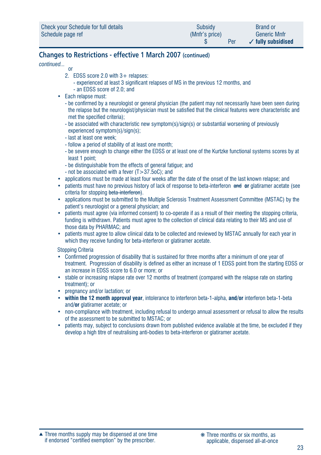| Check your Schedule for full details | Subsidy        | <b>Brand or</b>               |
|--------------------------------------|----------------|-------------------------------|
| Schedule page ref                    | (Mnfr's price) | <b>Generic Mnfr</b>           |
|                                      | Per            | $\checkmark$ fully subsidised |

# **Changes to Restrictions - effective 1 March 2007 (continued)**

*continued...*

- **or or**  2. EDSS score 2.0 with 3+ relapses:
	- experienced at least 3 significant relapses of MS in the previous 12 months, and
	- an EDSS score of 2.0; and
	- Each relapse must:
		- be confirmed by a neurologist or general physician (the patient may not necessarily have been seen during the relapse but the neurologist/physician must be satisfied that the clinical features were characteristic and met the specified criteria);
		- be associated with characteristic new symptom(s)/sign(s) or substantial worsening of previously experienced symptom(s)/sign(s);
		- last at least one week;
		- follow a period of stability of at least one month;
		- be severe enough to change either the EDSS or at least one of the Kurtzke functional systems scores by at least 1 point;
		- be distinguishable from the effects of general fatigue; and
		- not be associated with a fever (T>37.5oC); and
	- applications must be made at least four weeks after the date of the onset of the last known relapse; and
	- patients must have no previous history of lack of response to beta-interferon and **or** glatiramer acetate (see criteria for stopping beta-interferon).
	- applications must be submitted to the Multiple Sclerosis Treatment Assessment Committee (MSTAC) by the patient's neurologist or a general physician; and
	- patients must agree (via informed consent) to co-operate if as a result of their meeting the stopping criteria, funding is withdrawn. Patients must agree to the collection of clinical data relating to their MS and use of those data by PHARMAC; and
	- patients must agree to allow clinical data to be collected and reviewed by MSTAC annually for each year in which they receive funding for beta-interferon or glatiramer acetate.

Stopping Criteria

- Confirmed progression of disability that is sustained for three months after a minimum of one year of treatment. Progression of disability is defined as either an increase of 1 EDSS point from the starting EDSS or an increase in EDSS score to 6.0 or more; or
- stable or increasing relapse rate over 12 months of treatment (compared with the relapse rate on starting treatment); or
- pregnancy and/or lactation; or
- **within the 12 month approval year**, intolerance to interferon beta-1-alpha, **and/or** interferon beta-1-beta and**/or** glatiramer acetate; or
- non-compliance with treatment, including refusal to undergo annual assessment or refusal to allow the results of the assessment to be submitted to MSTAC; or
- patients may, subject to conclusions drawn from published evidence available at the time, be excluded if they develop a high titre of neutralising anti-bodies to beta-interferon or glatiramer acetate.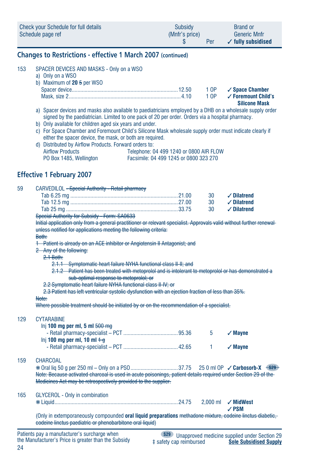| Check your Schedule for full details | Subsidy        | <b>Brand or</b>               |
|--------------------------------------|----------------|-------------------------------|
| Schedule page ref                    | (Mnfr's price) | <b>Generic Mnfr</b>           |
|                                      | Per            | $\checkmark$ fully subsidised |

### **Changes to Restrictions - effective 1 March 2007 (continued)**

a) Only on a WSO

| b) Maximum of $20.5$ per WSO |                                |
|------------------------------|--------------------------------|
|                              |                                |
|                              | 1 OP √ Foremount Child's<br>__ |

**Silicone Mask**

- a) Spacer devices and masks also available to paediatricians employed by a DHB on a wholesale supply order signed by the paediatrician. Limited to one pack of 20 per order. Orders via a hospital pharmacy.
- b) Only available for children aged six years and under.
- c) For Space Chamber and Foremount Child's Silicone Mask wholesale supply order must indicate clearly if either the spacer device, the mask, or both are required.
- d) Distributed by Airflow Products. Forward orders to: Airflow Products<br>
PO Box 1485, Wellington<br>
Facsimile: 04 499 1245 or 0800 323 270 Facsimile: 04 499 1245 or 0800 323 270

# **Effective 1 February 2007**

| 59  | CARVEDILOL - Special Authority - Retail pharmacy                                                                      |                                                               |    |                                                     |  |  |  |
|-----|-----------------------------------------------------------------------------------------------------------------------|---------------------------------------------------------------|----|-----------------------------------------------------|--|--|--|
|     |                                                                                                                       |                                                               | 30 | $\checkmark$ Dilatrend                              |  |  |  |
|     |                                                                                                                       |                                                               | 30 | $\checkmark$ Dilatrend                              |  |  |  |
|     |                                                                                                                       |                                                               | 30 | $\checkmark$ Dilatrend                              |  |  |  |
|     | Special Authority for Subsidy - Form: SA0633                                                                          |                                                               |    |                                                     |  |  |  |
|     | Initial application only from a general practitioner or relevant specialist. Approvals valid without further renewal- |                                                               |    |                                                     |  |  |  |
|     | unless notified for applications meeting the following criteria:                                                      |                                                               |    |                                                     |  |  |  |
|     | Both:                                                                                                                 |                                                               |    |                                                     |  |  |  |
|     | 1 Patient is already on an ACE inhibitor or Angiotensin II Antagonist; and                                            |                                                               |    |                                                     |  |  |  |
|     | 2 Any of the following:                                                                                               |                                                               |    |                                                     |  |  |  |
|     | $2.1$ Both:                                                                                                           |                                                               |    |                                                     |  |  |  |
|     | 2.1.1 Symptomatic heart failure NYHA functional class II-II; and                                                      |                                                               |    |                                                     |  |  |  |
|     | 2.1.2 Patient has been treated with metoprolol and is intolerant to metoprolol or has demonstrated a                  |                                                               |    |                                                     |  |  |  |
|     | sub-optimal response to metoprolol: or                                                                                |                                                               |    |                                                     |  |  |  |
|     |                                                                                                                       | 2.2 Symptomatic heart failure NYHA functional class II-IV; or |    |                                                     |  |  |  |
|     | 2.3 Patient has left ventricular systolic dysfunction with an ejection fraction of less than 35%.                     |                                                               |    |                                                     |  |  |  |
|     | Note:                                                                                                                 |                                                               |    |                                                     |  |  |  |
|     | Where possible treatment should be initiated by or on the recommendation of a specialist.                             |                                                               |    |                                                     |  |  |  |
| 129 | <b>CYTARABINE</b>                                                                                                     |                                                               |    |                                                     |  |  |  |
|     | Inj 100 mg per ml, 5 ml $500$ mg                                                                                      |                                                               |    |                                                     |  |  |  |
|     |                                                                                                                       |                                                               | 5  | $\checkmark$ Mayne                                  |  |  |  |
|     | lnj 100 mg per ml, 10 ml $+$ $+$                                                                                      |                                                               |    |                                                     |  |  |  |
|     |                                                                                                                       |                                                               | 1  | $\checkmark$ Mayne                                  |  |  |  |
|     |                                                                                                                       |                                                               |    |                                                     |  |  |  |
| 159 | <b>CHARCOAL</b>                                                                                                       |                                                               |    |                                                     |  |  |  |
|     |                                                                                                                       |                                                               |    |                                                     |  |  |  |
|     | Note: Because activated charcoal is used in acute poisonings, patient details required under Section 29 of the        |                                                               |    |                                                     |  |  |  |
|     | Medicines Act may be retrospectively provided to the supplier.                                                        |                                                               |    |                                                     |  |  |  |
| 165 | <b>GLYCEROL - Only in combination</b>                                                                                 |                                                               |    |                                                     |  |  |  |
|     |                                                                                                                       |                                                               |    | 2.000 ml / MidWest                                  |  |  |  |
|     |                                                                                                                       |                                                               |    | $\angle$ PSM                                        |  |  |  |
|     | (Only in extemporaneously compounded oral liquid preparations methadone mixture, codeine linetus diabetic,            |                                                               |    |                                                     |  |  |  |
|     | codeine linctus paediatric or phenobarbitone oral liquid)                                                             |                                                               |    |                                                     |  |  |  |
|     | Patients pay a manufacturer's surcharge when                                                                          | <b>S29</b>                                                    |    | <b>Unannroved medicine sunnlied under Section 2</b> |  |  |  |
|     |                                                                                                                       |                                                               |    |                                                     |  |  |  |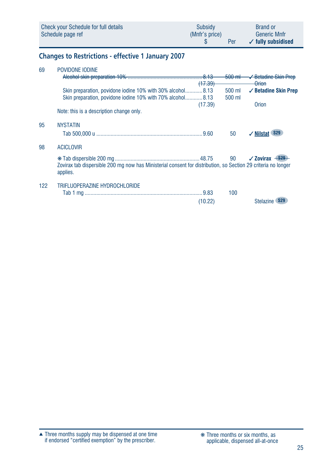| Check your Schedule for full details | Subsidy        | <b>Brand or</b>               |
|--------------------------------------|----------------|-------------------------------|
| Schedule page ref                    | (Mnfr's price) | <b>Generic Mnfr</b>           |
|                                      | Per            | $\checkmark$ fully subsidised |

# **Changes to Restrictions - effective 1 January 2007**

| 69  | POVIDONE IODINE                                                                                                           |           |           |                                      |
|-----|---------------------------------------------------------------------------------------------------------------------------|-----------|-----------|--------------------------------------|
|     |                                                                                                                           |           | $-500$ mH | <del>√ Betadine Skin Prep</del>      |
|     |                                                                                                                           | $(+7.39)$ |           | <del>Orion</del>                     |
|     | Skin preparation, povidone iodine 10% with 30% alcohol8.13                                                                |           | 500 ml    | $\checkmark$ Betadine Skin Prep      |
|     | Skin preparation, povidone iodine 10% with 70% alcohol8.13                                                                |           | 500 ml    |                                      |
|     |                                                                                                                           | (17.39)   |           | Orion                                |
|     | Note: this is a description change only.                                                                                  |           |           |                                      |
| 95  | <b>NYSTATIN</b>                                                                                                           |           |           |                                      |
|     |                                                                                                                           |           | 50        | <b>S29</b><br>$\sqrt{}$ Nilstat      |
|     |                                                                                                                           |           |           |                                      |
| 98  | <b>ACICLOVIR</b>                                                                                                          |           |           |                                      |
|     |                                                                                                                           |           |           | $\sqrt{2}$ ovirax $-$ <del>829</del> |
|     | Zovirax tab dispersible 200 mg now has Ministerial consent for distribution, so Section 29 criteria no longer<br>applies. |           |           |                                      |
| 122 | TRIFLUOPERAZINE HYDROCHLORIDE                                                                                             |           |           |                                      |
|     |                                                                                                                           |           | 100       |                                      |
|     |                                                                                                                           | (10.22)   |           | <b>Stelazine</b>                     |
|     |                                                                                                                           |           |           |                                      |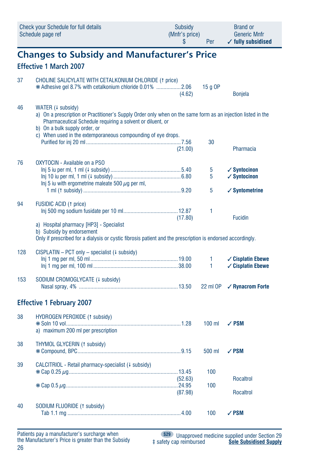|     | <b>Check your Schedule for full details</b><br>Schedule page ref                                                                                                                                                                                                                                 | <b>Subsidy</b><br>(Mnfr's price)<br>\$ | Per        | <b>Brand or</b><br><b>Generic Mnfr</b><br>$\checkmark$ fully subsidised |  |  |  |  |
|-----|--------------------------------------------------------------------------------------------------------------------------------------------------------------------------------------------------------------------------------------------------------------------------------------------------|----------------------------------------|------------|-------------------------------------------------------------------------|--|--|--|--|
|     | <b>Changes to Subsidy and Manufacturer's Price</b><br><b>Effective 1 March 2007</b>                                                                                                                                                                                                              |                                        |            |                                                                         |  |  |  |  |
| 37  | CHOLINE SALICYLATE WITH CETALKONIUM CHLORIDE (1 price)<br>* Adhesive gel 8.7% with cetalkonium chloride 0.01%  2.06                                                                                                                                                                              | (4.62)                                 | 15 a OP    | <b>Bonjela</b>                                                          |  |  |  |  |
| 46  | WATER (+ subsidy)<br>a) On a prescription or Practitioner's Supply Order only when on the same form as an injection listed in the<br>Pharmaceutical Schedule requiring a solvent or diluent, or<br>b) On a bulk supply order, or<br>c) When used in the extemporaneous compounding of eye drops. |                                        |            |                                                                         |  |  |  |  |
|     |                                                                                                                                                                                                                                                                                                  | (21.00)                                | 30         | Pharmacia                                                               |  |  |  |  |
| 76  | OXYTOCIN - Available on a PSO<br>Inj 5 iu with ergometrine maleate 500 $\mu$ g per ml,                                                                                                                                                                                                           |                                        | 5<br>5     | $\checkmark$ Syntocinon<br>$\checkmark$ Syntocinon                      |  |  |  |  |
| 94  | <b>FUSIDIC ACID (1 price)</b>                                                                                                                                                                                                                                                                    |                                        | 5          | $\checkmark$ Syntometrine                                               |  |  |  |  |
|     | a) Hospital pharmacy [HP3] - Specialist<br>b) Subsidy by endorsement                                                                                                                                                                                                                             | (17.80)                                | 1          | <b>Fucidin</b>                                                          |  |  |  |  |
|     | Only if prescribed for a dialysis or cystic fibrosis patient and the prescription is endorsed accordingly.                                                                                                                                                                                       |                                        |            |                                                                         |  |  |  |  |
| 128 | $CISPLATIN - PCT only - specialist (4 subsidy)$                                                                                                                                                                                                                                                  |                                        | 1<br>1     | ✓ Cisplatin Ebewe<br><b>∕ Cisplatin Ebewe</b>                           |  |  |  |  |
| 153 | SODIUM CROMOGLYCATE (+ subsidy)                                                                                                                                                                                                                                                                  |                                        | 22 ml OP   | ✓ Rynacrom Forte                                                        |  |  |  |  |
|     | <b>Effective 1 February 2007</b>                                                                                                                                                                                                                                                                 |                                        |            |                                                                         |  |  |  |  |
| 38  | HYDROGEN PEROXIDE (1 subsidy)<br>a) maximum 200 ml per prescription                                                                                                                                                                                                                              |                                        | $100$ ml   | $\sqrt{PSM}$                                                            |  |  |  |  |
| 38  | THYMOL GLYCERIN (1 subsidy)                                                                                                                                                                                                                                                                      |                                        | 500 ml     | $\sqrt{PSM}$                                                            |  |  |  |  |
| 39  | CALCITRIOL - Retail pharmacy-specialist (# subsidy)                                                                                                                                                                                                                                              | (52.63)                                | 100<br>100 | Rocaltrol                                                               |  |  |  |  |
|     |                                                                                                                                                                                                                                                                                                  | (87.98)                                |            | Rocaltrol                                                               |  |  |  |  |
| 40  | SODIUM FLUORIDE (1 subsidy)                                                                                                                                                                                                                                                                      |                                        | 100        | $\sqrt{PSM}$                                                            |  |  |  |  |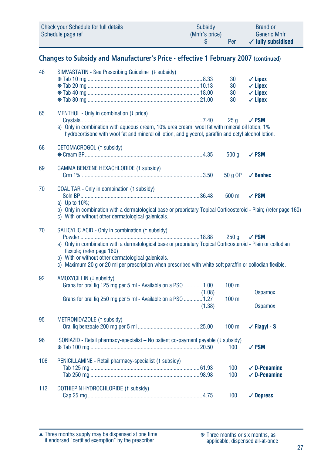| Check your Schedule for full details | <b>Subsidy</b> | <b>Brand or</b>               |
|--------------------------------------|----------------|-------------------------------|
| Schedule page ref                    | (Mnfr's price) | <b>Generic Mnfr</b>           |
|                                      | Per            | $\checkmark$ fully subsidised |

# **Changes to Subsidy and Manufacturer's Price - effective 1 February 2007 (continued)**

| 48  | SIMVASTATIN - See Prescribing Guideline (+ subsidy)                                                                                                                                                                                                                                                                                                                |                  | 30<br>30<br>30<br>30 | $\checkmark$ Lipex<br>$\checkmark$ Lipex<br>$\checkmark$ Lipex<br>$\checkmark$ Lipex |
|-----|--------------------------------------------------------------------------------------------------------------------------------------------------------------------------------------------------------------------------------------------------------------------------------------------------------------------------------------------------------------------|------------------|----------------------|--------------------------------------------------------------------------------------|
| 65  | MENTHOL - Only in combination (4 price)<br>a) Only in combination with aqueous cream, 10% urea cream, wool fat with mineral oil lotion, 1%<br>hydrocortisone with wool fat and mineral oil lotion, and glycerol, paraffin and cetyl alcohol lotion.                                                                                                                |                  | 25 <sub>a</sub>      | $\sqrt{PSM}$                                                                         |
| 68  | CETOMACROGOL (1 subsidy)                                                                                                                                                                                                                                                                                                                                           |                  | 500 <sub>a</sub>     | $\sqrt{PSM}$                                                                         |
| 69  | GAMMA BENZENE HEXACHLORIDE (1 subsidy)                                                                                                                                                                                                                                                                                                                             |                  | 50 g OP              | $\angle$ Benhex                                                                      |
| 70  | COAL TAR - Only in combination (1 subsidy)<br>a) Up to $10\%$ ;<br>b) Only in combination with a dermatological base or proprietary Topical Corticosteroid - Plain; (refer page 160)<br>c) With or without other dermatological galenicals.                                                                                                                        |                  | 500 ml               | $\sqrt{PSM}$                                                                         |
| 70  | SALICYLIC ACID - Only in combination († subsidy)<br>a) Only in combination with a dermatological base or proprietary Topical Corticosteroid - Plain or collodian<br>flexible; (refer page 160)<br>b) With or without other dermatological galenicals.<br>c) Maximum 20 q or 20 ml per prescription when prescribed with white soft paraffin or collodian flexible. |                  | 250 <sub>a</sub>     | $\sqrt{PSM}$                                                                         |
| 92  | AMOXYCILLIN (4 subsidy)<br>Grans for oral lig 125 mg per 5 ml - Available on a PSO  1.00<br>Grans for oral liq 250 mg per 5 ml - Available on a PSO  1.27                                                                                                                                                                                                          | (1.08)<br>(1.38) | $100$ ml<br>$100$ ml | <b>Ospamox</b><br><b>Ospamox</b>                                                     |
| 95  | METRONIDAZOLE (1 subsidy)                                                                                                                                                                                                                                                                                                                                          |                  | $100$ ml             | $\checkmark$ Flagyl - S                                                              |
| 96  | ISONIAZID - Retail pharmacy-specialist - No patient co-payment payable (4 subsidy)                                                                                                                                                                                                                                                                                 |                  | 100                  | $\sqrt{\mathrm{\,PSM}}$                                                              |
| 106 | PENICILLAMINE - Retail pharmacy-specialist (1 subsidy)                                                                                                                                                                                                                                                                                                             |                  | 100<br>100           | $\sqrt{D}$ -Penamine<br>$\sqrt{D}$ -Penamine                                         |
| 112 | DOTHIEPIN HYDROCHLORIDE (1 subsidy)                                                                                                                                                                                                                                                                                                                                |                  | 100                  | $\sqrt{\phantom{a}}$ Dopress                                                         |

Three months supply may be dispensed at one time if endorsed "certified exemption" by the prescriber. ▲ ❋ Three months or six months, as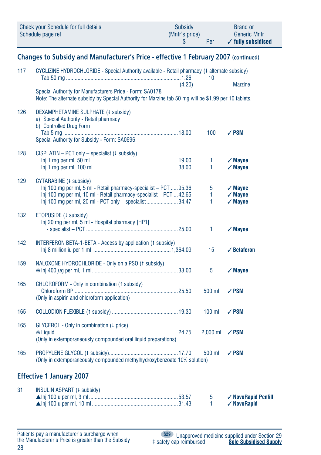|     | Check your Schedule for full details<br>Schedule page ref                                                                                                                                                                  | <b>Subsidy</b><br>(Mnfr's price)<br>\$ | Per         | <b>Brand or</b><br><b>Generic Mnfr</b><br>$\checkmark$ fully subsidised |  |  |  |  |  |
|-----|----------------------------------------------------------------------------------------------------------------------------------------------------------------------------------------------------------------------------|----------------------------------------|-------------|-------------------------------------------------------------------------|--|--|--|--|--|
|     | Changes to Subsidy and Manufacturer's Price - effective 1 February 2007 (continued)                                                                                                                                        |                                        |             |                                                                         |  |  |  |  |  |
| 117 | CYCLIZINE HYDROCHLORIDE - Special Authority available - Retail pharmacy (4 alternate subsidy)                                                                                                                              |                                        | 10          |                                                                         |  |  |  |  |  |
|     | Special Authority for Manufacturers Price - Form: SA0178<br>Note: The alternate subsidy by Special Authority for Marzine tab 50 mg will be \$1.99 per 10 tablets.                                                          | (4.20)                                 |             | <b>Marzine</b>                                                          |  |  |  |  |  |
| 126 | DEXAMPHETAMINE SULPHATE (4 subsidy)<br>a) Special Authority - Retail pharmacy<br>b) Controlled Drug Form<br>Special Authority for Subsidy - Form: SA0696                                                                   |                                        | 100         | $\sqrt{PSM}$                                                            |  |  |  |  |  |
| 128 | CISPLATIN - PCT only - specialist (+ subsidy)                                                                                                                                                                              |                                        | 1<br>1      | $\sqrt{M}$ ayne<br>$\sqrt{M}$ ayne                                      |  |  |  |  |  |
| 129 | CYTARABINE (+ subsidy)<br>Inj 100 mg per ml, 5 ml - Retail pharmacy-specialist - PCT  95.36<br>Inj 100 mg per ml, 10 ml - Retail pharmacy-specialist - PCT  42.65<br>Inj 100 mg per ml, 20 ml - PCT only - specialist34.47 |                                        | 5<br>1<br>1 | $\sqrt{M}$ ayne<br>$\sqrt{M}$ ayne<br>$\checkmark$ Mayne                |  |  |  |  |  |
| 132 | ETOPOSIDE (+ subsidy)<br>Inj 20 mg per ml, 5 ml - Hospital pharmacy [HP1]                                                                                                                                                  |                                        | 1           | $\sqrt{2}$ Mayne                                                        |  |  |  |  |  |
| 142 | INTERFERON BETA-1-BETA - Access by application (1 subsidy)                                                                                                                                                                 |                                        | 15          | $\checkmark$ Betaferon                                                  |  |  |  |  |  |
| 159 | NALOXONE HYDROCHLORIDE - Only on a PSO (1 subsidy)                                                                                                                                                                         |                                        | 5           | $\checkmark$ Mayne                                                      |  |  |  |  |  |
| 165 | CHLOROFORM - Only in combination (1 subsidy)<br>(Only in aspirin and chloroform application)                                                                                                                               |                                        | 500 ml      | ✓ PSM                                                                   |  |  |  |  |  |
| 165 |                                                                                                                                                                                                                            |                                        | $100$ ml    | $\sqrt{PSM}$                                                            |  |  |  |  |  |
| 165 | GLYCEROL - Only in combination (4 price)<br>(Only in extemporaneously compounded oral liquid preparations)                                                                                                                 |                                        | $2,000$ ml  | $\sqrt{PSM}$                                                            |  |  |  |  |  |
| 165 | (Only in extemporaneously compounded methylhydroxybenzoate 10% solution)                                                                                                                                                   |                                        | 500 ml      | $\sqrt{PSM}$                                                            |  |  |  |  |  |
|     | <b>Effective 1 January 2007</b>                                                                                                                                                                                            |                                        |             |                                                                         |  |  |  |  |  |
| 31  | INSULIN ASPART (+ subsidy)                                                                                                                                                                                                 |                                        | 5<br>1      | ✓ NovoRapid Penfill<br>√ NovoRapid                                      |  |  |  |  |  |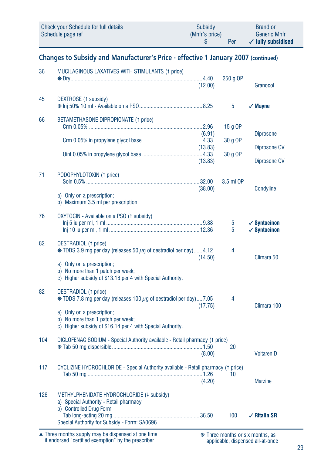| Check your Schedule for full details | Subsidy        | <b>Brand or</b>               |
|--------------------------------------|----------------|-------------------------------|
| Schedule page ref                    | (Mnfr's price) | <b>Generic Mnfr</b>           |
|                                      | Per            | $\checkmark$ fully subsidised |

# Changes to Subsidy and Manufacturer's Price - effective 1 January 2007 (continued)

| 36  | MUCILAGINOUS LAXATIVES WITH STIMULANTS (1 price)                                                                                                                                                                                        | (12.00)                      | 250 g OP                       | Granocol                                           |
|-----|-----------------------------------------------------------------------------------------------------------------------------------------------------------------------------------------------------------------------------------------|------------------------------|--------------------------------|----------------------------------------------------|
| 45  | DEXTROSE (1 subsidy)                                                                                                                                                                                                                    |                              | 5                              | $\sqrt{M}$ ayne                                    |
| 66  | BETAMETHASONE DIPROPIONATE (1 price)                                                                                                                                                                                                    | (6.91)<br>(13.83)<br>(13.83) | $15q$ OP<br>30 g OP<br>30 g OP | <b>Diprosone</b><br>Diprosone OV<br>Diprosone OV   |
| 71  | PODOPHYLOTOXIN (1 price)<br>a) Only on a prescription;<br>b) Maximum 3.5 ml per prescription.                                                                                                                                           | (38.00)                      | 3.5 ml OP                      | Condyline                                          |
| 76  | OXYTOCIN - Available on a PSO (1 subsidy)                                                                                                                                                                                               |                              | 5<br>5                         | $\checkmark$ Syntocinon<br>$\checkmark$ Syntocinon |
| 82  | <b>OESTRADIOL</b> († price)<br>$*$ TDDS 3.9 mg per day (releases 50 $\mu$ g of oestradiol per day)4.12<br>a) Only on a prescription;<br>b) No more than 1 patch per week;<br>c) Higher subsidy of \$13.18 per 4 with Special Authority. | (14.50)                      | 4                              | Climara 50                                         |
| 82  | OESTRADIOL (1 price)<br>$*$ TDDS 7.8 mg per day (releases 100 $\mu$ g of oestradiol per day)7.05<br>a) Only on a prescription;<br>b) No more than 1 patch per week;<br>c) Higher subsidy of \$16.14 per 4 with Special Authority.       | (17.75)                      | 4                              | Climara 100                                        |
| 104 | DICLOFENAC SODIUM - Special Authority available - Retail pharmacy († price)                                                                                                                                                             | (8.00)                       | 20                             | <b>Voltaren D</b>                                  |
| 117 | CYCLIZINE HYDROCHLORIDE - Special Authority available - Retail pharmacy († price)                                                                                                                                                       | (4.20)                       | 10                             | <b>Marzine</b>                                     |
| 126 | METHYLPHENIDATE HYDROCHLORIDE (4 subsidy)<br>a) Special Authority - Retail pharmacy<br>b) Controlled Drug Form<br>Special Authority for Subsidy - Form: SA0696                                                                          |                              | 100                            | $\sqrt{R}$ Ritalin SR                              |

Three months supply may be dispensed at one time<br>if endorsed "certified exemption" by the prescriber.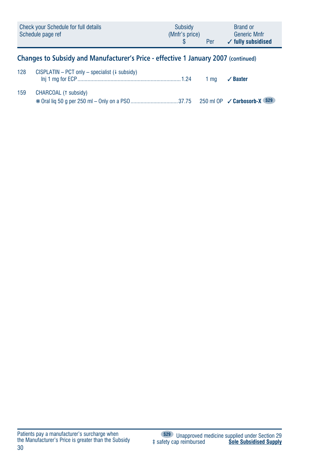| Check your Schedule for full details<br>Schedule page ref |                                                                                                                                                                                                                                                                                                                                                                                                 | Subsidy<br>(Mnfr's price) | Per | <b>Brand or</b><br><b>Generic Mnfr</b><br>$\checkmark$ fully subsidised            |
|-----------------------------------------------------------|-------------------------------------------------------------------------------------------------------------------------------------------------------------------------------------------------------------------------------------------------------------------------------------------------------------------------------------------------------------------------------------------------|---------------------------|-----|------------------------------------------------------------------------------------|
|                                                           | Changes to Subsidy and Manufacturer's Price - effective 1 January 2007 (continued)                                                                                                                                                                                                                                                                                                              |                           |     |                                                                                    |
| 128                                                       | CISPLATIN – PCT only – specialist ( $\downarrow$ subsidy)<br>$\mathbf{r}$ $\mathbf{r}$ $\mathbf{r}$ $\mathbf{r}$ $\mathbf{r}$ $\mathbf{r}$ $\mathbf{r}$ $\mathbf{r}$ $\mathbf{r}$ $\mathbf{r}$ $\mathbf{r}$ $\mathbf{r}$ $\mathbf{r}$ $\mathbf{r}$ $\mathbf{r}$ $\mathbf{r}$ $\mathbf{r}$ $\mathbf{r}$ $\mathbf{r}$ $\mathbf{r}$ $\mathbf{r}$ $\mathbf{r}$ $\mathbf{r}$ $\mathbf{r}$ $\mathbf{$ |                           |     | $\overline{a}$ , $\overline{a}$ , $\overline{a}$ , $\overline{a}$ , $\overline{a}$ |

| 159 | CHARCOAL (1 subsidy) |  |
|-----|----------------------|--|
|     |                      |  |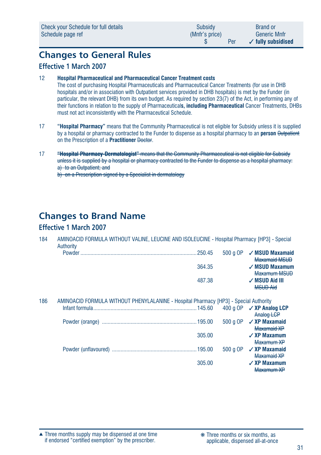# **Changes to General Rules**

## **Effective 1 March 2007**

#### 12 **Hospital Pharmaceutical and Pharmaceutical Cancer Treatment costs**

The cost of purchasing Hospital Pharmaceuticals and Pharmaceutical Cancer Treatments (for use in DHB hospitals and/or in association with Outpatient services provided in DHB hospitals) is met by the Funder (in particular, the relevant DHB) from its own budget. As required by section 23(7) of the Act, in performing any of their functions in relation to the supply of Pharmaceutical**s, including Pharmaceutical** Cancer Treatments, DHBs must not act inconsistently with the Pharmaceutical Schedule.

- 17 **"Hospital Pharmacy"** means that the Community Pharmaceutical is not eligible for Subsidy unless it is supplied by a hospital or pharmacy contracted to the Funder to dispense as a hospital pharmacy to an **person** Outpatient on the Prescription of a **Practitioner** Doctor.
- 17 **"Hospital Pharmacy-Dermatologist"** means that the Community Pharmaceutical is not eligible for Subsidy unless it is supplied by a hospital or pharmacy contracted to the Funder to dispense as a hospital pharmacy: a) to an Outpatient; and

b) on a Prescription signed by a Specialist in dermatology

# **Changes to Brand Name**

## **Effective 1 March 2007**

| 184 | AMINOACID FORMULA WITHOUT VALINE, LEUCINE AND ISOLEUCINE - Hospital Pharmacy [HP3] - Special |  |  |                                  |  |
|-----|----------------------------------------------------------------------------------------------|--|--|----------------------------------|--|
|     | Authority                                                                                    |  |  |                                  |  |
|     | <b>Dowder</b>                                                                                |  |  | <b>500 n OD / MSIID Mavamaid</b> |  |

| Powder | $500 \text{ a OP}$ / MSUD Maxamaid |
|--------|------------------------------------|
|        | <b>Maxamaid MSUD</b>               |
| 364.35 | $\sqrt{M}$ SUD Maxamum             |
|        | Maxamum MSUD                       |
| 487.38 | $\sqrt{M}$ SUD Aid III             |
|        | <b>MSUD Aid</b>                    |

| 186 | AMINOACID FORMULA WITHOUT PHENYLALANINE - Hospital Pharmacy [HP3] - Special Authority |        |          |                                                |
|-----|---------------------------------------------------------------------------------------|--------|----------|------------------------------------------------|
|     |                                                                                       |        |          | 400 a OP <b>√ XP Analog LCP</b>                |
|     |                                                                                       |        |          | Analog LCP                                     |
|     |                                                                                       |        | 500 a OP | $\checkmark$ XP Maxamaid<br>Maxamaid XP        |
|     |                                                                                       | 305.00 |          | $\checkmark$ XP Maxamum<br>Maxamum XP          |
|     |                                                                                       |        | 500 a OP | $\checkmark$ XP Maxamaid<br><b>Maxamaid XP</b> |
|     |                                                                                       | 305.00 |          | $\angle$ XP Maxamum<br>Maxamum XP              |

Three months supply may be dispensed at one time ▲ ❋ Three months or six months, as if endorsed "certified exemption" by the prescriber.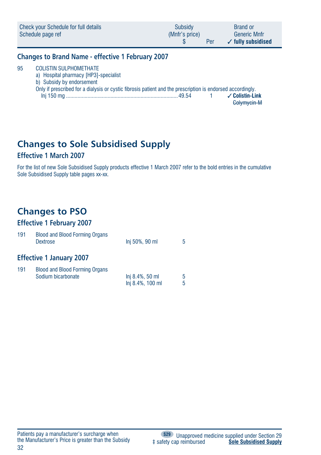|    | Check your Schedule for full details<br>Schedule page ref | Subsidy<br>(Mnfr's price) | Per | <b>Brand or</b><br><b>Generic Mnfr</b><br>$\checkmark$ fully subsidised |
|----|-----------------------------------------------------------|---------------------------|-----|-------------------------------------------------------------------------|
|    | <b>Changes to Brand Name - effective 1 February 2007</b>  |                           |     |                                                                         |
| 95 | <b>COLISTIN SULPHOMETHATE</b>                             |                           |     |                                                                         |

a) Hospital pharmacy [HP3]-specialist

b) Subsidy by endorsement<br>Only if prescribed for a dialy

| Only if prescribed for a dialysis or cystic fibrosis patient and the prescription is endorsed accordingly. |  |                 |
|------------------------------------------------------------------------------------------------------------|--|-----------------|
|                                                                                                            |  | √ Colistin-Link |
|                                                                                                            |  | Golvmycin-M     |

# **Changes to Sole Subsidised Supply**

## **Effective 1 March 2007**

For the list of new Sole Subsidised Supply products effective 1 March 2007 refer to the bold entries in the cumulative Sole Subsidised Supply table pages xx-xx.

# **Changes to PSO**

# **Effective 1 February 2007**

| 191 | <b>Blood and Blood Forming Organs</b><br><b>Dextrose</b>    | Inj 50%, 90 ml                      | 5      |
|-----|-------------------------------------------------------------|-------------------------------------|--------|
|     | <b>Effective 1 January 2007</b>                             |                                     |        |
| 191 | <b>Blood and Blood Forming Organs</b><br>Sodium bicarbonate | Inj 8.4%, 50 ml<br>Inj 8.4%, 100 ml | 5<br>5 |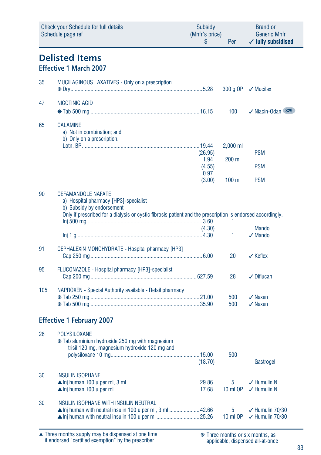|     | <b>Check your Schedule for full details</b><br>Schedule page ref                                                                                                                                              | <b>Subsidy</b><br>(Mnfr's price)<br>S       | Per                            | <b>Brand or</b><br><b>Generic Mnfr</b><br>$\checkmark$ fully subsidised |
|-----|---------------------------------------------------------------------------------------------------------------------------------------------------------------------------------------------------------------|---------------------------------------------|--------------------------------|-------------------------------------------------------------------------|
|     | <b>Delisted Items</b><br><b>Effective 1 March 2007</b>                                                                                                                                                        |                                             |                                |                                                                         |
| 35  | <b>MUCILAGINOUS LAXATIVES - Only on a prescription</b>                                                                                                                                                        |                                             | 300 g OP                       | $\checkmark$ Mucilax                                                    |
| 47  | NICOTINIC ACID                                                                                                                                                                                                |                                             | 100                            | √ Niacin-Odan \$29                                                      |
| 65  | CALAMINE<br>a) Not in combination; and<br>b) Only on a prescription.                                                                                                                                          | (26.95)<br>1.94<br>(4.55)<br>0.97<br>(3.00) | 2,000 ml<br>200 ml<br>$100$ ml | <b>PSM</b><br><b>PSM</b><br><b>PSM</b>                                  |
| 90  | <b>CEFAMANDOLE NAFATE</b><br>a) Hospital pharmacy [HP3]-specialist<br>b) Subsidy by endorsement<br>Only if prescribed for a dialysis or cystic fibrosis patient and the prescription is endorsed accordingly. | (4.30)                                      | 1<br>1                         | <b>Mandol</b><br>$\sqrt{}$ Mandol                                       |
| 91  | CEPHALEXIN MONOHYDRATE - Hospital pharmacy [HP3]                                                                                                                                                              |                                             | 20                             | $\checkmark$ Keflex                                                     |
| 95  | FLUCONAZOLE - Hospital pharmacy [HP3]-specialist                                                                                                                                                              |                                             | 28                             | $\checkmark$ Diflucan                                                   |
| 105 | NAPROXEN - Special Authority available - Retail pharmacy                                                                                                                                                      |                                             | 500<br>500                     | $\sqrt{N}$ Naxen<br>$\sqrt{N}$ Naxen                                    |
|     | <b>Effective 1 February 2007</b>                                                                                                                                                                              |                                             |                                |                                                                         |
| 26  | <b>POLYSILOXANE</b><br>* Tab aluminium hydroxide 250 mg with magnesium<br>trisil 120 mg, magnesium hydroxide 120 mg and                                                                                       | (18.70)                                     | 500                            | Gastrogel                                                               |
| 30  | <b>INSULIN ISOPHANE</b>                                                                                                                                                                                       |                                             | 5<br>10 ml OP                  | $\checkmark$ Humulin N<br>$\checkmark$ Humulin N                        |
| 30  | INSULIN ISOPHANE WITH INSULIN NEUTRAL<br>▲ Inj human with neutral insulin 100 u per ml, 3 ml  42.66                                                                                                           |                                             | 5<br>10 ml OP                  | $\checkmark$ Humulin 70/30<br>$\checkmark$ Humulin 70/30                |

Three months supply may be dispensed at one time if endorsed "certified exemption" by the prescriber. ▲ ❋ Three months or six months, as

applicable, dispensed all-at-once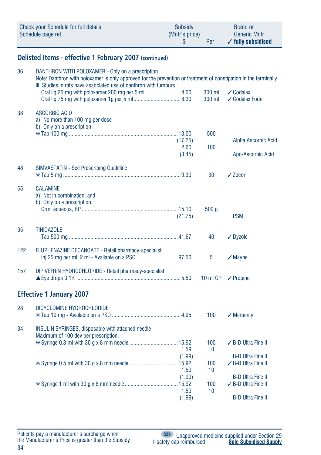| Check your Schedule for full details | Subsidy        | <b>Brand or</b>               |
|--------------------------------------|----------------|-------------------------------|
| Schedule page ref                    | (Mnfr's price) | <b>Generic Mnfr</b>           |
|                                      | Per            | $\checkmark$ fully subsidised |

# **Delisted Items - effective 1 February 2007 (continued)**

| 36  | DANTHRON WITH POLOXAMER - Only on a prescription<br>Note: Danthron with poloxamer is only approved for the prevention or treatment of constipation in the terminally<br>ill. Studies in rats have associated use of danthron with tumours. |                 |                  |                                                 |  |
|-----|--------------------------------------------------------------------------------------------------------------------------------------------------------------------------------------------------------------------------------------------|-----------------|------------------|-------------------------------------------------|--|
|     | Oral lig 25 mg with poloxamer 200 mg per 5 ml4.00                                                                                                                                                                                          |                 | 300 ml<br>300 ml | $\checkmark$ Codalax<br>✔ Codalax Forte         |  |
| 38  | <b>ASCORBIC ACID</b><br>a) No more than 100 mg per dose<br>b) Only on a prescription                                                                                                                                                       |                 |                  |                                                 |  |
|     |                                                                                                                                                                                                                                            | (17.25)<br>2.60 | 500<br>100       | Alpha Ascorbic Acid                             |  |
|     |                                                                                                                                                                                                                                            | (3.45)          |                  | Apo-Ascorbic Acid                               |  |
| 48  | <b>SIMVASTATIN - See Prescribing Guideline</b>                                                                                                                                                                                             |                 | 30               | $\sqrt{20}$ cor                                 |  |
| 65  | <b>CALAMINE</b><br>a) Not in combination; and<br>b) Only on a prescription.                                                                                                                                                                | (21.75)         | 500q             | <b>PSM</b>                                      |  |
| 95  | <b>TINIDAZOLE</b>                                                                                                                                                                                                                          |                 | 40               | $\sqrt{}$ Dyzole                                |  |
| 122 | <b>FLUPHENAZINE DECANOATE - Retail pharmacy-specialist</b>                                                                                                                                                                                 |                 | 5                | $\checkmark$ Mayne                              |  |
| 157 | DIPIVEFRIN HYDROCHLORIDE - Retail pharmacy-specialist                                                                                                                                                                                      |                 | 10 ml OP         | $\checkmark$ Propine                            |  |
|     | <b>Effective 1 January 2007</b>                                                                                                                                                                                                            |                 |                  |                                                 |  |
| 28  | DICYCLOMINE HYDROCHLORIDE                                                                                                                                                                                                                  |                 | 100              | $\sqrt{}$ Merbentyl                             |  |
| 34  | INSULIN SYRINGES, disposable with attached needle<br>Maximum of 100 dev per prescription.                                                                                                                                                  |                 |                  |                                                 |  |
|     |                                                                                                                                                                                                                                            | 1.59            | 100<br>10        | ✓ B-D Ultra Fine II                             |  |
|     |                                                                                                                                                                                                                                            | (1.99)<br>1.59  | 100<br>10        | <b>B-D Ultra Fine II</b><br>✓ B-D Ultra Fine II |  |
|     |                                                                                                                                                                                                                                            | (1.99)<br>1.59  | 100<br>10        | <b>B-D Ultra Fine II</b><br>✓ B-D Ultra Fine II |  |
|     |                                                                                                                                                                                                                                            | (1.99)          |                  | <b>B-D Ultra Fine II</b>                        |  |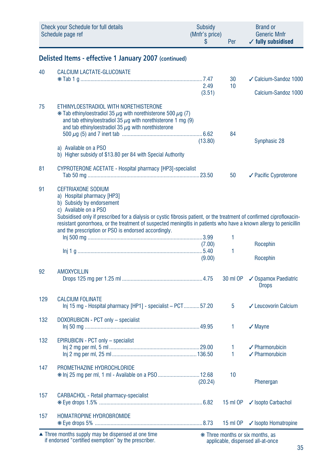|     | Check your Schedule for full details<br>Schedule page ref                                                                                                                                                                                                                                                                                                                                                           | <b>Subsidy</b><br>(Mnfr's price)<br>\$ | Per      | <b>Brand or</b><br><b>Generic Mnfr</b><br>$\checkmark$ fully subsidised |
|-----|---------------------------------------------------------------------------------------------------------------------------------------------------------------------------------------------------------------------------------------------------------------------------------------------------------------------------------------------------------------------------------------------------------------------|----------------------------------------|----------|-------------------------------------------------------------------------|
|     | Delisted Items - effective 1 January 2007 (continued)                                                                                                                                                                                                                                                                                                                                                               |                                        |          |                                                                         |
| 40  | <b>CALCIUM LACTATE-GLUCONATE</b>                                                                                                                                                                                                                                                                                                                                                                                    |                                        |          |                                                                         |
|     |                                                                                                                                                                                                                                                                                                                                                                                                                     | 2.49                                   | 30<br>10 | ✓ Calcium-Sandoz 1000                                                   |
|     |                                                                                                                                                                                                                                                                                                                                                                                                                     | (3.51)                                 |          | Calcium-Sandoz 1000                                                     |
| 75  | ETHINYLOESTRADIOL WITH NORETHISTERONE<br>$*$ Tab ethinyloestradiol 35 $\mu$ q with norethisterone 500 $\mu$ q (7)<br>and tab ethinyloestradiol 35 $\mu$ g with norethisterone 1 mg (9)<br>and tab ethinyloestradiol 35 $\mu$ g with norethisterone                                                                                                                                                                  | (13.80)                                | 84       | Synphasic 28                                                            |
|     | a) Available on a PSO<br>b) Higher subsidy of \$13.80 per 84 with Special Authority                                                                                                                                                                                                                                                                                                                                 |                                        |          |                                                                         |
| 81  | CYPROTERONE ACETATE - Hospital pharmacy [HP3]-specialist                                                                                                                                                                                                                                                                                                                                                            |                                        | 50       | ✔ Pacific Cyproterone                                                   |
| 91  | <b>CEFTRIAXONE SODIUM</b><br>a) Hospital pharmacy [HP3]<br>b) Subsidy by endorsement<br>c) Available on a PSO<br>Subsidised only if prescribed for a dialysis or cystic fibrosis patient, or the treatment of confirmed ciprofloxacin-<br>resistant gonorrhoea, or the treatment of suspected meningitis in patients who have a known allergy to penicillin<br>and the prescription or PSO is endorsed accordingly. | (7.00)<br>(9.00)                       | 1<br>1   | Rocephin<br>Rocephin                                                    |
| 92  | <b>AMOXYCILLIN</b>                                                                                                                                                                                                                                                                                                                                                                                                  |                                        | 30 ml OP | ✔ Ospamox Paediatric<br><b>Drops</b>                                    |
| 129 | <b>CALCIUM FOLINATE</b><br>Inj 15 mg - Hospital pharmacy [HP1] - specialist - PCT57.20                                                                                                                                                                                                                                                                                                                              |                                        | 5        | ✓ Leucovorin Calcium                                                    |
| 132 | DOXORUBICIN - PCT only - specialist                                                                                                                                                                                                                                                                                                                                                                                 |                                        | 1        | $\sqrt{}$ Mayne                                                         |
| 132 | EPIRUBICIN - PCT only - specialist                                                                                                                                                                                                                                                                                                                                                                                  |                                        | 1<br>1   | $\sqrt{\ }$ Pharmorubicin<br>$\angle$ Pharmorubicin                     |
| 147 | PROMETHAZINE HYDROCHLORIDE<br>* Inj 25 mg per ml, 1 ml - Available on a PSO  12.68                                                                                                                                                                                                                                                                                                                                  | (20.24)                                | 10       | Phenergan                                                               |
| 157 | CARBACHOL - Retail pharmacy-specialist                                                                                                                                                                                                                                                                                                                                                                              |                                        | 15 ml OP | ✔ Isopto Carbachol                                                      |
| 157 | HOMATROPINE HYDROBROMIDE                                                                                                                                                                                                                                                                                                                                                                                            |                                        | 15 ml OP | ✔ Isopto Homatropine                                                    |

Three months supply may be dispensed at one time if endorsed "certified exemption" by the prescriber. ▲ ❋ Three months or six months, as

applicable, dispensed all-at-once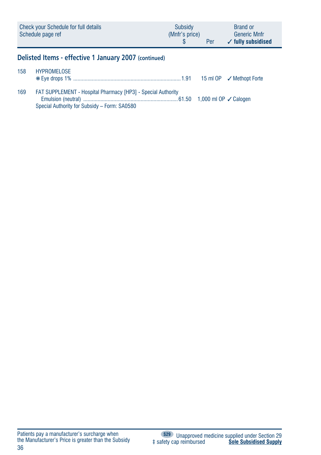| Check your Schedule for full details<br>Schedule page ref | Subsidy<br>(Mnfr's price)<br>Per | <b>Brand or</b><br><b>Generic Mnfr</b><br>$\checkmark$ fully subsidised |
|-----------------------------------------------------------|----------------------------------|-------------------------------------------------------------------------|
|                                                           |                                  |                                                                         |

# **Delisted Items - effective 1 January 2007 (continued)**

| 158 | HYPROMELOSE                                                                                                         |  |
|-----|---------------------------------------------------------------------------------------------------------------------|--|
| 169 | <b>FAT SUPPLEMENT - Hospital Pharmacy [HP3] - Special Authority</b><br>Special Authority for Subsidy - Form: SA0580 |  |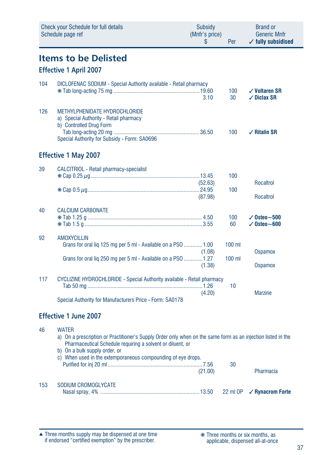|     | <b>Check your Schedule for full details</b><br>Schedule page ref                                                                                                                          | Subsidy<br>(Mnfr's price)<br>\$ | Per                  | <b>Brand or</b><br><b>Generic Mnfr</b><br>$\checkmark$ fully subsidised |
|-----|-------------------------------------------------------------------------------------------------------------------------------------------------------------------------------------------|---------------------------------|----------------------|-------------------------------------------------------------------------|
|     | <b>Items to be Delisted</b><br><b>Effective 1 April 2007</b>                                                                                                                              |                                 |                      |                                                                         |
|     |                                                                                                                                                                                           |                                 |                      |                                                                         |
| 104 | DICLOFENAC SODIUM - Special Authority available - Retail pharmacy                                                                                                                         | 3.10                            | 100<br>30            | $\checkmark$ Voltaren SR<br>$\sqrt{}$ Diclax SR                         |
| 126 | METHYLPHENIDATE HYDROCHLORIDE<br>a) Special Authority - Retail pharmacy<br>b) Controlled Drug Form<br>Special Authority for Subsidy - Form: SA0696                                        |                                 | 100                  | $\sqrt{ }$ Ritalin SR                                                   |
|     | <b>Effective 1 May 2007</b>                                                                                                                                                               |                                 |                      |                                                                         |
| 39  | <b>CALCITRIOL - Retail pharmacy-specialist</b>                                                                                                                                            | (52.63)<br>(87.98)              | 100<br>100           | <b>Rocaltrol</b><br><b>Rocaltrol</b>                                    |
| 40  | <b>CALCIUM CARBONATE</b>                                                                                                                                                                  |                                 | 100<br>60            | $\sqrt{0}$ steo $\sim$ 500<br>$\checkmark$ Osteo $\sim$ 600             |
| 92  | <b>AMOXYCILLIN</b><br>Grans for oral lig 125 mg per 5 ml - Available on a PSO  1.00<br>Grans for oral liq 250 mg per 5 ml - Available on a PSO  1.27                                      | (1.08)                          | $100$ ml<br>$100$ ml | Ospamox                                                                 |
| 117 | CYCLIZINE HYDROCHLORIDE - Special Authority available - Retail pharmacy<br>Special Authority for Manufacturers Price - Form: SA0178                                                       | (1.38)<br>(4.20)                | 10                   | <b>Ospamox</b><br><b>Marzine</b>                                        |
|     | <b>Effective 1 June 2007</b>                                                                                                                                                              |                                 |                      |                                                                         |
| 46  | <b>WATER</b><br>a) On a prescription or Practitioner's Supply Order only when on the same form as an injection listed in the<br>Dharmacoutical Cabadule requiring a solvent or dilugation |                                 |                      |                                                                         |

|     | Pharmaceutical Schedule requiring a solvent or diluent, or<br>b) On a bulk supply order, or |         |    |           |
|-----|---------------------------------------------------------------------------------------------|---------|----|-----------|
|     | c) When used in the extemporaneous compounding of eye drops.                                |         |    |           |
|     |                                                                                             |         | 30 |           |
|     |                                                                                             | (21.00) |    | Pharmacia |
| 153 | SODIUM CROMOGLYCATE                                                                         |         |    |           |
|     |                                                                                             |         |    |           |

Three months supply may be dispensed at one time if endorsed "certified exemption" by the prescriber. ▲ ❋ Three months or six months, as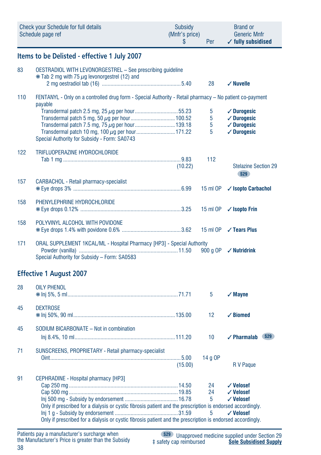|     | Check your Schedule for full details<br>Schedule page ref                                                          | <b>Subsidy</b><br>(Mnfr's price)<br>\$ | Per      | <b>Brand or</b><br><b>Generic Mnfr</b><br>$\checkmark$ fully subsidised |
|-----|--------------------------------------------------------------------------------------------------------------------|----------------------------------------|----------|-------------------------------------------------------------------------|
|     | Items to be Delisted - effective 1 July 2007                                                                       |                                        |          |                                                                         |
| 83  | OESTRADIOL WITH LEVONORGESTREL - See prescribing guideline<br>$*$ Tab 2 mg with 75 $\mu$ g levonorgestrel (12) and |                                        |          |                                                                         |
|     |                                                                                                                    |                                        | 28       | $\checkmark$ Nuvelle                                                    |
| 110 | FENTANYL - Only on a controlled drug form - Special Authority - Retail pharmacy - No patient co-payment<br>payable |                                        |          |                                                                         |
|     |                                                                                                                    |                                        | 5        | $\checkmark$ Durogesic                                                  |
|     |                                                                                                                    |                                        | 5        | $\sqrt{}$ Durogesic                                                     |
|     |                                                                                                                    |                                        | 5        | $\sqrt{}$ Durogesic                                                     |
|     | Transdermal patch 10 mg, 100 µg per hour 171.22<br>Special Authority for Subsidy - Form: SA0743                    |                                        | 5        | $\sqrt{}$ Durogesic                                                     |
| 122 | TRIFLUOPERAZINE HYDROCHLORIDE                                                                                      |                                        |          |                                                                         |
|     |                                                                                                                    |                                        | 112      |                                                                         |
|     |                                                                                                                    | (10.22)                                |          | <b>Stelazine Section 29</b><br><b>S29</b>                               |
| 157 | CARBACHOL - Retail pharmacy-specialist                                                                             |                                        | 15 ml OP | ✓ Isopto Carbachol                                                      |
|     |                                                                                                                    |                                        |          |                                                                         |
| 158 | PHENYLEPHRINE HYDROCHLORIDE                                                                                        |                                        | 15 ml OP | $\checkmark$ Isopto Frin                                                |
| 158 | POLYVINYL ALCOHOL WITH POVIDONE                                                                                    |                                        |          | 15 ml OP <b>√ Tears Plus</b>                                            |
| 171 | ORAL SUPPLEMENT 1KCAL/ML - Hospital Pharmacy [HP3] - Special Authority                                             |                                        |          |                                                                         |
|     | Special Authority for Subsidy - Form: SA0583                                                                       |                                        | 900 g OP | $\sqrt{}$ Nutridrink                                                    |
|     | <b>Effective 1 August 2007</b>                                                                                     |                                        |          |                                                                         |
| 28  | <b>OILY PHENOL</b>                                                                                                 |                                        |          |                                                                         |
|     |                                                                                                                    |                                        | 5        | $\sqrt{M}$ ayne                                                         |
| 45  | <b>DEXTROSE</b>                                                                                                    |                                        | 12       | $\checkmark$ Biomed                                                     |
|     |                                                                                                                    |                                        |          |                                                                         |
| 45  | SODIUM BICARBONATE - Not in combination                                                                            |                                        | 10       | <b>S29</b><br>$\checkmark$ Pharmalab                                    |
| 71  | SUNSCREENS, PROPRIETARY - Retail pharmacy-specialist                                                               |                                        |          |                                                                         |
|     |                                                                                                                    |                                        | 14 g OP  |                                                                         |
|     |                                                                                                                    | (15.00)                                |          | R V Paque                                                               |
| 91  | CEPHRADINE - Hospital pharmacy [HP3]                                                                               |                                        |          |                                                                         |
|     |                                                                                                                    |                                        | 24<br>24 | √ Velosef<br>√ Velosef                                                  |
|     |                                                                                                                    |                                        | 5        | √ Velosef                                                               |
|     | Only if prescribed for a dialysis or cystic fibrosis patient and the prescription is endorsed accordingly.         |                                        |          |                                                                         |
|     |                                                                                                                    |                                        | 5        | $\checkmark$ Velosef                                                    |
|     | Only if prescribed for a dialysis or cystic fibrosis patient and the prescription is endorsed accordingly.         |                                        |          |                                                                         |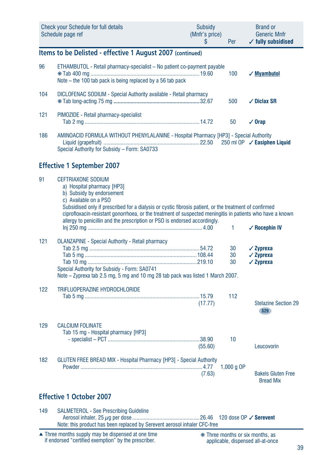|     | <b>Check your Schedule for full details</b><br>Schedule page ref                                                                                                                                                                                                                                                                                                                                                   | <b>Subsidy</b><br>(Mnfr's price)<br>S | Per            | <b>Brand or</b><br><b>Generic Mnfr</b><br>$\checkmark$ fully subsidised |
|-----|--------------------------------------------------------------------------------------------------------------------------------------------------------------------------------------------------------------------------------------------------------------------------------------------------------------------------------------------------------------------------------------------------------------------|---------------------------------------|----------------|-------------------------------------------------------------------------|
|     | Items to be Delisted - effective 1 August 2007 (continued)                                                                                                                                                                                                                                                                                                                                                         |                                       |                |                                                                         |
| 96  | ETHAMBUTOL - Retail pharmacy-specialist - No patient co-payment payable<br>Note – the 100 tab pack is being replaced by a 56 tab pack                                                                                                                                                                                                                                                                              |                                       | 100            | √ Myambutol                                                             |
| 104 | DICLOFENAC SODIUM - Special Authority available - Retail pharmacy                                                                                                                                                                                                                                                                                                                                                  |                                       | 500            | $\sqrt{}$ Diclax SR                                                     |
| 121 | PIMOZIDE - Retail pharmacy-specialist                                                                                                                                                                                                                                                                                                                                                                              |                                       | 50             | $\sqrt{0}$ rap                                                          |
| 186 | AMINOACID FORMULA WITHOUT PHENYLALANINE - Hospital Pharmacy [HP3] - Special Authority<br>Special Authority for Subsidy - Form: SA0733                                                                                                                                                                                                                                                                              |                                       |                | 250 ml OP / Easiphen Liquid                                             |
|     | <b>Effective 1 September 2007</b>                                                                                                                                                                                                                                                                                                                                                                                  |                                       |                |                                                                         |
| 91  | <b>CEFTRIAXONE SODIUM</b><br>a) Hospital pharmacy [HP3]<br>b) Subsidy by endorsement<br>c) Available on a PSO<br>Subsidised only if prescribed for a dialysis or cystic fibrosis patient, or the treatment of confirmed<br>ciprofloxacin-resistant gonorrhoea, or the treatment of suspected meningitis in patients who have a known<br>allergy to penicillin and the prescription or PSO is endorsed accordingly. |                                       | 1              | $\sqrt{R}$ Ocephin IV                                                   |
| 121 | <b>OLANZAPINE - Special Authority - Retail pharmacy</b><br>Special Authority for Subsidy - Form: SA0741<br>Note – Zyprexa tab 2.5 mg, 5 mg and 10 mg 28 tab pack was listed 1 March 2007.                                                                                                                                                                                                                          |                                       | 30<br>30<br>30 | $\sqrt{2}$ yprexa<br>$\sqrt{2}$ vprexa<br>$\sqrt{2}$ vprexa             |
| 122 | TRIFLUOPERAZINE HYDROCHLORIDE                                                                                                                                                                                                                                                                                                                                                                                      | (17.77)                               | 112            | <b>Stelazine Section 29</b><br>S29                                      |
| 129 | <b>CALCIUM FOLINATE</b><br>Tab 15 mg - Hospital pharmacy [HP3]                                                                                                                                                                                                                                                                                                                                                     | (55.60)                               | 10             | Leucovorin                                                              |
| 182 | <b>GLUTEN FREE BREAD MIX - Hospital Pharmacy [HP3] - Special Authority</b>                                                                                                                                                                                                                                                                                                                                         | (7.63)                                | 1,000 $q$ OP   | <b>Bakels Gluten Free</b><br><b>Bread Mix</b>                           |
|     | <b>Effective 1 October 2007</b>                                                                                                                                                                                                                                                                                                                                                                                    |                                       |                |                                                                         |

149 SALMETEROL - See Prescribing Guideline Aerosol inhaler, 25 µg per dose ...............................................26.46 120 dose OP ✓ **Serevent** Note: this product has been replaced by Serevent aerosol inhaler CFC-free

Three months supply may be dispensed at one time if endorsed "certified exemption" by the prescriber. ▲ ❋ Three months or six months, as

applicable, dispensed all-at-once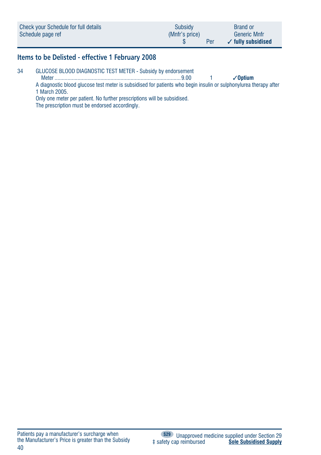| Check your Schedule for full details | <b>Subsidy</b> | <b>Brand or</b>               |
|--------------------------------------|----------------|-------------------------------|
| Schedule page ref                    | (Mnfr's price) | <b>Generic Mnfr</b>           |
|                                      | Per            | $\checkmark$ fully subsidised |

# **Items to be Delisted - effective 1 February 2008**

34 GLUCOSE BLOOD DIAGNOSTIC TEST METER - Subsidy by endorsement

 Meter ........................................................................................9.00 1 ✓**Optium** A diagnostic blood glucose test meter is subsidised for patients who begin insulin or sulphonylurea therapy after 1 March 2005.

Only one meter per patient. No further prescriptions will be subsidised.

The prescription must be endorsed accordingly.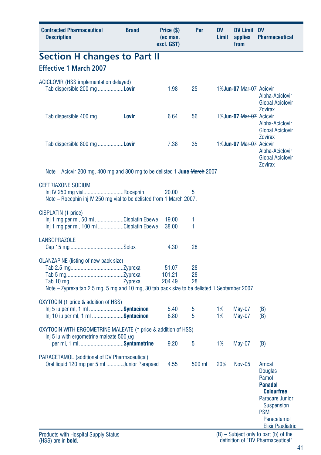| <b>Section H changes to Part II</b><br><b>Effective 1 March 2007</b><br>ACICLOVIR (HSS implementation delayed)<br>1.98<br>25<br>Tab dispersible 200 mg <b>Lovir</b><br>1%Jun-07 Mar-07 Acicvir<br>Alpha-Aciclovir<br><b>Global Aciclovir</b><br><b>Zovirax</b><br>Tab dispersible 400 mg Lovir<br>6.64<br>56<br>1%Jun-07 Mar-07 Acicvir<br>Alpha-Aciclovir<br><b>Global Aciclovir</b><br><b>Zovirax</b><br>Tab dispersible 800 mg Lovir<br>7.38<br>35<br>1%Jun-07 Mar-07 Acicvir<br>Alpha-Aciclovir<br><b>Global Aciclovir</b><br><b>Zovirax</b><br>Note – Acicvir 200 mg, 400 mg and 800 mg to be delisted 1 June March 2007<br><b>CEFTRIAXONE SODIUM</b><br>lnj IV 250 mg vialRocephin<br>$-20.00 - 5$<br>Note – Rocephin inj IV 250 mg vial to be delisted from 1 March 2007.<br>CISPLATIN (4 price)<br>Inj 1 mg per ml, 50 ml Cisplatin Ebewe<br>1<br>19.00<br>Inj 1 mg per ml, 100 ml Cisplatin Ebewe<br>38.00<br>1<br><b>LANSOPRAZOLE</b><br>28<br>4.30<br><b>OLANZAPINE</b> (listing of new pack size)<br>28<br>51.07<br>101.21<br>28<br>204.49<br>28<br>Note – Zyprexa tab 2.5 mg, 5 mg and 10 mg, 30 tab pack size to be delisted 1 September 2007.<br>OXYTOCIN (1 price & addition of HSS)<br>Inj 5 iu per ml, 1 ml Syntocinon<br>5.40<br>1%<br>May-07<br>5<br>(B)<br>1%<br>lnj 10 iu per ml, 1 ml Syntocinon<br>6.80<br>5<br>May-07<br>(B)<br>OXYTOCIN WITH ERGOMETRINE MALEATE (1 price & addition of HSS)<br>Inj 5 iu with ergometrine maleate 500 $\mu$ g<br>1%<br>per ml, 1 ml Syntometrine<br>9.20<br>5<br>May-07<br>(B)<br>PARACETAMOL (additional of DV Pharmaceutical)<br>20%<br>Oral liquid 120 mg per 5 ml Junior Parapaed<br><b>Nov-05</b><br>4.55<br>500 ml<br>Amcal<br><b>Douglas</b><br>Pamol<br><b>Panadol</b><br><b>Colourfree</b><br>Paracare Junior<br><b>Suspension</b><br><b>PSM</b><br>Paracetamol<br><b>Elixir Paediatric</b> | <b>Contracted Pharmaceutical</b><br><b>Description</b> | <b>Brand</b> | Price (\$)<br>(ex man.<br>excl. GST) | Per | DV<br>Limit | <b>DV Limit DV</b><br>applies<br>from | <b>Pharmaceutical</b> |
|----------------------------------------------------------------------------------------------------------------------------------------------------------------------------------------------------------------------------------------------------------------------------------------------------------------------------------------------------------------------------------------------------------------------------------------------------------------------------------------------------------------------------------------------------------------------------------------------------------------------------------------------------------------------------------------------------------------------------------------------------------------------------------------------------------------------------------------------------------------------------------------------------------------------------------------------------------------------------------------------------------------------------------------------------------------------------------------------------------------------------------------------------------------------------------------------------------------------------------------------------------------------------------------------------------------------------------------------------------------------------------------------------------------------------------------------------------------------------------------------------------------------------------------------------------------------------------------------------------------------------------------------------------------------------------------------------------------------------------------------------------------------------------------------------------------------------------------------------------------|--------------------------------------------------------|--------------|--------------------------------------|-----|-------------|---------------------------------------|-----------------------|
|                                                                                                                                                                                                                                                                                                                                                                                                                                                                                                                                                                                                                                                                                                                                                                                                                                                                                                                                                                                                                                                                                                                                                                                                                                                                                                                                                                                                                                                                                                                                                                                                                                                                                                                                                                                                                                                                |                                                        |              |                                      |     |             |                                       |                       |
|                                                                                                                                                                                                                                                                                                                                                                                                                                                                                                                                                                                                                                                                                                                                                                                                                                                                                                                                                                                                                                                                                                                                                                                                                                                                                                                                                                                                                                                                                                                                                                                                                                                                                                                                                                                                                                                                |                                                        |              |                                      |     |             |                                       |                       |
|                                                                                                                                                                                                                                                                                                                                                                                                                                                                                                                                                                                                                                                                                                                                                                                                                                                                                                                                                                                                                                                                                                                                                                                                                                                                                                                                                                                                                                                                                                                                                                                                                                                                                                                                                                                                                                                                |                                                        |              |                                      |     |             |                                       |                       |
|                                                                                                                                                                                                                                                                                                                                                                                                                                                                                                                                                                                                                                                                                                                                                                                                                                                                                                                                                                                                                                                                                                                                                                                                                                                                                                                                                                                                                                                                                                                                                                                                                                                                                                                                                                                                                                                                |                                                        |              |                                      |     |             |                                       |                       |
|                                                                                                                                                                                                                                                                                                                                                                                                                                                                                                                                                                                                                                                                                                                                                                                                                                                                                                                                                                                                                                                                                                                                                                                                                                                                                                                                                                                                                                                                                                                                                                                                                                                                                                                                                                                                                                                                |                                                        |              |                                      |     |             |                                       |                       |
|                                                                                                                                                                                                                                                                                                                                                                                                                                                                                                                                                                                                                                                                                                                                                                                                                                                                                                                                                                                                                                                                                                                                                                                                                                                                                                                                                                                                                                                                                                                                                                                                                                                                                                                                                                                                                                                                |                                                        |              |                                      |     |             |                                       |                       |
|                                                                                                                                                                                                                                                                                                                                                                                                                                                                                                                                                                                                                                                                                                                                                                                                                                                                                                                                                                                                                                                                                                                                                                                                                                                                                                                                                                                                                                                                                                                                                                                                                                                                                                                                                                                                                                                                |                                                        |              |                                      |     |             |                                       |                       |
|                                                                                                                                                                                                                                                                                                                                                                                                                                                                                                                                                                                                                                                                                                                                                                                                                                                                                                                                                                                                                                                                                                                                                                                                                                                                                                                                                                                                                                                                                                                                                                                                                                                                                                                                                                                                                                                                |                                                        |              |                                      |     |             |                                       |                       |
|                                                                                                                                                                                                                                                                                                                                                                                                                                                                                                                                                                                                                                                                                                                                                                                                                                                                                                                                                                                                                                                                                                                                                                                                                                                                                                                                                                                                                                                                                                                                                                                                                                                                                                                                                                                                                                                                |                                                        |              |                                      |     |             |                                       |                       |
|                                                                                                                                                                                                                                                                                                                                                                                                                                                                                                                                                                                                                                                                                                                                                                                                                                                                                                                                                                                                                                                                                                                                                                                                                                                                                                                                                                                                                                                                                                                                                                                                                                                                                                                                                                                                                                                                |                                                        |              |                                      |     |             |                                       |                       |
|                                                                                                                                                                                                                                                                                                                                                                                                                                                                                                                                                                                                                                                                                                                                                                                                                                                                                                                                                                                                                                                                                                                                                                                                                                                                                                                                                                                                                                                                                                                                                                                                                                                                                                                                                                                                                                                                |                                                        |              |                                      |     |             |                                       |                       |
|                                                                                                                                                                                                                                                                                                                                                                                                                                                                                                                                                                                                                                                                                                                                                                                                                                                                                                                                                                                                                                                                                                                                                                                                                                                                                                                                                                                                                                                                                                                                                                                                                                                                                                                                                                                                                                                                |                                                        |              |                                      |     |             |                                       |                       |
|                                                                                                                                                                                                                                                                                                                                                                                                                                                                                                                                                                                                                                                                                                                                                                                                                                                                                                                                                                                                                                                                                                                                                                                                                                                                                                                                                                                                                                                                                                                                                                                                                                                                                                                                                                                                                                                                |                                                        |              |                                      |     |             |                                       |                       |
|                                                                                                                                                                                                                                                                                                                                                                                                                                                                                                                                                                                                                                                                                                                                                                                                                                                                                                                                                                                                                                                                                                                                                                                                                                                                                                                                                                                                                                                                                                                                                                                                                                                                                                                                                                                                                                                                |                                                        |              |                                      |     |             |                                       |                       |
|                                                                                                                                                                                                                                                                                                                                                                                                                                                                                                                                                                                                                                                                                                                                                                                                                                                                                                                                                                                                                                                                                                                                                                                                                                                                                                                                                                                                                                                                                                                                                                                                                                                                                                                                                                                                                                                                |                                                        |              |                                      |     |             |                                       |                       |
|                                                                                                                                                                                                                                                                                                                                                                                                                                                                                                                                                                                                                                                                                                                                                                                                                                                                                                                                                                                                                                                                                                                                                                                                                                                                                                                                                                                                                                                                                                                                                                                                                                                                                                                                                                                                                                                                |                                                        |              |                                      |     |             |                                       |                       |
| $(B)$ – Subject only to part (b) of the                                                                                                                                                                                                                                                                                                                                                                                                                                                                                                                                                                                                                                                                                                                                                                                                                                                                                                                                                                                                                                                                                                                                                                                                                                                                                                                                                                                                                                                                                                                                                                                                                                                                                                                                                                                                                        | <b>Products with Hospital Supply Status</b>            |              |                                      |     |             |                                       |                       |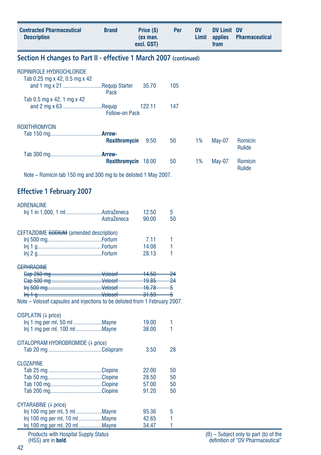| Section H changes to Part II - effective 1 March 2007 (continued)<br>ROPINIROLE HYDROCHLORIDE<br>Tab 0.25 mg x 42, 0.5 mg x 42<br>and 1 mg x 21 Requip Starter<br>35.70<br>105<br>Pack<br>Tab 0.5 mg x 42, 1 mg x 42<br>and 2 mg x 63 Requip<br>122.11<br>147<br><b>Follow-on Pack</b><br>ROXITHROMYCIN<br><b>Roxithromycin</b><br>9.50<br>50<br>1%<br><b>May-07</b><br>Romicin<br>Rulide<br>Roxithromycin 18.00<br>50<br>1%<br><b>May-07</b><br>Romicin<br>Rulide<br>Note – Romicin tab 150 mg and 300 mg to be delisted 1 May 2007.<br><b>Effective 1 February 2007</b><br><b>ADRENALINE</b><br>Inj 1 in 1,000, 1 ml AstraZeneca<br>12.50<br>5<br>AstraZeneca<br>50<br>90.00<br>CEFTAZIDIME SODIUM (amended description)<br>1<br>7.11<br>1<br>14.08<br>1<br>28.13<br><b>GEPHRADINE</b><br>$-14.50$<br>$-24$<br>$-19.85$<br>$-24$<br>-5<br>$\frac{31.59}{ }$<br>-5<br>Note - Velosef capsules and injections to be delisted from 1 February 2007.<br>CISPLATIN (4 price)<br>1<br>19.00<br>1<br>38.00<br>CITALOPRAM HYDROBROMIDE (+ price)<br>28<br>3.50<br><b>CLOZAPINE</b><br>22.00<br>50<br>28.50<br>50<br>50<br>57.00<br>91.20<br>50<br>CYTARABINE (+ price)<br>Inj 100 mg per ml, 5 ml Mayne<br>95.36<br>5<br>Inj 100 mg per ml, 10 ml Mayne<br>42.65<br>1<br>Inj 100 mg per ml, 20 ml  Mayne<br>1<br>34.47 | <b>Contracted Pharmaceutical</b><br><b>Description</b> | <b>Brand</b> | Price (\$)<br>(ex man.<br>excl. GST) | Per | DV<br>Limit | <b>DV Limit DV</b><br>applies<br>from | <b>Pharmaceutical</b> |  |  |  |  |  |
|------------------------------------------------------------------------------------------------------------------------------------------------------------------------------------------------------------------------------------------------------------------------------------------------------------------------------------------------------------------------------------------------------------------------------------------------------------------------------------------------------------------------------------------------------------------------------------------------------------------------------------------------------------------------------------------------------------------------------------------------------------------------------------------------------------------------------------------------------------------------------------------------------------------------------------------------------------------------------------------------------------------------------------------------------------------------------------------------------------------------------------------------------------------------------------------------------------------------------------------------------------------------------------------------------------------|--------------------------------------------------------|--------------|--------------------------------------|-----|-------------|---------------------------------------|-----------------------|--|--|--|--|--|
|                                                                                                                                                                                                                                                                                                                                                                                                                                                                                                                                                                                                                                                                                                                                                                                                                                                                                                                                                                                                                                                                                                                                                                                                                                                                                                                  |                                                        |              |                                      |     |             |                                       |                       |  |  |  |  |  |
|                                                                                                                                                                                                                                                                                                                                                                                                                                                                                                                                                                                                                                                                                                                                                                                                                                                                                                                                                                                                                                                                                                                                                                                                                                                                                                                  |                                                        |              |                                      |     |             |                                       |                       |  |  |  |  |  |
|                                                                                                                                                                                                                                                                                                                                                                                                                                                                                                                                                                                                                                                                                                                                                                                                                                                                                                                                                                                                                                                                                                                                                                                                                                                                                                                  |                                                        |              |                                      |     |             |                                       |                       |  |  |  |  |  |
|                                                                                                                                                                                                                                                                                                                                                                                                                                                                                                                                                                                                                                                                                                                                                                                                                                                                                                                                                                                                                                                                                                                                                                                                                                                                                                                  |                                                        |              |                                      |     |             |                                       |                       |  |  |  |  |  |
|                                                                                                                                                                                                                                                                                                                                                                                                                                                                                                                                                                                                                                                                                                                                                                                                                                                                                                                                                                                                                                                                                                                                                                                                                                                                                                                  |                                                        |              |                                      |     |             |                                       |                       |  |  |  |  |  |
|                                                                                                                                                                                                                                                                                                                                                                                                                                                                                                                                                                                                                                                                                                                                                                                                                                                                                                                                                                                                                                                                                                                                                                                                                                                                                                                  |                                                        |              |                                      |     |             |                                       |                       |  |  |  |  |  |
|                                                                                                                                                                                                                                                                                                                                                                                                                                                                                                                                                                                                                                                                                                                                                                                                                                                                                                                                                                                                                                                                                                                                                                                                                                                                                                                  |                                                        |              |                                      |     |             |                                       |                       |  |  |  |  |  |
|                                                                                                                                                                                                                                                                                                                                                                                                                                                                                                                                                                                                                                                                                                                                                                                                                                                                                                                                                                                                                                                                                                                                                                                                                                                                                                                  |                                                        |              |                                      |     |             |                                       |                       |  |  |  |  |  |
|                                                                                                                                                                                                                                                                                                                                                                                                                                                                                                                                                                                                                                                                                                                                                                                                                                                                                                                                                                                                                                                                                                                                                                                                                                                                                                                  |                                                        |              |                                      |     |             |                                       |                       |  |  |  |  |  |
|                                                                                                                                                                                                                                                                                                                                                                                                                                                                                                                                                                                                                                                                                                                                                                                                                                                                                                                                                                                                                                                                                                                                                                                                                                                                                                                  |                                                        |              |                                      |     |             |                                       |                       |  |  |  |  |  |
|                                                                                                                                                                                                                                                                                                                                                                                                                                                                                                                                                                                                                                                                                                                                                                                                                                                                                                                                                                                                                                                                                                                                                                                                                                                                                                                  |                                                        |              |                                      |     |             |                                       |                       |  |  |  |  |  |
|                                                                                                                                                                                                                                                                                                                                                                                                                                                                                                                                                                                                                                                                                                                                                                                                                                                                                                                                                                                                                                                                                                                                                                                                                                                                                                                  |                                                        |              |                                      |     |             |                                       |                       |  |  |  |  |  |
|                                                                                                                                                                                                                                                                                                                                                                                                                                                                                                                                                                                                                                                                                                                                                                                                                                                                                                                                                                                                                                                                                                                                                                                                                                                                                                                  |                                                        |              |                                      |     |             |                                       |                       |  |  |  |  |  |
|                                                                                                                                                                                                                                                                                                                                                                                                                                                                                                                                                                                                                                                                                                                                                                                                                                                                                                                                                                                                                                                                                                                                                                                                                                                                                                                  |                                                        |              |                                      |     |             |                                       |                       |  |  |  |  |  |
|                                                                                                                                                                                                                                                                                                                                                                                                                                                                                                                                                                                                                                                                                                                                                                                                                                                                                                                                                                                                                                                                                                                                                                                                                                                                                                                  |                                                        |              |                                      |     |             |                                       |                       |  |  |  |  |  |
|                                                                                                                                                                                                                                                                                                                                                                                                                                                                                                                                                                                                                                                                                                                                                                                                                                                                                                                                                                                                                                                                                                                                                                                                                                                                                                                  |                                                        |              |                                      |     |             |                                       |                       |  |  |  |  |  |
|                                                                                                                                                                                                                                                                                                                                                                                                                                                                                                                                                                                                                                                                                                                                                                                                                                                                                                                                                                                                                                                                                                                                                                                                                                                                                                                  |                                                        |              |                                      |     |             |                                       |                       |  |  |  |  |  |
|                                                                                                                                                                                                                                                                                                                                                                                                                                                                                                                                                                                                                                                                                                                                                                                                                                                                                                                                                                                                                                                                                                                                                                                                                                                                                                                  |                                                        |              |                                      |     |             |                                       |                       |  |  |  |  |  |
|                                                                                                                                                                                                                                                                                                                                                                                                                                                                                                                                                                                                                                                                                                                                                                                                                                                                                                                                                                                                                                                                                                                                                                                                                                                                                                                  |                                                        |              |                                      |     |             |                                       |                       |  |  |  |  |  |
|                                                                                                                                                                                                                                                                                                                                                                                                                                                                                                                                                                                                                                                                                                                                                                                                                                                                                                                                                                                                                                                                                                                                                                                                                                                                                                                  |                                                        |              |                                      |     |             |                                       |                       |  |  |  |  |  |
|                                                                                                                                                                                                                                                                                                                                                                                                                                                                                                                                                                                                                                                                                                                                                                                                                                                                                                                                                                                                                                                                                                                                                                                                                                                                                                                  |                                                        |              |                                      |     |             |                                       |                       |  |  |  |  |  |
|                                                                                                                                                                                                                                                                                                                                                                                                                                                                                                                                                                                                                                                                                                                                                                                                                                                                                                                                                                                                                                                                                                                                                                                                                                                                                                                  |                                                        |              |                                      |     |             |                                       |                       |  |  |  |  |  |
|                                                                                                                                                                                                                                                                                                                                                                                                                                                                                                                                                                                                                                                                                                                                                                                                                                                                                                                                                                                                                                                                                                                                                                                                                                                                                                                  |                                                        |              |                                      |     |             |                                       |                       |  |  |  |  |  |
|                                                                                                                                                                                                                                                                                                                                                                                                                                                                                                                                                                                                                                                                                                                                                                                                                                                                                                                                                                                                                                                                                                                                                                                                                                                                                                                  |                                                        |              |                                      |     |             |                                       |                       |  |  |  |  |  |
|                                                                                                                                                                                                                                                                                                                                                                                                                                                                                                                                                                                                                                                                                                                                                                                                                                                                                                                                                                                                                                                                                                                                                                                                                                                                                                                  |                                                        |              |                                      |     |             |                                       |                       |  |  |  |  |  |
|                                                                                                                                                                                                                                                                                                                                                                                                                                                                                                                                                                                                                                                                                                                                                                                                                                                                                                                                                                                                                                                                                                                                                                                                                                                                                                                  |                                                        |              |                                      |     |             |                                       |                       |  |  |  |  |  |
|                                                                                                                                                                                                                                                                                                                                                                                                                                                                                                                                                                                                                                                                                                                                                                                                                                                                                                                                                                                                                                                                                                                                                                                                                                                                                                                  |                                                        |              |                                      |     |             |                                       |                       |  |  |  |  |  |
|                                                                                                                                                                                                                                                                                                                                                                                                                                                                                                                                                                                                                                                                                                                                                                                                                                                                                                                                                                                                                                                                                                                                                                                                                                                                                                                  |                                                        |              |                                      |     |             |                                       |                       |  |  |  |  |  |
|                                                                                                                                                                                                                                                                                                                                                                                                                                                                                                                                                                                                                                                                                                                                                                                                                                                                                                                                                                                                                                                                                                                                                                                                                                                                                                                  |                                                        |              |                                      |     |             |                                       |                       |  |  |  |  |  |
|                                                                                                                                                                                                                                                                                                                                                                                                                                                                                                                                                                                                                                                                                                                                                                                                                                                                                                                                                                                                                                                                                                                                                                                                                                                                                                                  |                                                        |              |                                      |     |             |                                       |                       |  |  |  |  |  |
|                                                                                                                                                                                                                                                                                                                                                                                                                                                                                                                                                                                                                                                                                                                                                                                                                                                                                                                                                                                                                                                                                                                                                                                                                                                                                                                  |                                                        |              |                                      |     |             |                                       |                       |  |  |  |  |  |
|                                                                                                                                                                                                                                                                                                                                                                                                                                                                                                                                                                                                                                                                                                                                                                                                                                                                                                                                                                                                                                                                                                                                                                                                                                                                                                                  |                                                        |              |                                      |     |             |                                       |                       |  |  |  |  |  |
|                                                                                                                                                                                                                                                                                                                                                                                                                                                                                                                                                                                                                                                                                                                                                                                                                                                                                                                                                                                                                                                                                                                                                                                                                                                                                                                  |                                                        |              |                                      |     |             |                                       |                       |  |  |  |  |  |
| Droduate with Hoopital Cupply Ctatus                                                                                                                                                                                                                                                                                                                                                                                                                                                                                                                                                                                                                                                                                                                                                                                                                                                                                                                                                                                                                                                                                                                                                                                                                                                                             |                                                        |              |                                      |     |             |                                       |                       |  |  |  |  |  |

Products with Hospital Supply Status (HSS) are in **bold**.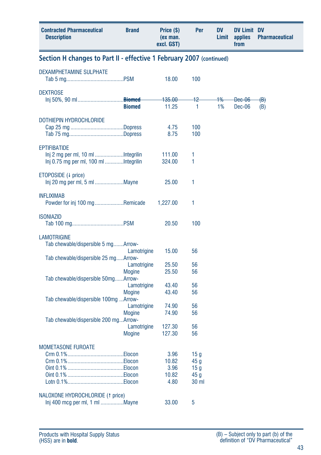| <b>Contracted Pharmaceutical</b><br><b>Description</b>               | <b>Brand</b>                                  | Price (\$)<br>(ex man.<br>excl. GST)   | Per                                                                    | DV<br>Limit | <b>DV Limit DV</b><br>applies<br>from | <b>Pharmaceutical</b> |
|----------------------------------------------------------------------|-----------------------------------------------|----------------------------------------|------------------------------------------------------------------------|-------------|---------------------------------------|-----------------------|
| Section H changes to Part II - effective 1 February 2007 (continued) |                                               |                                        |                                                                        |             |                                       |                       |
| <b>DEXAMPHETAMINE SULPHATE</b>                                       |                                               | 18.00                                  | 100                                                                    |             |                                       |                       |
| <b>DEXTROSE</b>                                                      | <b>Biomed</b>                                 | 135.00<br>11.25                        | $+2$<br>1                                                              | 1%<br>1%    | <del>Dec-06</del><br>Dec-06           | <del>(B)</del><br>(B) |
| DOTHIEPIN HYDROCHLORIDE                                              |                                               | 4.75<br>8.75                           | 100<br>100                                                             |             |                                       |                       |
| <b>EPTIFIBATIDE</b><br>Inj 0.75 mg per ml, 100 ml Integrilin         |                                               | 111.00<br>324.00                       | 1<br>1                                                                 |             |                                       |                       |
| ETOPOSIDE (4 price)<br>Inj 20 mg per ml, 5 ml Mayne                  |                                               | 25.00                                  | 1                                                                      |             |                                       |                       |
| <b>INFLIXIMAB</b><br>Powder for inj 100 mgRemicade                   |                                               | 1,227.00                               | 1                                                                      |             |                                       |                       |
| <b>ISONIAZID</b>                                                     |                                               | 20.50                                  | 100                                                                    |             |                                       |                       |
| <b>LAMOTRIGINE</b><br>Tab chewable/dispersible 5 mgArrow-            | Lamotrigine                                   | 15.00                                  | 56                                                                     |             |                                       |                       |
| Tab chewable/dispersible 25 mgArrow-                                 | Lamotrigine<br><b>Mogine</b>                  | 25.50<br>25.50                         | 56<br>56                                                               |             |                                       |                       |
| Tab chewable/dispersible 50mgArrow-                                  | Lamotrigine<br><b>Mogine</b>                  | 43.40<br>43.40                         | 56<br>56                                                               |             |                                       |                       |
| Tab chewable/dispersible 100mg  Arrow-                               | Lamotrigine                                   | 74.90                                  | 56<br>56                                                               |             |                                       |                       |
| Tab chewable/dispersible 200 mgArrow-                                | <b>Mogine</b><br>Lamotrigine<br><b>Mogine</b> | 74.90<br>127.30<br>127.30              | 56<br>56                                                               |             |                                       |                       |
| <b>MOMETASONE FUROATE</b>                                            |                                               | 3.96<br>10.82<br>3.96<br>10.82<br>4.80 | 15 <sub>g</sub><br>45 g<br>15 <sub>g</sub><br>45 g<br>30 <sub>ml</sub> |             |                                       |                       |
| NALOXONE HYDROCHLORIDE (1 price)<br>Inj 400 mcg per ml, 1 ml Mayne   |                                               | 33.00                                  | 5                                                                      |             |                                       |                       |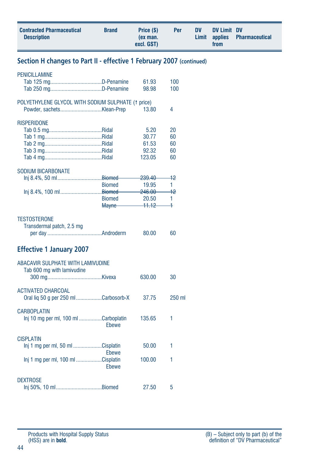| <b>Contracted Pharmaceutical</b><br><b>Description</b>                                    | <b>Brand</b>                                   | Price (\$)<br>(ex man.<br>excl. GST)                                         | Per                                       | <b>DV</b><br>Limit | <b>DV Limit DV</b><br>applies<br>from | <b>Pharmaceutical</b> |
|-------------------------------------------------------------------------------------------|------------------------------------------------|------------------------------------------------------------------------------|-------------------------------------------|--------------------|---------------------------------------|-----------------------|
| Section H changes to Part II - effective 1 February 2007 (continued)                      |                                                |                                                                              |                                           |                    |                                       |                       |
| <b>PENICILLAMINE</b>                                                                      |                                                | 61.93<br>98.98                                                               | 100<br>100                                |                    |                                       |                       |
| POLYETHYLENE GLYCOL WITH SODIUM SULPHATE (1 price)                                        |                                                | 13.80                                                                        | 4                                         |                    |                                       |                       |
| <b>RISPERIDONE</b>                                                                        |                                                | 5.20<br>30.77<br>61.53<br>92.32<br>123.05                                    | 20<br>60<br>60<br>60<br>60                |                    |                                       |                       |
| <b>SODIUM BICARBONATE</b><br>Inj 8.4%, 50 mlBiomed<br>Inj 8.4%, 100 mlBiomed-             | <b>Biomed</b><br><b>Biomed</b><br><b>Mayne</b> | <del>239.40</del><br>19.95<br><del>246.00</del><br>20.50<br><del>11.12</del> | $+2$<br>1.<br>$+2$<br>1<br>$\overline{a}$ |                    |                                       |                       |
| <b>TESTOSTERONE</b><br>Transdermal patch, 2.5 mg                                          |                                                | 80.00                                                                        | 60                                        |                    |                                       |                       |
| <b>Effective 1 January 2007</b>                                                           |                                                |                                                                              |                                           |                    |                                       |                       |
| ABACAVIR SULPHATE WITH LAMIVUDINE<br>Tab 600 mg with lamivudine                           |                                                | 630.00                                                                       | 30                                        |                    |                                       |                       |
| <b>ACTIVATED CHARCOAL</b><br>Oral liq 50 g per 250 ml Carbosorb-X                         |                                                | 37.75                                                                        | 250 ml                                    |                    |                                       |                       |
| <b>CARBOPLATIN</b><br>lnj 10 mg per ml, 100 ml Carboplatin                                | Ebewe                                          | 135.65                                                                       | 1                                         |                    |                                       |                       |
| <b>CISPLATIN</b><br>lni 1 mg per ml, 50 ml Cisplatin<br>Inj 1 mg per ml, 100 ml Cisplatin | Ebewe                                          | 50.00<br>100.00                                                              | 1<br>1                                    |                    |                                       |                       |
| <b>DEXTROSE</b><br>Inj 50%, 10 mlBiomed                                                   | Ebewe                                          | 27.50                                                                        | 5                                         |                    |                                       |                       |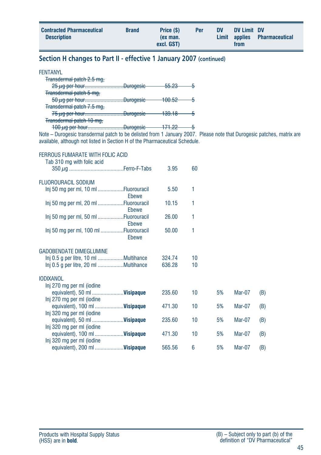| <b>Contracted Pharmaceutical</b><br><b>Description</b> | <b>Brand</b> | Price (\$)<br>(ex man.<br>excl. GST) | Per | <b>DV</b> | DV Limit DV<br>from | Limit applies Pharmaceutical |
|--------------------------------------------------------|--------------|--------------------------------------|-----|-----------|---------------------|------------------------------|
|                                                        |              |                                      |     |           |                     |                              |

# **Section H changes to Part II - effective 1 January 2007 (continued)**

#### FENTANYL

| $25 \mu$ g per hourDurogesic | <del>55.23</del>  |  |
|------------------------------|-------------------|--|
|                              |                   |  |
| $50 \mu$ q per hourDurogesic | <del>100.52</del> |  |
|                              |                   |  |
| $75 \mu$ q per hourDuroqesic | <del>139.18</del> |  |
|                              |                   |  |
| <del>.Duroaesic</del>        | 171.00            |  |
|                              |                   |  |

Note – Durogesic transdermal patch to be delisted from 1 January 2007. Please note that Durogesic patches, matrix are available, although not listed in Section H of the Pharmaceutical Schedule.

| FERROUS FUMARATE WITH FOLIC ACID<br>Tab 310 mg with folic acid |        |    |    |        |     |
|----------------------------------------------------------------|--------|----|----|--------|-----|
|                                                                | 3.95   | 60 |    |        |     |
| <b>FLUOROURACIL SODIUM</b>                                     |        |    |    |        |     |
| Inj 50 mg per ml, 10 ml Fluorouracil<br>Ebewe                  | 5.50   | 1  |    |        |     |
| Inj 50 mg per ml, 20 ml Fluorouracil<br>Ebewe                  | 10.15  | 1  |    |        |     |
| Inj 50 mg per ml, 50 ml Fluorouracil<br>Ebewe                  | 26.00  | 1  |    |        |     |
| Inj 50 mg per ml, 100 ml Fluorouracil<br>Ebewe                 | 50.00  | 1  |    |        |     |
| <b>GADOBENDATE DIMEGLUMINE</b>                                 |        |    |    |        |     |
|                                                                | 324.74 | 10 |    |        |     |
| Inj 0.5 g per litre, 20 ml Multihance                          | 636.28 | 10 |    |        |     |
| <b>IODIXANOL</b>                                               |        |    |    |        |     |
| Inj 270 mg per ml (iodine                                      |        |    |    |        |     |
| equivalent), 50 ml  Visipaque                                  | 235.60 | 10 | 5% | Mar-07 | (B) |
| Inj 270 mg per ml (iodine                                      |        |    |    |        |     |
| equivalent), 100 ml  Visipaque                                 | 471.30 | 10 | 5% | Mar-07 | (B) |
| Inj 320 mg per ml (iodine                                      |        |    |    |        |     |
| equivalent), 50 ml  Visipaque                                  | 235.60 | 10 | 5% | Mar-07 | (B) |
| Inj 320 mg per ml (iodine                                      |        |    |    |        |     |
| equivalent), 100 ml  Visipaque                                 | 471.30 | 10 | 5% | Mar-07 | (B) |
| Inj 320 mg per ml (iodine                                      |        |    |    |        |     |
| equivalent), 200 ml  Visipaque                                 | 565.56 | 6  | 5% | Mar-07 | (B) |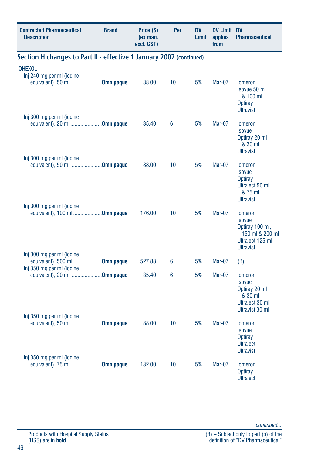| <b>Contracted Pharmaceutical</b><br><b>Description</b>                      | <b>Brand</b> | Price (\$)<br>(ex man.<br>excl. GST) | Per | <b>DV</b><br>Limit | <b>DV Limit DV</b><br>applies<br>from | <b>Pharmaceutical</b>                                                                                         |
|-----------------------------------------------------------------------------|--------------|--------------------------------------|-----|--------------------|---------------------------------------|---------------------------------------------------------------------------------------------------------------|
| Section H changes to Part II - effective 1 January 2007 (continued)         |              |                                      |     |                    |                                       |                                                                                                               |
| <b>IOHEXOL</b><br>Inj 240 mg per ml (iodine<br>equivalent), 50 ml Omnipaque |              | 88.00                                | 10  | 5%                 | Mar-07                                | <b>lomeron</b><br>Isovue 50 ml<br>& 100 ml<br>Optiray<br><b>Ultravist</b>                                     |
| Inj 300 mg per ml (iodine<br>equivalent), 20 ml <b>Omnipaque</b>            |              | 35.40                                | 6   | 5%                 | Mar-07                                | <b>Iomeron</b><br><b>Isovue</b><br>Optiray 20 ml<br>& 30 ml<br><b>Ultravist</b>                               |
| Inj 300 mg per ml (iodine<br>equivalent), 50 ml <b>Omnipaque</b>            |              | 88.00                                | 10  | 5%                 | Mar-07                                | <b>Iomeron</b><br><b>Isovue</b><br><b>Optiray</b><br>Ultraject 50 ml<br>& 75 ml<br><b>Ultravist</b>           |
| Inj 300 mg per ml (iodine<br>equivalent), 100 ml <b>Omnipaque</b>           |              | 176.00                               | 10  | 5%                 | Mar-07                                | <b>Iomeron</b><br><b>Isovue</b><br>Optiray 100 ml,<br>150 ml & 200 ml<br>Ultraject 125 ml<br><b>Ultravist</b> |
| Inj 300 mg per ml (iodine<br>equivalent), 500 ml <b>Omnipaque</b>           |              | 527.88                               | 6   | 5%                 | Mar-07                                | (B)                                                                                                           |
| Inj 350 mg per ml (iodine<br>equivalent), 20 ml Omnipaque                   |              | 35.40                                | 6   | 5%                 | <b>Mar-07</b>                         | <b>Iomeron</b><br><b>Isovue</b><br>Optiray 20 ml<br>& 30 ml<br>Ultraject 30 ml<br>Ultravist 30 ml             |
| Inj 350 mg per ml (iodine<br>equivalent), 50 ml Omnipaque                   |              | 88.00                                | 10  | 5%                 | Mar-07                                | <b>Iomeron</b><br><b>Isovue</b><br><b>Optiray</b><br><b>Ultraject</b><br><b>Ultravist</b>                     |
| Inj 350 mg per ml (iodine<br>equivalent), 75 ml <b>Omnipaque</b>            |              | 132.00                               | 10  | 5%                 | Mar-07                                | <b>lomeron</b><br>Optiray<br><b>Ultraject</b>                                                                 |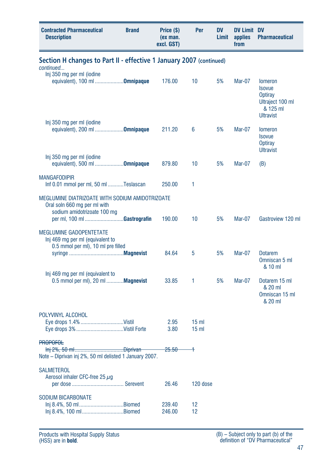| <b>Contracted Pharmaceutical</b><br><b>Description</b>                                                         | <b>Brand</b> | Price (\$)<br>(ex man.<br>excl. GST) | Per             | DV<br>Limit | <b>DV Limit DV</b><br>applies<br>from | <b>Pharmaceutical</b>                                                                          |
|----------------------------------------------------------------------------------------------------------------|--------------|--------------------------------------|-----------------|-------------|---------------------------------------|------------------------------------------------------------------------------------------------|
| Section H changes to Part II - effective 1 January 2007 (continued)<br>continued                               |              |                                      |                 |             |                                       |                                                                                                |
| Inj 350 mg per ml (iodine<br>equivalent), 100 ml Omnipaque<br>Inj 350 mg per ml (iodine                        |              | 176.00                               | 10              | 5%          | Mar-07                                | <b>lomeron</b><br><b>Isovue</b><br>Optiray<br>Ultraject 100 ml<br>& 125 ml<br><b>Ultravist</b> |
| equivalent), 200 ml Omnipaque                                                                                  |              | 211.20                               | 6               | 5%          | Mar-07                                | <b>lomeron</b><br><b>Isovue</b><br><b>Optiray</b><br><b>Ultravist</b>                          |
| Inj 350 mg per ml (iodine<br>equivalent), 500 ml <b>Omnipaque</b>                                              |              | 879.80                               | 10              | 5%          | Mar-07                                | (B)                                                                                            |
| <b>MANGAFODIPIR</b><br>Inf 0.01 mmol per ml, 50 ml Teslascan                                                   |              | 250.00                               | 1               |             |                                       |                                                                                                |
| MEGLUMINE DIATRIZOATE WITH SODIUM AMIDOTRIZOATE<br>Oral soln 660 mg per ml with<br>sodium amidotrizoate 100 mg |              |                                      |                 |             |                                       |                                                                                                |
| per ml, 100 ml Gastrografin                                                                                    |              | 190.00                               | 10              | 5%          | Mar-07                                | Gastroview 120 ml                                                                              |
| <b>MEGLUMINE GADOPENTETATE</b><br>Inj 469 mg per ml (equivalent to<br>0.5 mmol per ml), 10 ml pre filled       |              | 84.64                                | 5               | 5%          | <b>Mar-07</b>                         | <b>Dotarem</b>                                                                                 |
| Inj 469 mg per ml (equivalent to                                                                               |              |                                      |                 |             |                                       | Omniscan 5 ml<br>& 10 ml                                                                       |
| 0.5 mmol per ml), 20 ml  Magnevist                                                                             |              | 33.85                                | 1               | 5%          | <b>Mar-07</b>                         | Dotarem 15 ml<br>& 20 ml<br>Omniscan 15 ml<br>& 20 ml                                          |
| POLYVINYL ALCOHOL<br>Eye drops 1.4% Vistil                                                                     |              | 2.95                                 | 15 <sub>m</sub> |             |                                       |                                                                                                |
| Eye drops 3% Vistil Forte                                                                                      |              | 3.80                                 | 15 <sub>m</sub> |             |                                       |                                                                                                |
| <b>PROPOFOL</b><br>Note - Diprivan inj 2%, 50 ml delisted 1 January 2007.                                      |              | <del>25.50 -</del>                   | $\rightarrow$   |             |                                       |                                                                                                |
| SALMETEROL<br>Aerosol inhaler CFC-free 25 $\mu$ q                                                              |              | 26.46                                | 120 dose        |             |                                       |                                                                                                |
| <b>SODIUM BICARBONATE</b><br>Inj 8.4%, 50 mlBiomed                                                             |              | 239.40                               | 12              |             |                                       |                                                                                                |
| Inj 8.4%, 100 mlBiomed                                                                                         |              | 246.00                               | 12              |             |                                       |                                                                                                |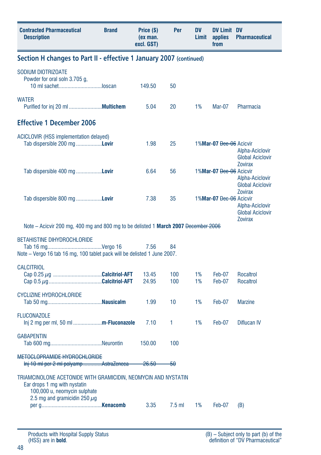| <b>Contracted Pharmaceutical</b><br><b>Description</b>                                                                         | <b>Brand</b> | Price (\$)<br>(ex man.<br>excl. GST) | Per        | <b>DV</b><br>Limit | <b>DV Limit DV</b><br>applies<br>from | <b>Pharmaceutical</b>                                                          |  |
|--------------------------------------------------------------------------------------------------------------------------------|--------------|--------------------------------------|------------|--------------------|---------------------------------------|--------------------------------------------------------------------------------|--|
| Section H changes to Part II - effective 1 January 2007 (continued)                                                            |              |                                      |            |                    |                                       |                                                                                |  |
| SODIUM DIOTRIZOATE<br>Powder for oral soln 3.705 g.<br>10 ml sachetloscan                                                      |              | 149.50                               | 50         |                    |                                       |                                                                                |  |
| <b>WATER</b>                                                                                                                   |              | 5.04                                 | 20         | 1%                 | Mar-07                                | Pharmacia                                                                      |  |
| <b>Effective 1 December 2006</b>                                                                                               |              |                                      |            |                    |                                       |                                                                                |  |
| ACICLOVIR (HSS implementation delayed)<br>Tab dispersible 200 mg Lovir                                                         |              | 1.98                                 | 25         |                    | 1%Mar-07 Dec-06 Acicvir               | Alpha-Aciclovir<br><b>Global Aciclovir</b>                                     |  |
| Tab dispersible 400 mg <b>Lovir</b>                                                                                            |              | 6.64                                 | 56         |                    | 1%Mar-07 Dec-06 Acicvir               | <b>Zovirax</b><br>Alpha-Aciclovir<br><b>Global Aciclovir</b><br><b>Zovirax</b> |  |
| Tab dispersible 800 mg <b>Lovir</b>                                                                                            |              | 7.38                                 | 35         |                    | 1%Mar-07 Dec-06 Acicvir               | Alpha-Aciclovir<br><b>Global Aciclovir</b><br><b>Zovirax</b>                   |  |
| Note – Acicvir 200 mg, 400 mg and 800 mg to be delisted 1 <b>March 2007</b> <del>December 2006</del>                           |              |                                      |            |                    |                                       |                                                                                |  |
| <b>BETAHISTINE DIHYDROCHLORIDE</b><br>Note - Vergo 16 tab 16 mg, 100 tablet pack will be delisted 1 June 2007.                 |              | 7.56                                 | 84         |                    |                                       |                                                                                |  |
| <b>CALCITRIOL</b>                                                                                                              |              | 13.45<br>24.95                       | 100<br>100 | 1%<br>1%           | Feb-07<br>Feb-07                      | <b>Rocaltrol</b><br><b>Rocaltrol</b>                                           |  |
| <b>CYCLIZINE HYDROCHLORIDE</b>                                                                                                 |              | 1.99                                 | 10         | 1%                 | Feb-07                                | <b>Marzine</b>                                                                 |  |
| <b>FLUCONAZOLE</b><br>Inj 2 mg per ml, 50 ml <b>m-Fluconazole</b>                                                              |              | 7.10                                 | 1.         | 1%                 | Feb-07                                | Diflucan IV                                                                    |  |
| <b>GABAPENTIN</b>                                                                                                              |              | 150.00                               | 100        |                    |                                       |                                                                                |  |
| METOCLOPRAMIDE HYDROCHLORIDE<br>Inj 10 ml per 2 ml polyampAstraZeneca                                                          |              | <del>26.50</del>                     | -50        |                    |                                       |                                                                                |  |
| TRIAMCINOLONE ACETONIDE WITH GRAMICIDIN, NEOMYCIN AND NYSTATIN<br>Ear drops 1 mg with nystatin<br>100,000 u, neomycin sulphate |              |                                      |            |                    |                                       |                                                                                |  |
| 2.5 mg and gramicidin 250 $\mu$ g                                                                                              |              | 3.35                                 | $7.5$ ml   | 1%                 | Feb-07                                | (B)                                                                            |  |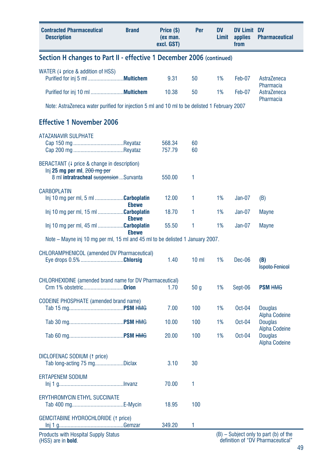| <b>Contracted Pharmaceutical</b><br><b>Description</b>                                                                 | <b>Brand</b> | Price (\$)<br>(ex man.<br>excl. GST) | Per             | <b>DV</b><br>Limit | <b>DV Limit DV</b><br>applies<br>from | <b>Pharmaceutical</b>                                          |  |  |
|------------------------------------------------------------------------------------------------------------------------|--------------|--------------------------------------|-----------------|--------------------|---------------------------------------|----------------------------------------------------------------|--|--|
| Section H changes to Part II - effective 1 December 2006 (continued)                                                   |              |                                      |                 |                    |                                       |                                                                |  |  |
| WATER $(1)$ price & addition of HSS)                                                                                   |              | 9.31                                 | 50              | 1%                 | Feb-07                                | AstraZeneca                                                    |  |  |
|                                                                                                                        |              | 10.38                                | 50              | 1%                 | Feb-07                                | Pharmacia<br>AstraZeneca<br>Pharmacia                          |  |  |
| Note: AstraZeneca water purified for injection 5 ml and 10 ml to be delisted 1 February 2007                           |              |                                      |                 |                    |                                       |                                                                |  |  |
| <b>Effective 1 November 2006</b>                                                                                       |              |                                      |                 |                    |                                       |                                                                |  |  |
| <b>ATAZANAVIR SULPHATE</b>                                                                                             |              | 568.34<br>757.79                     | 60<br>60        |                    |                                       |                                                                |  |  |
| BERACTANT (4 price & change in description)<br>Inj 25 mg per ml, 200 mg per<br>8 ml intratracheal suspension  Survanta |              | 550.00                               | 1               |                    |                                       |                                                                |  |  |
| <b>CARBOPLATIN</b><br>Inj 10 mg per ml, 5 ml Carboplatin                                                               | <b>Ebewe</b> | 12.00                                | 1               | 1%                 | $Jan-07$                              | (B)                                                            |  |  |
| Inj 10 mg per ml, 15 ml Carboplatin                                                                                    | <b>Ebewe</b> | 18.70                                | 1               | 1%                 | $Jan-07$                              | <b>Mayne</b>                                                   |  |  |
| Inj 10 mg per ml, 45 ml Carboplatin                                                                                    | <b>Ebewe</b> | 55.50                                | 1               | 1%                 | $Jan-07$                              | <b>Mayne</b>                                                   |  |  |
| Note – Mayne inj 10 mg per ml, 15 ml and 45 ml to be delisted 1 January 2007.                                          |              |                                      |                 |                    |                                       |                                                                |  |  |
| <b>CHLORAMPHENICOL (amended DV Pharmaceutical)</b><br>Eye drops 0.5% Chlorsig                                          |              | 1.40                                 | 10 <sub>m</sub> | 1%                 | Dec-06                                | (B)<br><b>Ispoto Fenicol</b>                                   |  |  |
| CHLORHEXIDINE (amended brand name for DV Pharmaceutical)<br>Crm 1% obstetric <b>Orion</b>                              |              | 1.70                                 | 50 <sub>g</sub> | 1%                 | Sept-06                               | <b>PSM HMG</b>                                                 |  |  |
| CODEINE PHOSPHATE (amended brand name)                                                                                 |              | 7.00                                 | 100             | 1%                 | Oct-04                                | <b>Douglas</b>                                                 |  |  |
|                                                                                                                        |              | 10.00                                | 100             | 1%                 | Oct-04                                | <b>Alpha Codeine</b><br><b>Douglas</b>                         |  |  |
|                                                                                                                        |              | 20.00                                | 100             | 1%                 | $Oct-04$                              | <b>Alpha Codeine</b><br><b>Douglas</b><br><b>Alpha Codeine</b> |  |  |
| DICLOFENAC SODIUM (1 price)<br>Tab long-acting 75 mgDiclax                                                             |              | 3.10                                 | 30              |                    |                                       |                                                                |  |  |
| <b>ERTAPENEM SODIUM</b>                                                                                                |              | 70.00                                | 1               |                    |                                       |                                                                |  |  |
| <b>ERYTHROMYCIN ETHYL SUCCINATE</b>                                                                                    |              | 18.95                                | 100             |                    |                                       |                                                                |  |  |
| <b>GEMCITABINE HYDROCHLORIDE (1 price)</b>                                                                             |              | 349.20                               | 1               |                    |                                       |                                                                |  |  |
| <b>Products with Hospital Supply Status</b>                                                                            |              |                                      |                 |                    |                                       | (B) - Subject only to part (b) of the                          |  |  |

definition of "DV Pharmaceutical"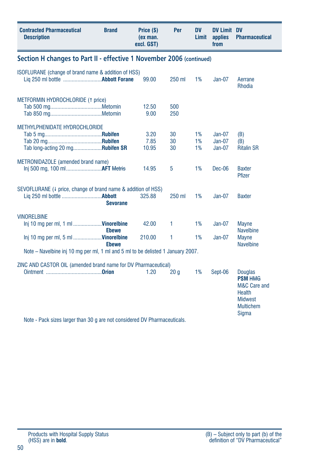| <b>Contracted Pharmaceutical</b><br><b>Description</b>                                                                                      | <b>Brand</b>                                                         | Price (\$)<br>(ex man.<br>excl. GST) | Per            | DV<br>Limit    | <b>DV Limit DV</b><br>applies<br>from | <b>Pharmaceutical</b>                                                                                                   |  |  |  |  |
|---------------------------------------------------------------------------------------------------------------------------------------------|----------------------------------------------------------------------|--------------------------------------|----------------|----------------|---------------------------------------|-------------------------------------------------------------------------------------------------------------------------|--|--|--|--|
|                                                                                                                                             | Section H changes to Part II - effective 1 November 2006 (continued) |                                      |                |                |                                       |                                                                                                                         |  |  |  |  |
| ISOFLURANE (change of brand name & addition of HSS)                                                                                         |                                                                      | 99.00                                | 250 ml         | 1%             | $Jan-07$                              | Aerrane<br><b>Rhodia</b>                                                                                                |  |  |  |  |
| METFORMIN HYDROCHLORIDE (1 price)                                                                                                           |                                                                      | 12.50<br>9.00                        | 500<br>250     |                |                                       |                                                                                                                         |  |  |  |  |
| METHYLPHENIDATE HYDROCHLORIDE<br>Tab long-acting 20 mgRubifen SR                                                                            |                                                                      | 3.20<br>7.85<br>10.95                | 30<br>30<br>30 | 1%<br>1%<br>1% | $Jan-07$<br>$Jan-07$<br>$Jan-07$      | (B)<br>(B)<br><b>Ritalin SR</b>                                                                                         |  |  |  |  |
| METRONIDAZOLE (amended brand name)<br>Inj 500 mg, 100 ml AFT Metris                                                                         |                                                                      | 14.95                                | 5              | 1%             | $Dec-06$                              | <b>Baxter</b><br>Pfizer                                                                                                 |  |  |  |  |
| SEVOFLURANE (4 price, change of brand name & addition of HSS)                                                                               | <b>Sevorane</b>                                                      | 325.88                               | 250 ml         | 1%             | $Jan-07$                              | <b>Baxter</b>                                                                                                           |  |  |  |  |
| <b>VINORELBINE</b><br>lnj 10 mg per ml, 1 ml <b>Vinorelbine</b>                                                                             | <b>Ebewe</b>                                                         | 42.00                                | 1              | 1%             | $Jan-07$                              | <b>Mayne</b><br><b>Navelbine</b>                                                                                        |  |  |  |  |
| Inj 10 mg per ml, 5 ml  Vinorelbine                                                                                                         | <b>Ebewe</b>                                                         | 210.00                               | 1              | 1%             | $Jan-07$                              | <b>Mayne</b><br><b>Navelbine</b>                                                                                        |  |  |  |  |
| Note – Navelbine inj 10 mg per ml, 1 ml and 5 ml to be delisted 1 January 2007.                                                             |                                                                      |                                      |                |                |                                       |                                                                                                                         |  |  |  |  |
| ZINC AND CASTOR OIL (amended brand name for DV Pharmaceutical)<br>Note - Pack sizes larger than 30 g are not considered DV Pharmaceuticals. |                                                                      | 1.20                                 | 20q            | 1%             | Sept-06                               | <b>Douglas</b><br><b>PSM HMG</b><br>M&C Care and<br><b>Health</b><br><b>Midwest</b><br><b>Multichem</b><br><b>Sigma</b> |  |  |  |  |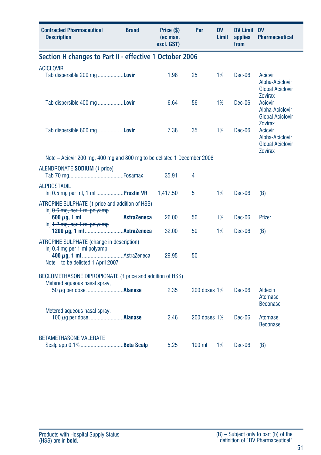| <b>Contracted Pharmaceutical</b><br><b>Description</b>                                                                | <b>Brand</b> | Price (\$)<br>(ex man.<br>excl. GST) | Per          | <b>DV</b><br>Limit | <b>DV Limit DV</b><br>applies<br>from | <b>Pharmaceutical</b>                                                          |
|-----------------------------------------------------------------------------------------------------------------------|--------------|--------------------------------------|--------------|--------------------|---------------------------------------|--------------------------------------------------------------------------------|
| Section H changes to Part II - effective 1 October 2006                                                               |              |                                      |              |                    |                                       |                                                                                |
| <b>ACICLOVIR</b><br>Tab dispersible 200 mg Lovir                                                                      |              | 1.98                                 | 25           | 1%                 | Dec-06                                | Acicvir<br>Alpha-Aciclovir<br><b>Global Aciclovir</b><br><b>Zovirax</b>        |
| Tab dispersible 400 mg Lovir                                                                                          |              | 6.64                                 | 56           | 1%                 | <b>Dec-06</b>                         | <b>Acicvir</b><br>Alpha-Aciclovir<br><b>Global Aciclovir</b><br><b>Zovirax</b> |
| Tab dispersible 800 mg Lovir                                                                                          |              | 7.38                                 | 35           | 1%                 | Dec-06                                | <b>Acicvir</b><br>Alpha-Aciclovir<br><b>Global Aciclovir</b><br><b>Zovirax</b> |
| Note – Acicvir 200 mg, 400 mg and 800 mg to be delisted 1 December 2006                                               |              |                                      |              |                    |                                       |                                                                                |
| ALENDRONATE SODIUM (4 price)                                                                                          |              | 35.91                                | 4            |                    |                                       |                                                                                |
| <b>ALPROSTADIL</b><br>lnj 0.5 mg per ml, 1 ml <b>Prostin VR</b>                                                       |              | 1,417.50                             | 5            | 1%                 | Dec-06                                | (B)                                                                            |
| ATROPINE SULPHATE (1 price and addition of HSS)<br>ln[i 0.6 mg, per 1 ml polyamp]<br>$ln[i]$ 4.2 mg, per 1 ml polyamp |              | 26.00<br>32.00                       | 50<br>50     | 1%<br>1%           | $Dec-06$<br>Dec-06                    | <b>Pfizer</b><br>(B)                                                           |
| ATROPINE SULPHATE (change in description)<br>$lnj$ $0.4$ mg per 1 ml polyamp-<br>Note - to be delisted 1 April 2007   |              | 29.95                                | 50           |                    |                                       |                                                                                |
| BECLOMETHASONE DIPROPIONATE (1 price and addition of HSS)                                                             |              |                                      |              |                    |                                       |                                                                                |
| Metered aqueous nasal spray,                                                                                          |              | 2.35                                 | 200 doses 1% |                    | Dec-06                                | <b>Aldecin</b><br><b>Atomase</b><br><b>Beconase</b>                            |
| Metered aqueous nasal spray,<br>100 $\mu$ q per dose <b>Alanase</b>                                                   |              | 2.46                                 | 200 doses 1% |                    | $Dec-06$                              | Atomase<br><b>Beconase</b>                                                     |
| <b>BETAMETHASONE VALERATE</b>                                                                                         |              | 5.25                                 | $100$ ml     | 1%                 | Dec-06                                | (B)                                                                            |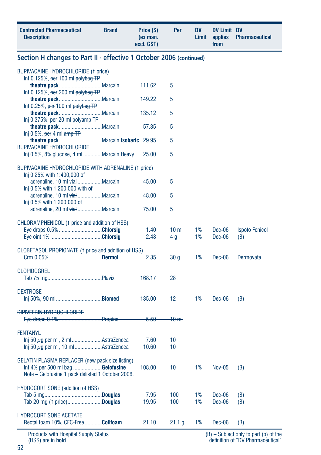| <b>Contracted Pharmaceutical</b><br><b>Description</b>                                | <b>Brand</b> | Price (\$)<br>(ex man.<br>excl. GST) | Per               | <b>DV</b><br>Limit | <b>DV Limit DV</b><br>applies<br>from | <b>Pharmaceutical</b>                          |
|---------------------------------------------------------------------------------------|--------------|--------------------------------------|-------------------|--------------------|---------------------------------------|------------------------------------------------|
| Section H changes to Part II - effective 1 October 2006 (continued)                   |              |                                      |                   |                    |                                       |                                                |
| BUPIVACAINE HYDROCHLORIDE (1 price)                                                   |              |                                      |                   |                    |                                       |                                                |
| Inf $0.125\%$ , per 100 ml polybag TP                                                 |              | 111.62                               | 5                 |                    |                                       |                                                |
| Inf $0.125\%$ , per 200 ml polybag TP                                                 |              | 149.22                               | 5                 |                    |                                       |                                                |
| Inf 0.25%, per 100 ml polybag TP                                                      |              | 135.12                               | 5                 |                    |                                       |                                                |
| $Inj$ 0.375%, per 20 ml polyamp TP                                                    |              | 57.35                                | 5                 |                    |                                       |                                                |
| Inj 0.5%, per 4 ml $amp$ TP                                                           |              |                                      | 5                 |                    |                                       |                                                |
| <b>BUPIVACAINE HYDROCHLORIDE</b><br>Inj 0.5%, 8% glucose, 4 ml Marcain Heavy          |              | 25.00                                | 5                 |                    |                                       |                                                |
| BUPIVACAINE HYDROCHLORIDE WITH ADRENALINE (1 price)                                   |              |                                      |                   |                    |                                       |                                                |
| lnj 0.25% with 1:400,000 of<br>adrenaline, 10 ml vialMarcain                          |              | 45.00                                | 5                 |                    |                                       |                                                |
| Inj 0.5% with 1:200,000 with of                                                       |              | 48.00                                | 5                 |                    |                                       |                                                |
| adrenaline, 10 ml vialMarcain<br>Inj 0.5% with 1:200,000 of                           |              |                                      |                   |                    |                                       |                                                |
| adrenaline, 20 ml vialMarcain                                                         |              | 75.00                                | 5                 |                    |                                       |                                                |
| CHLORAMPHENICOL (1 price and addition of HSS)<br>Eye drops 0.5% Chlorsig              |              | 1.40                                 | 10 <sub>m</sub>   | 1%                 | Dec-06                                | <b>Ispoto Fenicol</b>                          |
|                                                                                       |              | 2.48                                 | 4 g               | 1%                 | Dec-06                                | (B)                                            |
| CLOBETASOL PROPIONATE (1 price and addition of HSS)                                   |              | 2.35                                 | 30 <sub>g</sub>   | 1%                 | Dec-06                                | Dermovate                                      |
| <b>CLOPIDOGREL</b>                                                                    |              |                                      |                   |                    |                                       |                                                |
|                                                                                       |              | 168.17                               | 28                |                    |                                       |                                                |
| <b>DEXTROSE</b>                                                                       |              | 135.00                               | 12                | 1%                 | Dec-06                                | (B)                                            |
| <b>DIPIVEFRIN HYDROCHLORIDE</b>                                                       |              |                                      |                   |                    |                                       |                                                |
|                                                                                       |              | <del>5.50</del>                      | $40 \text{ m}$    |                    |                                       |                                                |
| <b>FENTANYL</b>                                                                       |              |                                      |                   |                    |                                       |                                                |
| $\ln$ 50 $\mu$ g per ml, 2 mlAstraZeneca<br>Inj 50 $\mu$ g per ml, 10 mlAstraZeneca   |              | 7.60<br>10.60                        | 10<br>10          |                    |                                       |                                                |
| GELATIN PLASMA REPLACER (new pack size listing)                                       |              |                                      |                   |                    |                                       |                                                |
| Inf 4% per 500 ml bag Gelofusine<br>Note – Gelofusine 1 pack delisted 1 October 2006. |              | 108.00                               | 10                | $1\%$              | Nov-05                                | (B)                                            |
| <b>HYDROCORTISONE</b> (addition of HSS)                                               |              |                                      |                   |                    |                                       |                                                |
| Tab 20 mg († price)Douglas                                                            |              | 7.95<br>19.95                        | 100<br>100        | 1%<br>1%           | Dec-06<br>Dec-06                      | (B)<br>(B)                                     |
| <b>HYDROCORTISONE ACETATE</b>                                                         |              |                                      |                   |                    |                                       |                                                |
| Rectal foam 10%, CFC-Free Colifoam<br><b>Products with Hoenital Sunnly Statue</b>     |              | 21.10                                | 21.1 <sub>q</sub> | 1%                 | Dec-06                                | (B)<br>$(D)$ Cubingt only to nort $(b)$ of the |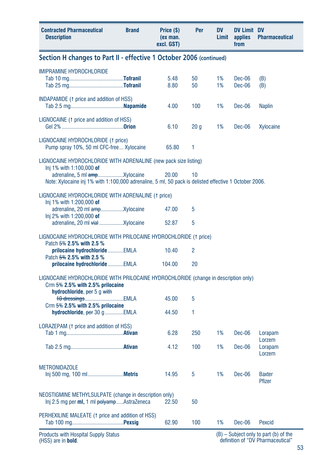| <b>Contracted Pharmaceutical</b><br><b>Description</b>                                                                                                    | <b>Brand</b> | Price (\$)<br>(ex man.<br>excl. GST) | Per             | <b>DV</b><br>Limit | <b>DV Limit DV</b><br>applies<br>from | <b>Pharmaceutical</b>                 |  |
|-----------------------------------------------------------------------------------------------------------------------------------------------------------|--------------|--------------------------------------|-----------------|--------------------|---------------------------------------|---------------------------------------|--|
| Section H changes to Part II - effective 1 October 2006 (continued)                                                                                       |              |                                      |                 |                    |                                       |                                       |  |
| <b>IMIPRAMINE HYDROCHLORIDE</b>                                                                                                                           |              | 5.48<br>8.80                         | 50<br>50        | 1%<br>1%           | $Dec-06$<br>Dec-06                    | (B)<br>(B)                            |  |
| INDAPAMIDE (1 price and addition of HSS)                                                                                                                  |              | 4.00                                 | 100             | 1%                 | Dec-06                                | <b>Naplin</b>                         |  |
| LIGNOCAINE (1 price and addition of HSS)                                                                                                                  |              | 6.10                                 | 20 <sub>g</sub> | 1%                 | Dec-06                                | Xylocaine                             |  |
| LIGNOCAINE HYDROCHLORIDE (1 price)<br>Pump spray 10%, 50 ml CFC-free  Xylocaine                                                                           |              | 65.80                                | 1               |                    |                                       |                                       |  |
| LIGNOCAINE HYDROCHLORIDE WITH ADRENALINE (new pack size listing)                                                                                          |              |                                      |                 |                    |                                       |                                       |  |
| Inj 1% with 1:100,000 of<br>Note: Xylocaine inj 1% with 1:100,000 adrenaline, 5 ml, 50 pack is delisted effective 1 October 2006.                         |              | 20.00                                | 10              |                    |                                       |                                       |  |
| LIGNOCAINE HYDROCHLORIDE WITH ADRENALINE (1 price)                                                                                                        |              |                                      |                 |                    |                                       |                                       |  |
| Inj 1% with 1:200,000 of<br>Inj 2% with 1:200,000 of                                                                                                      |              | 47.00                                | 5               |                    |                                       |                                       |  |
|                                                                                                                                                           |              | 52.87                                | 5               |                    |                                       |                                       |  |
| LIGNOCAINE HYDROCHLORIDE WITH PRILOCAINE HYDROCHLORIDE (1 price)<br>Patch 5% 2.5% with 2.5 %                                                              |              |                                      |                 |                    |                                       |                                       |  |
| prilocaine hydrochloride EMLA<br>Patch 5% 2.5% with 2.5 %                                                                                                 |              | 10.40                                | 2               |                    |                                       |                                       |  |
| prilocaine hydrochloride EMLA                                                                                                                             |              | 104.00                               | 20              |                    |                                       |                                       |  |
| LIGNOCAINE HYDROCHLORIDE WITH PRILOCAINE HYDROCHLORIDE (change in description only)<br>Crm $5\%$ 2.5% with 2.5% prilocaine<br>hydrochloride, per 5 g with |              |                                      |                 |                    |                                       |                                       |  |
| 10 dressingsEMLA<br>Crm $5\%$ 2.5% with 2.5% prilocaine                                                                                                   |              | 45.00                                | 5               |                    |                                       |                                       |  |
| hydrochloride, $per 30 g$ EMLA                                                                                                                            |              | 44.50                                | 1               |                    |                                       |                                       |  |
| LORAZEPAM (1 price and addition of HSS)                                                                                                                   |              | 6.28                                 | 250             | 1%                 | Dec-06                                | Lorapam<br>Lorzem                     |  |
|                                                                                                                                                           |              | 4.12                                 | 100             | 1%                 | Dec-06                                | Lorapam<br>Lorzem                     |  |
| <b>METRONIDAZOLE</b><br>lnj 500 mg, 100 ml <b>Metris</b>                                                                                                  |              | 14.95                                | 5               | 1%                 | Dec-06                                | Baxter<br><b>Pfizer</b>               |  |
| NEOSTIGMINE METHYLSULPATE (change in description only)<br>Inj 2.5 mg per ml, 1 ml polyampAstraZeneca                                                      |              | 22.50                                | 50              |                    |                                       |                                       |  |
| PERHEXILINE MALEATE († price and addition of HSS)                                                                                                         |              | 62.90                                | 100             | 1%                 | Dec-06                                | Pexcid                                |  |
| <b>Products with Hospital Supply Status</b>                                                                                                               |              |                                      |                 |                    |                                       | (B) - Subject only to part (b) of the |  |

(B) – Subject only to part (b) of the definition of "DV Pharmaceutical"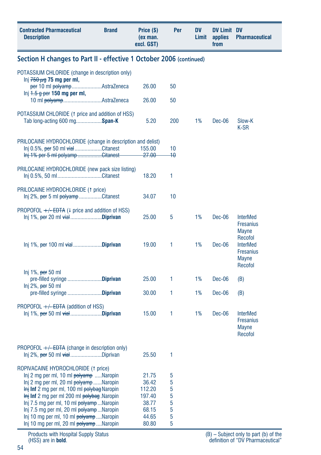| <b>Contracted Pharmaceutical</b><br><b>Description</b>                                                            | <b>Brand</b> | Price (\$)<br>(ex man.<br>excl. GST) | Per    | <b>DV</b><br>Limit | <b>DV Limit DV</b><br>applies<br>from | <b>Pharmaceutical</b>               |
|-------------------------------------------------------------------------------------------------------------------|--------------|--------------------------------------|--------|--------------------|---------------------------------------|-------------------------------------|
| Section H changes to Part II - effective 1 October 2006 (continued)                                               |              |                                      |        |                    |                                       |                                     |
| POTASSIUM CHLORIDE (change in description only)                                                                   |              |                                      |        |                    |                                       |                                     |
| lnj $750 \mu$ g 75 mg per ml,<br>per 10 ml polyampAstraZeneca                                                     |              | 26.00                                | 50     |                    |                                       |                                     |
| $\ln i$ <del>1.5 g per</del> 150 mg per ml,                                                                       |              |                                      |        |                    |                                       |                                     |
| 10 ml polyampAstraZeneca                                                                                          |              | 26.00                                | 50     |                    |                                       |                                     |
| POTASSIUM CHLORIDE (1 price and addition of HSS)<br>Tab long-acting 600 mgSpan-K                                  |              | 5.20                                 | 200    | 1%                 | Dec-06                                | Slow-K                              |
|                                                                                                                   |              |                                      |        |                    |                                       | K-SR                                |
| PRILOCAINE HYDROCHLORIDE (change in description and delist)                                                       |              |                                      |        |                    |                                       |                                     |
| Inj 0.5%, per 50 ml vialCitanest                                                                                  |              | 155.00                               | 10     |                    |                                       |                                     |
| Inj 1% per 5 ml polyampCitanest                                                                                   |              | <del>27.00</del>                     | 40     |                    |                                       |                                     |
| PRILOCAINE HYDROCHLORIDE (new pack size listing)<br>Inj 0.5%, 50 mlCitanest                                       |              | 18.20                                | 1      |                    |                                       |                                     |
|                                                                                                                   |              |                                      |        |                    |                                       |                                     |
| PRILOCAINE HYDROCHLORIDE (1 price)<br>Inj 2%, <del>per</del> 5 ml <del>polyamp</del> Citanest                     |              | 34.07                                | 10     |                    |                                       |                                     |
|                                                                                                                   |              |                                      |        |                    |                                       |                                     |
| PROPOFOL $+/-$ EDTA (4 price and addition of HSS)<br>lnj 1%, <del>per</del> 20 ml <del>vial</del> <b>Diprivan</b> |              | 25.00                                | 5      | 1%                 | Dec-06                                | <b>InterMed</b>                     |
|                                                                                                                   |              |                                      |        |                    |                                       | <b>Fresanius</b><br><b>Mayne</b>    |
|                                                                                                                   |              |                                      |        |                    |                                       | Recofol                             |
| $lnj$ 1%, per 100 ml $vial$ Diprivan                                                                              |              | 19.00                                | 1      | 1%                 | Dec-06                                | <b>InterMed</b><br><b>Fresanius</b> |
|                                                                                                                   |              |                                      |        |                    |                                       | <b>Mayne</b>                        |
| Inj 1%, per 50 ml                                                                                                 |              |                                      |        |                    |                                       | Recofol                             |
| pre-filled syringe Diprivan                                                                                       |              | 25.00                                | 1      | 1%                 | Dec-06                                | (B)                                 |
| Inj 2%, <del>per</del> 50 ml<br>pre-filled syringe Diprivan                                                       |              | 30.00                                | 1      | 1%                 | Dec-06                                | (B)                                 |
| PROPOFOL +/-EDTA (addition of HSS)                                                                                |              |                                      |        |                    |                                       |                                     |
| lnj 1%, <del>per</del> 50 ml <del>vial</del> <b>Diprivan</b>                                                      |              | 15.00                                | 1      | 1%                 | Dec-06                                | <b>InterMed</b>                     |
|                                                                                                                   |              |                                      |        |                    |                                       | <b>Fresanius</b><br><b>Mayne</b>    |
|                                                                                                                   |              |                                      |        |                    |                                       | Recofol                             |
| PROPOFOL $+\sqrt{-EDTA}$ (change in description only)                                                             |              |                                      |        |                    |                                       |                                     |
| Inj 2%, per 50 ml vialDiprivan                                                                                    |              | 25.50                                | 1      |                    |                                       |                                     |
| ROPIVACAINE HYDROCHLORIDE (1 price)                                                                               |              |                                      |        |                    |                                       |                                     |
| lnj 2 mg per ml, 10 ml polyamp Naropin<br>Inj 2 mg per ml, 20 ml polyamp Naropin                                  |              | 21.75                                | 5      |                    |                                       |                                     |
| Inj Inf 2 mg per ml, 100 ml polybag Naropin                                                                       |              | 36.42<br>112.20                      | 5<br>5 |                    |                                       |                                     |
| Inj Inf 2 mg per ml 200 ml polybag. Naropin                                                                       |              | 197.40                               | 5      |                    |                                       |                                     |
| Inj 7.5 mg per ml, 10 ml polyampNaropin                                                                           |              | 38.77                                | 5      |                    |                                       |                                     |
| Inj 7.5 mg per ml, 20 ml polyampNaropin<br>Inj 10 mg per ml, 10 ml polyampNaropin                                 |              | 68.15<br>44.65                       | 5<br>5 |                    |                                       |                                     |
| Inj 10 mg per ml, 20 ml polyampNaropin                                                                            |              | 80.80                                | 5      |                    |                                       |                                     |
|                                                                                                                   |              |                                      |        |                    |                                       |                                     |

Products with Hospital Supply Status (HSS) are in **bold**.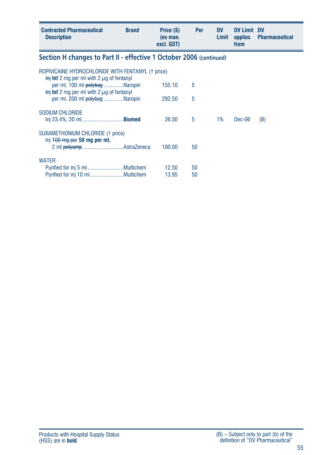| <b>Contracted Pharmaceutical</b><br><b>Description</b>                                                        | <b>Brand</b> | Price (\$)<br>(ex man.<br>excl. GST) | <b>Per</b> | <b>DV</b><br>Limit | <b>DV Limit</b><br>applies<br>from | <b>DV</b><br><b>Pharmaceutical</b> |
|---------------------------------------------------------------------------------------------------------------|--------------|--------------------------------------|------------|--------------------|------------------------------------|------------------------------------|
| Section H changes to Part II - effective 1 October 2006 (continued)                                           |              |                                      |            |                    |                                    |                                    |
| ROPIVICAINE HYDROCHLORIDE WITH FENTANYL († price)<br>$\frac{1}{2}$ inf 2 mg per ml with 2 $\mu$ g of fentanyl |              |                                      |            |                    |                                    |                                    |
| per ml, 100 ml polybag Naropin<br>$\frac{1}{2}$ inf 2 mg per ml with 2 $\mu$ g of fentanyl                    |              | 155.10                               | 5          |                    |                                    |                                    |
| per ml, 200 ml polybag Naropin                                                                                |              | 292.50                               | 5          |                    |                                    |                                    |
| SODIUM CHLORIDE                                                                                               |              | 26.50                                | 5          | $1\%$              | Dec-06                             | (B)                                |
| SUXAMETHONIUM CHLORIDE (1 price)<br>$Inj$ $+00$ mg per 50 mg per ml,                                          |              | 100.00                               | 50         |                    |                                    |                                    |
| <b>WATER</b>                                                                                                  |              | 12.50<br>13.95                       | 50<br>50   |                    |                                    |                                    |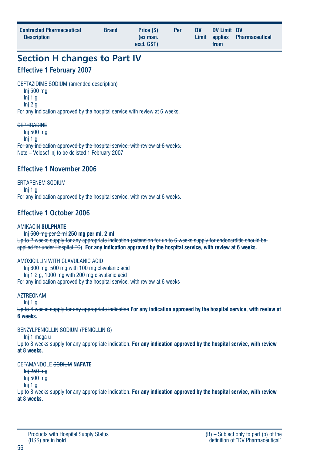| <b>Contracted Pharmaceutical</b><br><b>Description</b> | <b>Brand</b> | Price (\$)<br>(ex man.<br>excl. GST) | Per | <b>DV</b> | DV Limit DV<br>from | Limit applies Pharmaceutical |
|--------------------------------------------------------|--------------|--------------------------------------|-----|-----------|---------------------|------------------------------|
|                                                        |              |                                      |     |           |                     |                              |

# **Section H changes to Part IV**

### **Effective 1 February 2007**

CEFTAZIDIME SODIUM (amended description)

- Inj 500 mg
- Inj 1 g
- Inj 2 g

For any indication approved by the hospital service with review at 6 weeks.

#### **CEPHRADINE**

Inj 500 mg  $\frac{\text{Ini } 1 \cdot \text{o}}{\text{Ini } \cdot \text{o}}$ 

For any indication approved by the hospital service, with review at 6 weeks. Note – Velosef inj to be delisted 1 February 2007

# **Effective 1 November 2006**

ERTAPENEM SODIUM  $Ini 1<sub>0</sub>$ For any indication approved by the hospital service, with review at 6 weeks.

# **Effective 1 October 2006**

### AMIKACIN **SULPHATE**

Inj 500 mg per 2 ml **250 mg per ml, 2 ml** Up to 2 weeks supply for any appropriate indication (extension for up to 6 weeks supply for endocarditis should be applied for under Hospital EC) **For any indication approved by the hospital service, with review at 6 weeks.**

### AMOXICILLIN WITH CLAVULANIC ACID

Inj 600 mg, 500 mg with 100 mg clavulanic acid Inj 1.2 g, 1000 mg with 200 mg clavulanic acid For any indication approved by the hospital service, with review at 6 weeks

### **AZTREONAM**

Inj 1 g

Up to 4 weeks supply for any appropriate indication **For any indication approved by the hospital service, with review at 6 weeks.**

### BENZYLPENICLLIN SODIUM (PENICLLIN G)

Inj 1 mega u

Up to 8 weeks supply for any appropriate indication. **For any indication approved by the hospital service, with review at 8 weeks.**

### CEFAMANDOLE SODIUM **NAFATE**

Inj 250 mg Inj 500 mg

Inj 1 g

Up to 8 weeks supply for any appropriate indication. **For any indication approved by the hospital service, with review at 8 weeks.**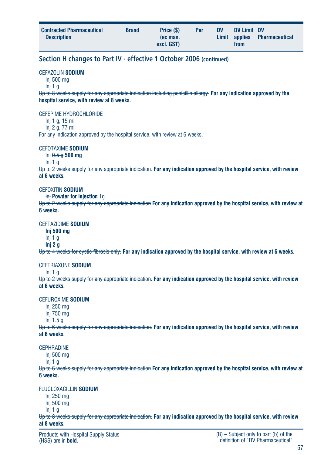| excl. GST)<br>from | <b>Contracted Pharmaceutical</b><br><b>Description</b> | <b>Brand</b> | Price (\$)<br>(ex man. | Per | <b>DV</b> | DV Limit DV | Limit applies Pharmaceutical |
|--------------------|--------------------------------------------------------|--------------|------------------------|-----|-----------|-------------|------------------------------|
|--------------------|--------------------------------------------------------|--------------|------------------------|-----|-----------|-------------|------------------------------|

### **Section H changes to Part IV - effective 1 October 2006 (continued)**

#### CEFAZOLIN **SODIUM**

Inj 500 mg

Inj 1 g

Up to 8 weeks supply for any appropriate indication including penicillin allergy. **For any indication approved by the hospital service, with review at 8 weeks.**

#### CEFEPIME HYDROCHLORIDE

Inj 1 g, 15 ml Inj 2 g, 77 ml

For any indication approved by the hospital service, with review at 6 weeks.

#### CEFOTAXIME **SODIUM**

Inj 0.5 g **500 mg**

Inj 1 g

Up to 2 weeks supply for any appropriate indication. **For any indication approved by the hospital service, with review at 6 weeks.**

#### CEFOXITIN **SODIUM**

Inj **Powder for injection** 1g

Up to 2 weeks supply for any appropriate indication **For any indication approved by the hospital service, with review at 6 weeks.**

#### CEFTAZIDIME **SODIUM**

**Inj 500 mg**

Inj 1 g

**Inj 2 g**

Up to 4 weeks for cystic fibrosis only. **For any indication approved by the hospital service, with review at 6 weeks.**

#### CEFTRIAXONE **SODIUM**

Inj 1 g

Up to 2 weeks supply for any appropriate indication. **For any indication approved by the hospital service, with review at 6 weeks.**

#### CEFUROXIME **SODIUM**

Inj 250 mg

- Inj 750 mg
- Inj 1.5 g

Up to 6 weeks supply for any appropriate indication. **For any indication approved by the hospital service, with review at 6 weeks.**

#### CEPHRADINE

Inj 500 mg

Inj 1 g

Up to 6 weeks supply for any appropriate indication **For any indication approved by the hospital service, with review at 6 weeks.**

#### FLUCLOXACILLIN **SODIUM**

Inj 250 mg

Inj 500 mg

Inj 1 g

Up to 8 weeks supply for any appropriate indication. **For any indication approved by the hospital service, with review at 8 weeks.**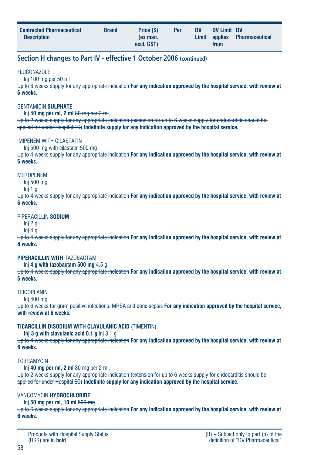| <b>Contracted Pharmaceutical</b><br><b>Description</b> | <b>Brand</b> | Price (\$)<br>(ex man.<br>excl. GST) | Per | <b>DV</b> | DV Limit DV<br>from | Limit applies Pharmaceutical |
|--------------------------------------------------------|--------------|--------------------------------------|-----|-----------|---------------------|------------------------------|
|                                                        |              |                                      |     |           |                     |                              |

### **Section H changes to Part IV - effective 1 October 2006 (continued)**

#### **FLUCONAZOLE**

Inj 100 mg per 50 ml

Up to 6 weeks supply for any appropriate indication **For any indication approved by the hospital service, with review at 6 weeks.**

#### GENTAMICIN **SULPHATE**

Inj **40 mg per ml, 2 ml** 80 mg per 2 ml,

Up to 2 weeks supply for any appropriate indication (extension for up to 6 weeks supply for endocarditis should be applied for under Hospital EC) **Indefinite supply for any indication approved by the hospital service.**

#### IMIPENEM WITH CILASTATIN

Inj 500 mg with cilastatin 500 mg

Up to 4 weeks supply for any appropriate indication **For any indication approved by the hospital service, with review at 6 weeks.**

#### MEROPENEM

Inj 500 mg

Inj 1 g

Up to 4 weeks supply for any appropriate indication **For any indication approved by the hospital service, with review at 6 weeks.**

#### PIPERACILLIN **SODIUM**

Inj 2 g Inj 4 g

Up to 4 weeks supply for any appropriate indication **For any indication approved by the hospital service, with review at 6 weeks.**

#### **PIPERACILLIN WITH** TAZOBACTAM

Inj **4 g with tazobactam 500 mg** 4.5 g

Up to 4 weeks supply for any appropriate indication **For any indication approved by the hospital service, with review at 6 weeks.**

#### **TEICOPLANIN**

Inj 400 mg

Up to 6 weeks for gram positive infections, MRSA and bone sepsis **For any indication approved by the hospital service, with review at 6 weeks.**

#### **TICARCILLIN DISODIUM WITH CLAVULANIC ACID** (TIMENTIN)

#### **Inj 3 g with clavulanic acid 0.1 g** Inj 3.1 g

Up to 4 weeks supply for any appropriate indication **For any indication approved by the hospital service, with review at 6 weeks.**

#### **TOBRAMYCIN**

Inj **40 mg per ml, 2 ml** 80 mg per 2 ml,

Up to 2 weeks supply for any appropriate indication (extension for up to 6 weeks supply for endocarditis should be applied for under Hospital EC) **Indefinite supply for any indication approved by the hospital service.**

#### VANCOMYCIN **HYDROCHLORIDE**

Inj **50 mg per ml, 10 ml** 500 mg

Up to 6 weeks supply for any appropriate indication **For any indication approved by the hospital service, with review at 6 weeks.**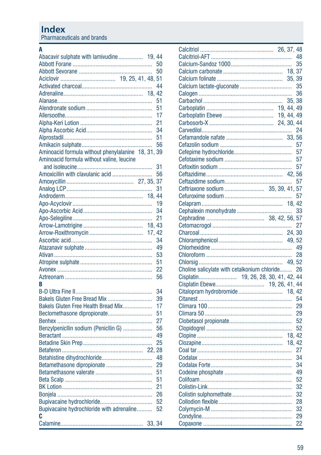Pharmaceuticals and brands

#### $\overline{\mathsf{A}}$

| Abacavir sulphate with lamivudine 19, 44           |        | 50 |
|----------------------------------------------------|--------|----|
|                                                    |        | 50 |
|                                                    |        | 51 |
|                                                    |        | 44 |
|                                                    |        |    |
|                                                    |        | 51 |
|                                                    |        | 51 |
|                                                    |        | 17 |
|                                                    |        | 21 |
|                                                    |        | 34 |
|                                                    |        | 51 |
|                                                    |        | 56 |
| Aminoacid formula without phenylalanine 18, 31, 39 |        |    |
| Aminoacid formula without valine, leucine          |        |    |
|                                                    |        | 31 |
| Amoxicillin with clavulanic acid                   |        | 56 |
|                                                    |        | 37 |
|                                                    |        | 31 |
|                                                    | 18, 44 |    |
|                                                    |        |    |
|                                                    |        | 19 |
|                                                    |        | 34 |
|                                                    |        | 21 |
|                                                    | 18.43  |    |
|                                                    | 17, 42 |    |
|                                                    |        | 34 |
|                                                    |        | 49 |
|                                                    |        | 53 |
|                                                    |        | 51 |
|                                                    |        | 22 |
|                                                    |        | 56 |
| B                                                  |        |    |
|                                                    |        | 34 |
| Bakels Gluten Free Bread Mix                       |        | 39 |
| Bakels Gluten Free Health Bread Mix                |        | 17 |
| Beclomethasone dipropionate                        |        | 51 |
|                                                    |        | 27 |
| Benzylpenicllin sodium (Penicllin G)               |        | 56 |
|                                                    |        | 49 |
|                                                    |        | 25 |
|                                                    |        |    |
| Betahistine dihydrochloride                        |        | 48 |
| Betamethasone dipropionate                         |        | 29 |
|                                                    |        | 51 |
|                                                    |        |    |
|                                                    |        | 51 |
|                                                    |        | 21 |
|                                                    |        | 26 |
|                                                    |        | 52 |
| Bupivacaine hydrochloride with adrenaline          |        | 52 |
| C                                                  |        |    |
|                                                    | 33, 34 |    |

|                                                 |  |        | 35 |
|-------------------------------------------------|--|--------|----|
|                                                 |  |        |    |
|                                                 |  |        |    |
|                                                 |  |        |    |
|                                                 |  |        | 36 |
|                                                 |  | 35, 38 |    |
|                                                 |  |        |    |
|                                                 |  |        |    |
|                                                 |  |        |    |
|                                                 |  |        |    |
|                                                 |  |        |    |
|                                                 |  |        |    |
|                                                 |  |        |    |
|                                                 |  |        |    |
|                                                 |  |        |    |
|                                                 |  |        |    |
|                                                 |  |        |    |
|                                                 |  |        |    |
|                                                 |  |        |    |
|                                                 |  |        |    |
|                                                 |  |        | 33 |
|                                                 |  |        |    |
|                                                 |  |        |    |
|                                                 |  |        |    |
|                                                 |  |        |    |
|                                                 |  |        |    |
|                                                 |  |        |    |
|                                                 |  |        |    |
| Choline salicylate with cetalkonium chloride 26 |  |        |    |
|                                                 |  |        |    |
|                                                 |  |        |    |
|                                                 |  |        |    |
|                                                 |  |        |    |
|                                                 |  |        |    |
|                                                 |  |        |    |
|                                                 |  |        |    |
|                                                 |  |        | 52 |
|                                                 |  |        |    |
|                                                 |  | 18.42  |    |
|                                                 |  |        |    |
|                                                 |  |        | 34 |
|                                                 |  |        | 34 |
|                                                 |  |        |    |
|                                                 |  |        | 52 |
|                                                 |  |        | 32 |
|                                                 |  |        | 32 |
|                                                 |  |        | 28 |
|                                                 |  |        |    |
|                                                 |  |        | 29 |
|                                                 |  |        |    |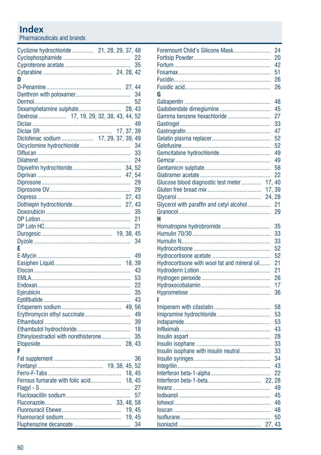Pharmaceuticals and brands

| Cyclizine hydrochloride  21, 28, 29, 37, 48 |  |        |    |
|---------------------------------------------|--|--------|----|
|                                             |  |        |    |
|                                             |  |        | 35 |
|                                             |  |        |    |
| D                                           |  |        |    |
|                                             |  |        |    |
|                                             |  |        | 34 |
|                                             |  |        | 52 |
|                                             |  |        |    |
| Dextrose  17, 19, 29, 32, 38, 43, 44, 52    |  |        |    |
|                                             |  |        | 49 |
|                                             |  |        |    |
| Diclofenac sodium  17, 29, 37, 39, 49       |  |        |    |
|                                             |  |        | 34 |
|                                             |  |        | 33 |
|                                             |  |        | 24 |
|                                             |  | 34.52  |    |
|                                             |  |        |    |
|                                             |  |        |    |
|                                             |  |        | 29 |
|                                             |  |        |    |
|                                             |  |        |    |
|                                             |  |        | 35 |
|                                             |  |        | 21 |
|                                             |  |        | 21 |
|                                             |  |        |    |
|                                             |  |        | 34 |
|                                             |  |        |    |
| E                                           |  |        |    |
|                                             |  |        | 49 |
|                                             |  |        |    |
|                                             |  |        | 43 |
|                                             |  |        | 53 |
|                                             |  |        | 22 |
|                                             |  |        | 35 |
|                                             |  |        | 43 |
|                                             |  |        |    |
|                                             |  |        | 49 |
|                                             |  |        | 39 |
|                                             |  |        | 18 |
| Ethinyloestradiol with norethisterone       |  |        | 35 |
|                                             |  |        |    |
| F                                           |  |        |    |
|                                             |  |        | 36 |
|                                             |  |        |    |
|                                             |  |        |    |
|                                             |  |        |    |
|                                             |  |        |    |
|                                             |  |        |    |
|                                             |  |        |    |
|                                             |  | 19, 45 |    |
|                                             |  | 19.45  |    |
|                                             |  |        | 34 |
|                                             |  |        |    |

| Foremount Child's Silicone Mask              | 24 |
|----------------------------------------------|----|
|                                              | 20 |
|                                              | 42 |
|                                              | 51 |
|                                              | 26 |
|                                              | 26 |
|                                              |    |
| G                                            |    |
|                                              | 48 |
| Gadobendate dimeglumine                      | 45 |
| Gamma benzene hexachloride                   | 27 |
|                                              | 33 |
|                                              | 47 |
|                                              | 52 |
|                                              | 52 |
|                                              | 49 |
|                                              | 49 |
|                                              | 58 |
|                                              | 22 |
| Glucose blood diagnostic test meter<br>17,   | 40 |
| 17,39                                        |    |
| 24.28                                        |    |
| Glycerol with paraffin and cetyl alcohol     | 21 |
|                                              | 29 |
| н                                            |    |
| Homatropine hydrobromide                     | 35 |
|                                              | 33 |
|                                              | 33 |
|                                              | 52 |
|                                              | 52 |
| Hydrocortisone with wool fat and mineral oil | 21 |
|                                              | 21 |
|                                              | 26 |
|                                              | 17 |
|                                              | 36 |
|                                              |    |
|                                              | 58 |
|                                              | 53 |
|                                              | 53 |
|                                              | 43 |
|                                              | 28 |
|                                              | 33 |
| Insulin isophane with insulin neutral        | 33 |
|                                              | 34 |
|                                              | 43 |
|                                              | 22 |
|                                              | 28 |
|                                              | 49 |
|                                              | 45 |
|                                              | 46 |
|                                              | 48 |
|                                              | 50 |
|                                              | 43 |
|                                              |    |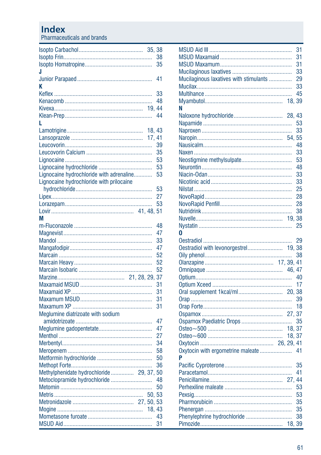Pharmaceuticals and brands

|                                          | 38 |
|------------------------------------------|----|
|                                          | 35 |
| J                                        |    |
|                                          | 41 |
| K                                        |    |
|                                          | 33 |
|                                          | 48 |
|                                          |    |
|                                          | 44 |
| L                                        |    |
| 18.43                                    |    |
| 17.41                                    |    |
|                                          | 39 |
|                                          | 35 |
|                                          | 53 |
|                                          | 53 |
| Lignocaine hydrochloride with adrenaline | 53 |
| Lignocaine hydrochloride with prilocaine |    |
|                                          | 53 |
|                                          | 27 |
|                                          | 53 |
|                                          |    |
| М                                        |    |
|                                          | 48 |
|                                          | 47 |
|                                          | 33 |
|                                          | 47 |
|                                          | 52 |
|                                          | 52 |
|                                          | 52 |
|                                          | 37 |
|                                          | 31 |
|                                          | 31 |
|                                          | 31 |
|                                          | 31 |
| Meglumine diatrizoate with sodium        |    |
|                                          | 47 |
|                                          | 47 |
|                                          | 27 |
|                                          | 34 |
|                                          | 58 |
|                                          | 50 |
|                                          | 36 |
| Methylphenidate hydrochloride 29, 37, 50 |    |
| Metoclopramide hydrochloride             | 48 |
|                                          | 50 |
| 50, 53                                   |    |
|                                          |    |
| 18.43                                    |    |
|                                          | 43 |
|                                          | 31 |

|                                        | 31 |
|----------------------------------------|----|
|                                        | 31 |
|                                        | 31 |
|                                        | 33 |
| Mucilaginous laxatives with stimulants | 29 |
|                                        | 33 |
|                                        | 45 |
|                                        |    |
| N                                      |    |
|                                        |    |
|                                        | 53 |
|                                        | 33 |
|                                        |    |
|                                        | 48 |
|                                        | 33 |
|                                        | 53 |
|                                        |    |
|                                        | 48 |
|                                        | 33 |
|                                        | 33 |
|                                        | 25 |
|                                        | 28 |
|                                        | 28 |
|                                        | 38 |
| 19.38                                  |    |
|                                        | 25 |
| O                                      |    |
|                                        | 29 |
| Oestradiol with levonorgestrel 19, 38  |    |
|                                        | 38 |
|                                        |    |
|                                        |    |
|                                        |    |
|                                        | 17 |
|                                        |    |
|                                        | 39 |
|                                        | 18 |
|                                        |    |
|                                        | 35 |
| 18, 37                                 |    |
|                                        |    |
|                                        |    |
| Oxytocin with ergometrine maleate  41  |    |
| Þ                                      |    |
|                                        | 35 |
|                                        | 41 |
|                                        |    |
|                                        | 53 |
|                                        |    |
|                                        | 53 |
|                                        | 35 |
|                                        | 35 |
|                                        | 38 |
| 18.39                                  |    |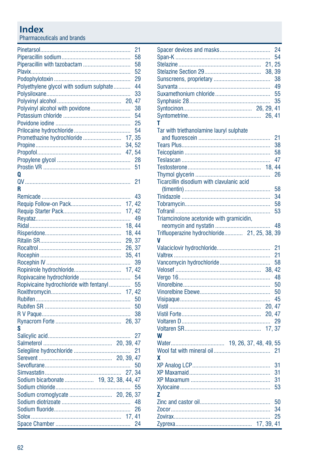Pharmaceuticals and brands

|                                          |        | 21 |
|------------------------------------------|--------|----|
|                                          |        | 58 |
| Piperacillin with tazobactam             |        | 58 |
|                                          |        | 52 |
|                                          |        | 29 |
| Polyethylene glycol with sodium sulphate |        | 44 |
|                                          |        | 33 |
|                                          |        |    |
| Polyvinyl alcohol with povidone          |        | 38 |
|                                          |        | 54 |
|                                          |        | 25 |
|                                          |        |    |
|                                          |        | 54 |
| Promethazine hydrochloride               | 17, 35 |    |
|                                          | 34, 52 |    |
|                                          |        |    |
|                                          |        | 28 |
|                                          |        | 51 |
| 0                                        |        |    |
|                                          |        | 21 |
| R                                        |        |    |
|                                          |        | 43 |
|                                          | 17, 42 |    |
|                                          | 17, 42 |    |
|                                          |        |    |
|                                          | 18, 44 |    |
|                                          | 18.44  |    |
|                                          |        |    |
|                                          | 29, 37 |    |
|                                          | 26, 37 |    |
|                                          | 35, 41 |    |
|                                          |        | 39 |
|                                          | 17, 42 |    |
|                                          |        | 54 |
| Ropivicaine hydrochloride with fentanyl  |        | 55 |
|                                          |        |    |
|                                          |        | 50 |
|                                          |        | 50 |
|                                          |        | 38 |
|                                          |        |    |
| S                                        |        |    |
|                                          |        | 27 |
|                                          |        |    |
|                                          |        |    |
|                                          |        |    |
|                                          |        | 50 |
|                                          |        |    |
|                                          |        |    |
| Sodium bicarbonate  19, 32, 38, 44, 47   |        |    |
|                                          |        | 55 |
|                                          |        |    |
|                                          |        | 48 |
|                                          |        | 26 |
|                                          |        |    |
|                                          |        | 24 |

| т                                            | 24<br>54<br>38<br>49<br>55<br>35 |
|----------------------------------------------|----------------------------------|
| Tar with triethanolamine lauryl sulphate     |                                  |
|                                              | 21                               |
|                                              | 38                               |
|                                              | 58                               |
|                                              | 47                               |
| 18, 44                                       |                                  |
|                                              | 26                               |
| Ticarcillin disodium with clavulanic acid    |                                  |
|                                              | 58                               |
|                                              | 34                               |
|                                              | 58                               |
|                                              | 53                               |
| Triamcinolone acetonide with gramicidin,     |                                  |
|                                              | 48                               |
| Trifluoperazine hydrochloride 21, 25, 38, 39 |                                  |
| v                                            |                                  |
|                                              | 21                               |
|                                              | 21                               |
|                                              |                                  |
|                                              | 58                               |
|                                              |                                  |
|                                              | 48                               |
|                                              | 50                               |
|                                              | 50                               |
|                                              | 45                               |
| 20, 47                                       |                                  |
| 20.47                                        |                                  |
|                                              | 29                               |
|                                              |                                  |
| W                                            |                                  |
|                                              |                                  |
|                                              | 21                               |
| χ                                            |                                  |
|                                              | 31                               |
|                                              | 31                               |
|                                              | 31                               |
|                                              | 53                               |
| Z                                            |                                  |
|                                              | 50                               |
|                                              | 34                               |
|                                              | 25                               |